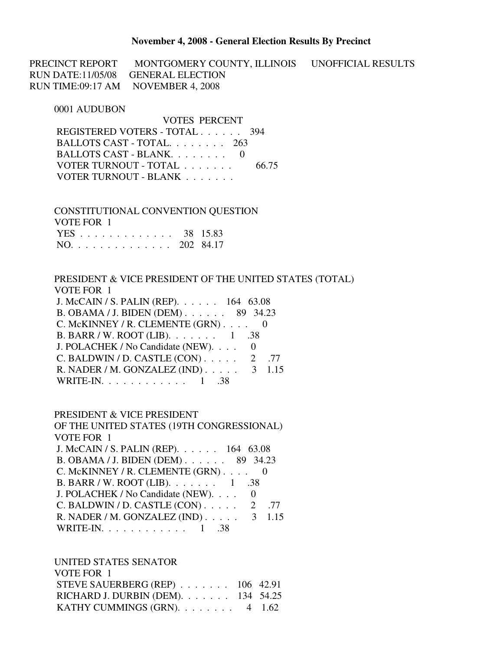#### **November 4, 2008 - General Election Results By Precinct**

PRECINCT REPORT MONTGOMERY COUNTY, ILLINOIS UNOFFICIAL RESULTS RUN DATE:11/05/08 GENERAL ELECTION RUN TIME:09:17 AM NOVEMBER 4, 2008

#### 0001 AUDUBON

 VOTES PERCENT REGISTERED VOTERS - TOTAL . . . . . . 394 BALLOTS CAST - TOTAL. . . . . . . . 263 BALLOTS CAST - BLANK. . . . . . . . 0 VOTER TURNOUT - TOTAL . . . . . . . 66.75 VOTER TURNOUT - BLANK . . . . . . .

 CONSTITUTIONAL CONVENTION QUESTION VOTE FOR 1 YES . . . . . . . . . . . . . 38 15.83 NO. . . . . . . . . . . . . . 202 84.17

 PRESIDENT & VICE PRESIDENT OF THE UNITED STATES (TOTAL) VOTE FOR 1 J. McCAIN / S. PALIN (REP). . . . . . 164 63.08 B. OBAMA / J. BIDEN (DEM) . . . . . . 89 34.23 C. McKINNEY / R. CLEMENTE (GRN) . . . . 0 B. BARR / W. ROOT (LIB). . . . . . . 1 .38 J. POLACHEK / No Candidate (NEW). . . . 0 C. BALDWIN / D. CASTLE  $(CON)$ ..... 2 .77 R. NADER / M. GONZALEZ (IND) . . . . . 3 1.15 WRITE-IN. . . . . . . . . . . . 1 .38

#### PRESIDENT & VICE PRESIDENT

 OF THE UNITED STATES (19TH CONGRESSIONAL) VOTE FOR 1 J. McCAIN / S. PALIN (REP). . . . . . 164 63.08 B. OBAMA / J. BIDEN (DEM) . . . . . . 89 34.23 C. McKINNEY / R. CLEMENTE (GRN) . . . . 0 B. BARR / W. ROOT (LIB). . . . . . . 1 .38 J. POLACHEK / No Candidate (NEW). . . . 0 C. BALDWIN / D. CASTLE  $(CON)$ . . . . . 2 .77 R. NADER / M. GONZALEZ (IND) . . . . . 3 1.15 WRITE-IN. . . . . . . . . . . . 1 .38

UNITED STATES SENATOR

| VOTE FOR 1                                  |  |
|---------------------------------------------|--|
| STEVE SAUERBERG (REP) $\ldots$ 106 42.91    |  |
| RICHARD J. DURBIN (DEM). $\ldots$ 134 54.25 |  |
| KATHY CUMMINGS (GRN). $\ldots$ 4 1.62       |  |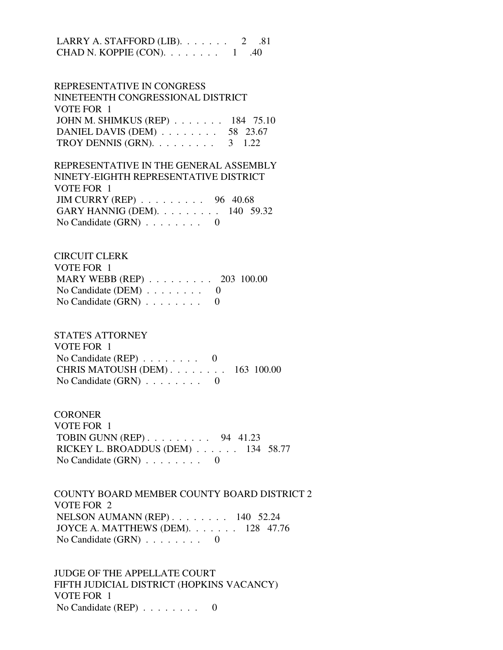LARRY A. STAFFORD (LIB).  $\ldots$  . . . . . 2 .81 CHAD N. KOPPIE  $(CON)$ . . . . . . . . 1 .40

 REPRESENTATIVE IN CONGRESS NINETEENTH CONGRESSIONAL DISTRICT VOTE FOR 1 JOHN M. SHIMKUS (REP) . . . . . . . 184 75.10 DANIEL DAVIS (DEM) . . . . . . . . 58 23.67 TROY DENNIS (GRN).  $\ldots$  . . . . . . . 3 1.22

 REPRESENTATIVE IN THE GENERAL ASSEMBLY NINETY-EIGHTH REPRESENTATIVE DISTRICT VOTE FOR 1 JIM CURRY (REP) . . . . . . . . . 96 40.68 GARY HANNIG (DEM). . . . . . . . . 140 59.32 No Candidate  $(GRN)$  . . . . . . . . 0

 CIRCUIT CLERK VOTE FOR 1 MARY WEBB (REP) . . . . . . . . . 203 100.00 No Candidate (DEM) . . . . . . . . 0 No Candidate  $(GRN)$  . . . . . . . . 0

 STATE'S ATTORNEY VOTE FOR 1 No Candidate (REP) . . . . . . . . 0 CHRIS MATOUSH (DEM) . . . . . . . . 163 100.00 No Candidate (GRN) . . . . . . . . 0

**CORONER**  VOTE FOR 1 TOBIN GUNN (REP) . . . . . . . . . 94 41.23 RICKEY L. BROADDUS (DEM) . . . . . . 134 58.77 No Candidate (GRN) . . . . . . . . 0

 COUNTY BOARD MEMBER COUNTY BOARD DISTRICT 2 VOTE FOR 2 NELSON AUMANN (REP) . . . . . . . . 140 52.24 JOYCE A. MATTHEWS (DEM). . . . . . . 128 47.76 No Candidate  $(GRN)$  . . . . . . . . 0

 JUDGE OF THE APPELLATE COURT FIFTH JUDICIAL DISTRICT (HOPKINS VACANCY) VOTE FOR 1 No Candidate (REP) . . . . . . . . 0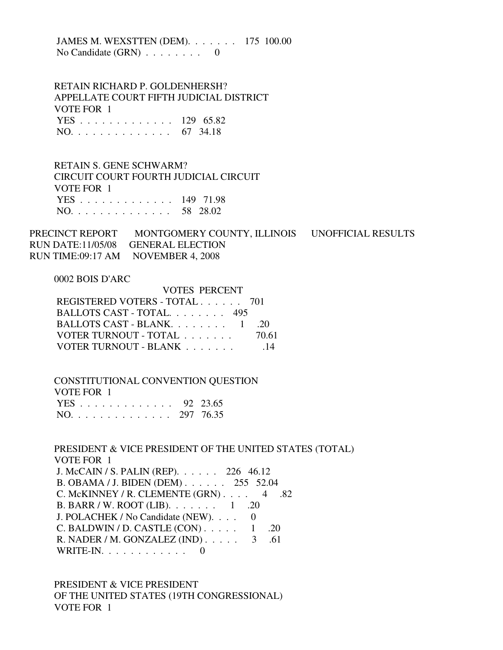JAMES M. WEXSTTEN (DEM). . . . . . . 175 100.00 No Candidate  $(GRN)$  . . . . . . . . 0

 RETAIN RICHARD P. GOLDENHERSH? APPELLATE COURT FIFTH JUDICIAL DISTRICT VOTE FOR 1 YES . . . . . . . . . . . . . 129 65.82 NO. . . . . . . . . . . . . . 67 34.18

 RETAIN S. GENE SCHWARM? CIRCUIT COURT FOURTH JUDICIAL CIRCUIT VOTE FOR 1 YES . . . . . . . . . . . . . 149 71.98 NO. . . . . . . . . . . . . . 58 28.02

PRECINCT REPORT MONTGOMERY COUNTY, ILLINOIS UNOFFICIAL RESULTS RUN DATE:11/05/08 GENERAL ELECTION RUN TIME:09:17 AM NOVEMBER 4, 2008

0002 BOIS D'ARC

| VOTES PERCENT                 |       |
|-------------------------------|-------|
| REGISTERED VOTERS - TOTAL 701 |       |
| BALLOTS CAST - TOTAL. 495     |       |
| BALLOTS CAST - BLANK $1$      | -20   |
| VOTER TURNOUT - TOTAL         | 70.61 |
| VOTER TURNOUT - BLANK         | -14   |

 CONSTITUTIONAL CONVENTION QUESTION VOTE FOR 1 YES . . . . . . . . . . . . . 92 23.65 NO. . . . . . . . . . . . . . 297 76.35

 PRESIDENT & VICE PRESIDENT OF THE UNITED STATES (TOTAL) VOTE FOR 1 J. McCAIN / S. PALIN (REP). . . . . . 226 46.12 B. OBAMA / J. BIDEN (DEM) . . . . . . 255 52.04 C. McKINNEY / R. CLEMENTE  $(GRN)$ . . . . 4 .82 B. BARR / W. ROOT (LIB). . . . . . . 1 .20 J. POLACHEK / No Candidate (NEW). . . . 0 C. BALDWIN / D. CASTLE  $(CON)$ . . . . . 1 .20 R. NADER / M. GONZALEZ (IND) . . . . . 3 .61 WRITE-IN. . . . . . . . . . . . 0

 PRESIDENT & VICE PRESIDENT OF THE UNITED STATES (19TH CONGRESSIONAL) VOTE FOR 1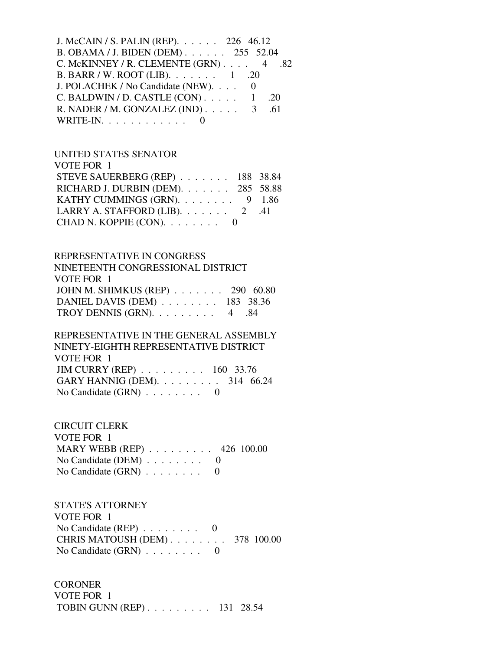| J. McCAIN / S. PALIN (REP). $\ldots$ . 226 46.12       |     |  |
|--------------------------------------------------------|-----|--|
| B. OBAMA / J. BIDEN (DEM) 255 52.04                    |     |  |
| C. McKINNEY / R. CLEMENTE (GRN) $\ldots$ 4 .82         |     |  |
| B. BARR / W. ROOT (LIB). $\ldots \ldots \ldots 1$ . 20 |     |  |
| J. POLACHEK / No Candidate (NEW). 0                    |     |  |
| C. BALDWIN / D. CASTLE $(CON)$ 1                       | -20 |  |
| R. NADER / M. GONZALEZ (IND) $\ldots$ 3 .61            |     |  |
| WRITE-IN. $\ldots$ 0                                   |     |  |

# UNITED STATES SENATOR

| VOTE FOR 1                                     |  |
|------------------------------------------------|--|
| STEVE SAUERBERG (REP) 188 38.84                |  |
| RICHARD J. DURBIN (DEM). 285 58.88             |  |
| KATHY CUMMINGS (GRN). $\ldots$ 9 1.86          |  |
| LARRY A. STAFFORD (LIB). $\ldots$ 2 .41        |  |
| CHAD N. KOPPIE (CON). $\ldots \ldots \ldots$ 0 |  |

### REPRESENTATIVE IN CONGRESS

| NINETEENTH CONGRESSIONAL DISTRICT     |  |
|---------------------------------------|--|
| VOTE FOR 1                            |  |
| JOHN M. SHIMKUS (REP) 290 60.80       |  |
| DANIEL DAVIS (DEM) $\ldots$ 183 38.36 |  |
| TROY DENNIS (GRN). $\ldots$ 4 .84     |  |

#### REPRESENTATIVE IN THE GENERAL ASSEMBLY NINETY-EIGHTH DEDDESENT ATIVE DISTRICT

| NINET I - EIGHTH KEPKESENTATIVE DISTRICT                |  |  |
|---------------------------------------------------------|--|--|
| VOTE FOR 1                                              |  |  |
| JIM CURRY (REP) $\ldots \ldots \ldots \ldots 160$ 33.76 |  |  |
| GARY HANNIG (DEM). $\ldots$ 314 66.24                   |  |  |
| No Candidate $(GRN) \ldots \ldots \ldots \ldots 0$      |  |  |

## CIRCUIT CLERK

| VOTE FOR 1                                        |  |
|---------------------------------------------------|--|
| MARY WEBB (REP) $\ldots \ldots \ldots$ 426 100.00 |  |
| No Candidate (DEM) $\ldots \ldots \ldots$ 0       |  |
| No Candidate $(GRN)$ 0                            |  |

# STATE'S ATTORNEY

| VOTE FOR 1                                       |  |
|--------------------------------------------------|--|
| No Candidate (REP) $\ldots \ldots \ldots \ldots$ |  |
| CHRIS MATOUSH $(DEM)$ 378 100.00                 |  |
| No Candidate $(GRN)$ 0                           |  |

# **CORONER**

 VOTE FOR 1 TOBIN GUNN (REP) . . . . . . . . . 131 28.54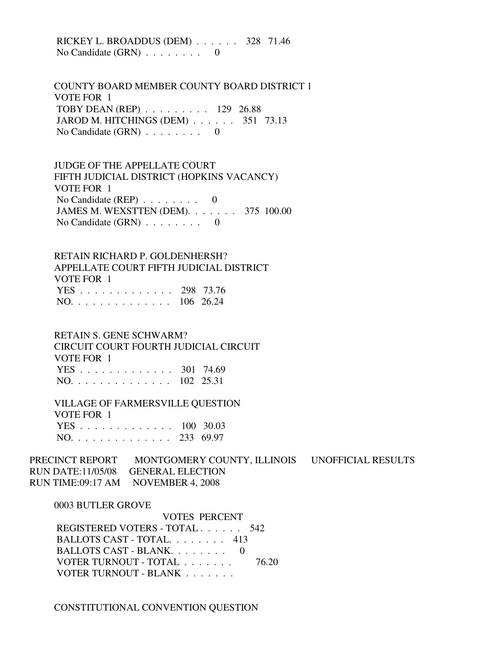RICKEY L. BROADDUS (DEM) . . . . . . 328 71.46 No Candidate  $(GRN)$  . . . . . . . . 0

 COUNTY BOARD MEMBER COUNTY BOARD DISTRICT 1 VOTE FOR 1 TOBY DEAN (REP) . . . . . . . . . 129 26.88 JAROD M. HITCHINGS (DEM) . . . . . . 351 73.13 No Candidate (GRN) . . . . . . . . 0

 JUDGE OF THE APPELLATE COURT FIFTH JUDICIAL DISTRICT (HOPKINS VACANCY) VOTE FOR 1 No Candidate (REP)  $\ldots$  . . . . . . 0 JAMES M. WEXSTTEN (DEM). . . . . . . 375 100.00 No Candidate  $(GRN)$  . . . . . . . . 0

 RETAIN RICHARD P. GOLDENHERSH? APPELLATE COURT FIFTH JUDICIAL DISTRICT VOTE FOR 1 YES . . . . . . . . . . . . . 298 73.76 NO. . . . . . . . . . . . . . 106 26.24

 RETAIN S. GENE SCHWARM? CIRCUIT COURT FOURTH JUDICIAL CIRCUIT VOTE FOR 1 YES . . . . . . . . . . . . . 301 74.69 NO. . . . . . . . . . . . . . 102 25.31

 VILLAGE OF FARMERSVILLE QUESTION VOTE FOR 1 YES . . . . . . . . . . . . . 100 30.03 NO. . . . . . . . . . . . . . 233 69.97

PRECINCT REPORT MONTGOMERY COUNTY, ILLINOIS UNOFFICIAL RESULTS RUN DATE:11/05/08 GENERAL ELECTION RUN TIME:09:17 AM NOVEMBER 4, 2008

0003 BUTLER GROVE

 VOTES PERCENT REGISTERED VOTERS - TOTAL . . . . . . 542 BALLOTS CAST - TOTAL. . . . . . . . 413 BALLOTS CAST - BLANK. . . . . . . . 0 VOTER TURNOUT - TOTAL . . . . . . . 76.20 VOTER TURNOUT - BLANK . . . . . . .

CONSTITUTIONAL CONVENTION QUESTION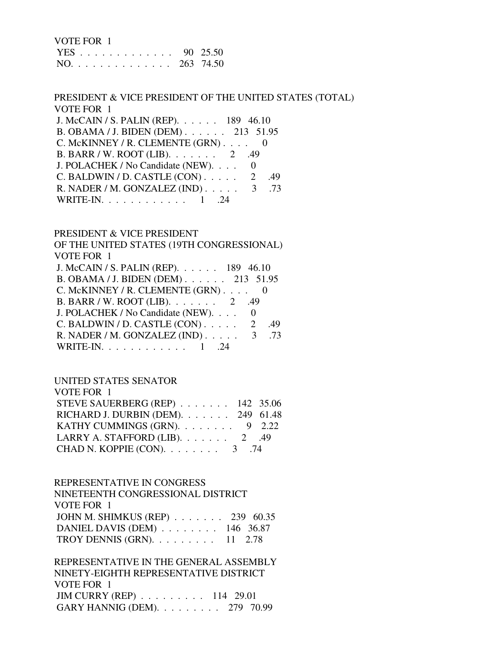| VOTE FOR 1    |  |
|---------------|--|
| YES 90 25.50  |  |
| NO. 263 74.50 |  |

### PRESIDENT & VICE PRESIDENT OF THE UNITED STATES (TOTAL) VOTE FOR 1

| J. McCAIN / S. PALIN (REP). 189 46.10       |
|---------------------------------------------|
| B. OBAMA / J. BIDEN (DEM) 213 51.95         |
| C. McKINNEY / R. CLEMENTE $(GRN)$ 0         |
| B. BARR / W. ROOT (LIB). $\ldots$ 2 .49     |
| J. POLACHEK / No Candidate (NEW).           |
| C. BALDWIN / D. CASTLE $(CON)$ 2<br>-49     |
| R. NADER / M. GONZALEZ (IND) $\ldots$ 3 .73 |
| WRITE-IN. $\ldots$ 1 .                      |
|                                             |

## PRESIDENT & VICE PRESIDENT

| OF THE UNITED STATES (19TH CONGRESSIONAL)   |   |     |
|---------------------------------------------|---|-----|
| <b>VOTE FOR 1</b>                           |   |     |
| J. McCAIN / S. PALIN (REP). 189 46.10       |   |     |
| B. OBAMA / J. BIDEN (DEM) 213 51.95         |   |     |
| C. McKINNEY / R. CLEMENTE (GRN) 0           |   |     |
| B. BARR / W. ROOT (LIB). 2 .49              |   |     |
| J. POLACHEK / No Candidate (NEW).           |   |     |
| C. BALDWIN / D. CASTLE (CON)                | 2 | .49 |
| R. NADER / M. GONZALEZ (IND) $\ldots$ 3 .73 |   |     |
| WRITE-IN. $\ldots$ 1                        |   |     |

### UNITED STATES SENATOR

| VOTE FOR 1                               |  |
|------------------------------------------|--|
| STEVE SAUERBERG (REP) $\ldots$ 142 35.06 |  |
| RICHARD J. DURBIN (DEM). 249 61.48       |  |
| KATHY CUMMINGS (GRN). $\ldots$ 9 2.22    |  |
| LARRY A. STAFFORD (LIB). $\ldots$ 2 .49  |  |
| CHAD N. KOPPIE (CON). $\ldots$ 3 .74     |  |

#### REPRESENTATIVE IN CONGRESS

| NINETEENTH CONGRESSIONAL DISTRICT                 |  |
|---------------------------------------------------|--|
| VOTE FOR 1                                        |  |
| JOHN M. SHIMKUS (REP) $\ldots$ 239 60.35          |  |
| DANIEL DAVIS (DEM) $\ldots$ 146 36.87             |  |
| TROY DENNIS (GRN). $\ldots \ldots \ldots 11$ 2.78 |  |
|                                                   |  |

 REPRESENTATIVE IN THE GENERAL ASSEMBLY NINETY-EIGHTH REPRESENTATIVE DISTRICT VOTE FOR 1 JIM CURRY (REP) . . . . . . . . . 114 29.01 GARY HANNIG (DEM). . . . . . . . . 279 70.99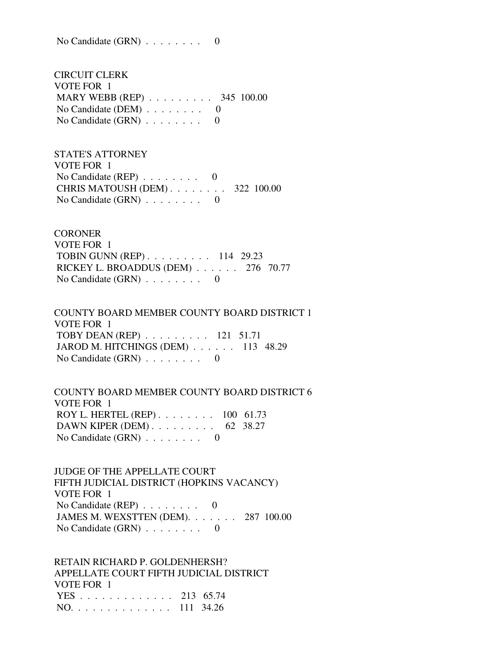No Candidate (GRN) . . . . . . . . 0

 CIRCUIT CLERK VOTE FOR 1 MARY WEBB (REP) . . . . . . . . . 345 100.00 No Candidate (DEM)  $\ldots$  . . . . . . 0 No Candidate  $(GRN)$  . . . . . . . . 0

 STATE'S ATTORNEY VOTE FOR 1 No Candidate (REP)  $\ldots$  . . . . . . 0 CHRIS MATOUSH (DEM) . . . . . . . . 322 100.00 No Candidate (GRN) . . . . . . . . 0

**CORONER**  VOTE FOR 1 TOBIN GUNN (REP) . . . . . . . . . 114 29.23 RICKEY L. BROADDUS (DEM) . . . . . . 276 70.77 No Candidate  $(GRN)$  . . . . . . . . 0

 COUNTY BOARD MEMBER COUNTY BOARD DISTRICT 1 VOTE FOR 1 TOBY DEAN (REP) . . . . . . . . . 121 51.71 JAROD M. HITCHINGS (DEM) . . . . . . 113 48.29 No Candidate  $(GRN)$  . . . . . . . . 0

 COUNTY BOARD MEMBER COUNTY BOARD DISTRICT 6 VOTE FOR 1 ROY L. HERTEL (REP) . . . . . . . . 100 61.73 DAWN KIPER (DEM) . . . . . . . . . 62 38.27 No Candidate (GRN) . . . . . . . . 0

 JUDGE OF THE APPELLATE COURT FIFTH JUDICIAL DISTRICT (HOPKINS VACANCY) VOTE FOR 1 No Candidate (REP) . . . . . . . . 0 JAMES M. WEXSTTEN (DEM). . . . . . . 287 100.00 No Candidate (GRN) . . . . . . . . 0

 RETAIN RICHARD P. GOLDENHERSH? APPELLATE COURT FIFTH JUDICIAL DISTRICT VOTE FOR 1 YES . . . . . . . . . . . . . 213 65.74 NO. . . . . . . . . . . . . . 111 34.26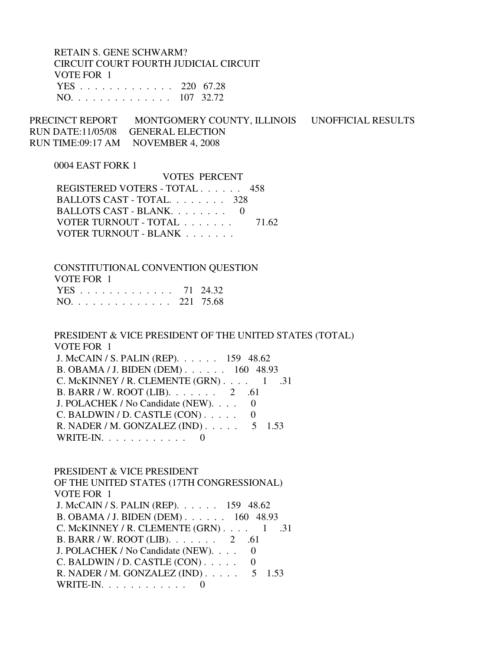RETAIN S. GENE SCHWARM? CIRCUIT COURT FOURTH JUDICIAL CIRCUIT VOTE FOR 1 YES . . . . . . . . . . . . . 220 67.28 NO. . . . . . . . . . . . . . 107 32.72

PRECINCT REPORT MONTGOMERY COUNTY, ILLINOIS UNOFFICIAL RESULTS RUN DATE:11/05/08 GENERAL ELECTION RUN TIME:09:17 AM NOVEMBER 4, 2008

#### 0004 EAST FORK 1

 VOTES PERCENT REGISTERED VOTERS - TOTAL . . . . . . 458 BALLOTS CAST - TOTAL. . . . . . . . 328 BALLOTS CAST - BLANK. . . . . . . . 0 VOTER TURNOUT - TOTAL . . . . . . . 71.62 VOTER TURNOUT - BLANK . . . . . . .

 CONSTITUTIONAL CONVENTION QUESTION VOTE FOR 1 YES . . . . . . . . . . . . . 71 24.32 NO. . . . . . . . . . . . . . 221 75.68

 PRESIDENT & VICE PRESIDENT OF THE UNITED STATES (TOTAL) VOTE FOR 1 J. McCAIN / S. PALIN (REP). . . . . . 159 48.62 B. OBAMA / J. BIDEN (DEM) . . . . . . 160 48.93 C. McKINNEY / R. CLEMENTE  $(GRN)$ . . . . 1 .31 B. BARR / W. ROOT (LIB). . . . . . . 2 .61 J. POLACHEK / No Candidate (NEW). . . . 0 C. BALDWIN / D. CASTLE  $(CON)$ ..... 0 R. NADER / M. GONZALEZ (IND) . . . . . 5 1.53 WRITE-IN.  $\ldots$  . . . . . . . . 0

 PRESIDENT & VICE PRESIDENT OF THE UNITED STATES (17TH CONGRESSIONAL) VOTE FOR 1 J. McCAIN / S. PALIN (REP). . . . . . 159 48.62 B. OBAMA / J. BIDEN (DEM) . . . . . . 160 48.93 C. McKINNEY / R. CLEMENTE  $(GRN)$ . . . . 1 .31 B. BARR / W. ROOT (LIB). . . . . . . 2 .61 J. POLACHEK / No Candidate (NEW). . . . 0  $C.$  BALDWIN / D. CASTLE  $(CON)$ .... 0 R. NADER / M. GONZALEZ (IND) . . . . . 5 1.53 WRITE-IN.  $\ldots$  . . . . . . . . 0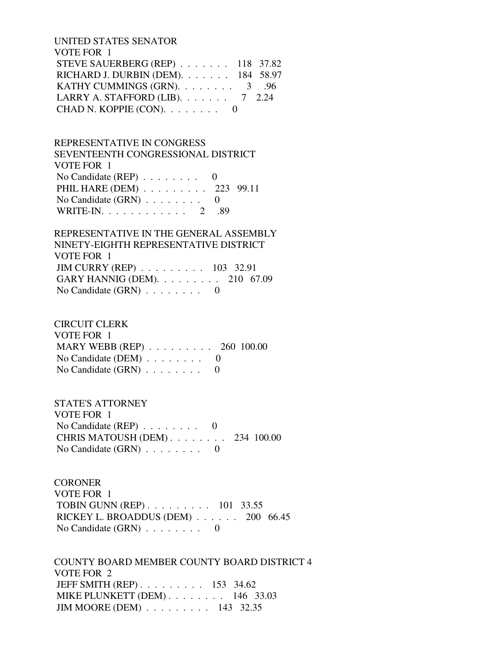UNITED STATES SENATOR VOTE FOR 1 STEVE SAUERBERG (REP) . . . . . . . 118 37.82 RICHARD J. DURBIN (DEM). . . . . . . 184 58.97 KATHY CUMMINGS (GRN). . . . . . . . . 3 .96 LARRY A. STAFFORD (LIB). . . . . . . 7 2.24 CHAD N. KOPPIE  $(CON)$ . . . . . . . 0

 REPRESENTATIVE IN CONGRESS SEVENTEENTH CONGRESSIONAL DISTRICT VOTE FOR 1 No Candidate (REP) . . . . . . . . 0 PHIL HARE (DEM) . . . . . . . . . 223 99.11 No Candidate  $(GRN)$  . . . . . . . . 0 WRITE-IN. . . . . . . . . . . . 2 .89

 REPRESENTATIVE IN THE GENERAL ASSEMBLY NINETY-EIGHTH REPRESENTATIVE DISTRICT VOTE FOR 1 JIM CURRY (REP) . . . . . . . . . 103 32.91 GARY HANNIG (DEM). . . . . . . . . 210 67.09 No Candidate (GRN) . . . . . . . . 0

 CIRCUIT CLERK VOTE FOR 1 MARY WEBB (REP) . . . . . . . . . 260 100.00 No Candidate (DEM)  $\ldots$  . . . . . . 0 No Candidate  $(GRN)$  . . . . . . . . 0

 STATE'S ATTORNEY VOTE FOR 1 No Candidate  $(REP)$  . . . . . . . . 0 CHRIS MATOUSH (DEM) . . . . . . . . 234 100.00 No Candidate  $(GRN)$  . . . . . . . . 0

**CORONER**  VOTE FOR 1 TOBIN GUNN (REP) . . . . . . . . . 101 33.55 RICKEY L. BROADDUS (DEM) . . . . . . 200 66.45 No Candidate (GRN) . . . . . . . . 0

 COUNTY BOARD MEMBER COUNTY BOARD DISTRICT 4 VOTE FOR 2 JEFF SMITH (REP) . . . . . . . . . 153 34.62 MIKE PLUNKETT (DEM) . . . . . . . . 146 33.03 JIM MOORE (DEM) . . . . . . . . . 143 32.35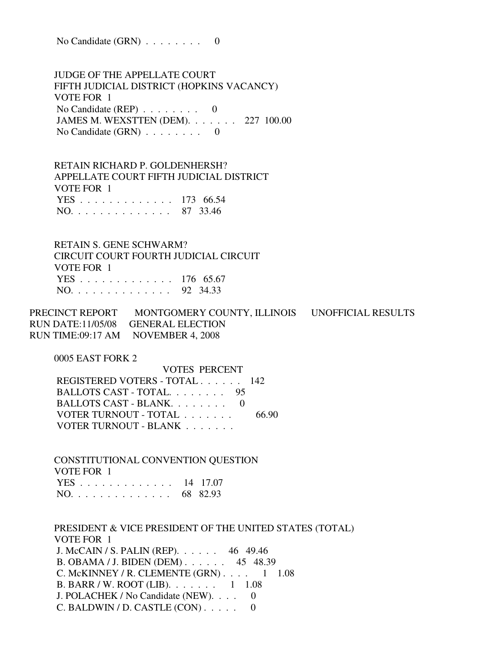No Candidate  $(GRN)$  . . . . . . . . 0

 JUDGE OF THE APPELLATE COURT FIFTH JUDICIAL DISTRICT (HOPKINS VACANCY) VOTE FOR 1 No Candidate (REP) . . . . . . . . 0 JAMES M. WEXSTTEN (DEM). . . . . . . 227 100.00 No Candidate  $(GRN)$  . . . . . . . . 0

 RETAIN RICHARD P. GOLDENHERSH? APPELLATE COURT FIFTH JUDICIAL DISTRICT VOTE FOR 1 YES . . . . . . . . . . . . . 173 66.54 NO. . . . . . . . . . . . . . 87 33.46

 RETAIN S. GENE SCHWARM? CIRCUIT COURT FOURTH JUDICIAL CIRCUIT VOTE FOR 1 YES . . . . . . . . . . . . . 176 65.67 NO. . . . . . . . . . . . . . 92 34.33

PRECINCT REPORT MONTGOMERY COUNTY, ILLINOIS UNOFFICIAL RESULTS RUN DATE:11/05/08 GENERAL ELECTION RUN TIME:09:17 AM NOVEMBER 4, 2008

0005 EAST FORK 2

 VOTES PERCENT REGISTERED VOTERS - TOTAL . . . . . . 142 BALLOTS CAST - TOTAL. . . . . . . . 95 BALLOTS CAST - BLANK. . . . . . . . 0 VOTER TURNOUT - TOTAL . . . . . . . 66.90 VOTER TURNOUT - BLANK . . . . . . .

 CONSTITUTIONAL CONVENTION QUESTION VOTE FOR 1 YES . . . . . . . . . . . . . 14 17.07 NO. . . . . . . . . . . . . . 68 82.93

 PRESIDENT & VICE PRESIDENT OF THE UNITED STATES (TOTAL) VOTE FOR 1 J. McCAIN / S. PALIN (REP). . . . . . 46 49.46 B. OBAMA / J. BIDEN (DEM) . . . . . . 45 48.39 C. McKINNEY / R. CLEMENTE  $(GRN)$ . . . . 1 1.08 B. BARR / W. ROOT (LIB). . . . . . . 1 1.08 J. POLACHEK / No Candidate (NEW). . . . 0 C. BALDWIN / D. CASTLE  $(CON)$ ..... 0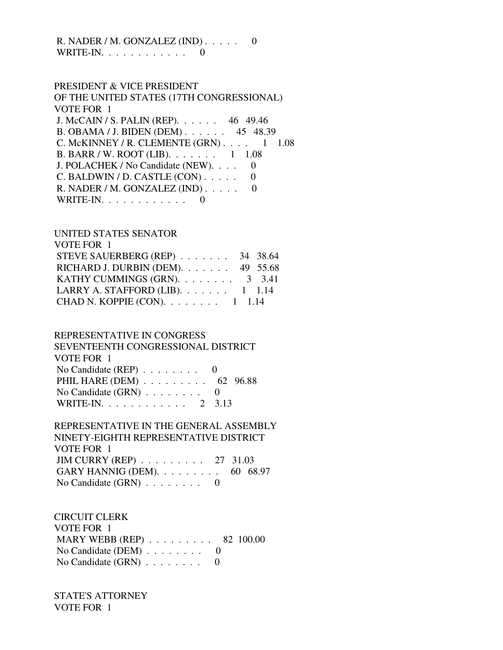## R. NADER / M. GONZALEZ (IND) . . . . . 0 WRITE-IN. . . . . . . . . . . . 0

 PRESIDENT & VICE PRESIDENT OF THE UNITED STATES (17TH CONGRESSIONAL) VOTE FOR 1 J. McCAIN / S. PALIN (REP). . . . . . 46 49.46 B. OBAMA / J. BIDEN (DEM) . . . . . . 45 48.39 C. McKINNEY / R. CLEMENTE  $(GRN)$ . . . . 1 1.08 B. BARR / W. ROOT (LIB). . . . . . . 1 1.08 J. POLACHEK / No Candidate (NEW). . . . 0  $C.$  BALDWIN / D. CASTLE  $(CON)$ .... 0 R. NADER / M. GONZALEZ (IND) . . . . . 0 WRITE-IN. . . . . . . . . . . . 0

## UNITED STATES SENATOR

| VOTE FOR 1                                 |  |
|--------------------------------------------|--|
| STEVE SAUERBERG (REP) 34 38.64             |  |
| RICHARD J. DURBIN (DEM). $\ldots$ 49 55.68 |  |
| KATHY CUMMINGS (GRN). 3 3.41               |  |
| LARRY A. STAFFORD (LIB). $\ldots$ 1 1.14   |  |
| CHAD N. KOPPIE (CON). $\ldots$ 1 1.14      |  |

### REPRESENTATIVE IN CONGRESS

 SEVENTEENTH CONGRESSIONAL DISTRICT VOTE FOR 1 No Candidate (REP) . . . . . . . . 0 PHIL HARE (DEM) . . . . . . . . . . 62 96.88 No Candidate  $(GRN)$  . . . . . . . . 0 WRITE-IN. . . . . . . . . . . . 2 3.13

## REPRESENTATIVE IN THE GENERAL ASSEMBLY NINETY-EIGHTH REPRESENTATIVE DISTRICT VOTE FOR 1 JIM CURRY (REP) . . . . . . . . . 27 31.03 GARY HANNIG (DEM). . . . . . . . . 60 68.97 No Candidate (GRN) . . . . . . . . 0

# CIRCUIT CLERK

| VOTE FOR 1                                              |  |
|---------------------------------------------------------|--|
| MARY WEBB (REP) $\ldots \ldots \ldots \ldots$ 82 100.00 |  |
| No Candidate (DEM) $\ldots \ldots \ldots$ 0             |  |
| No Candidate $(GRN) \ldots \ldots \ldots$               |  |

 STATE'S ATTORNEY VOTE FOR 1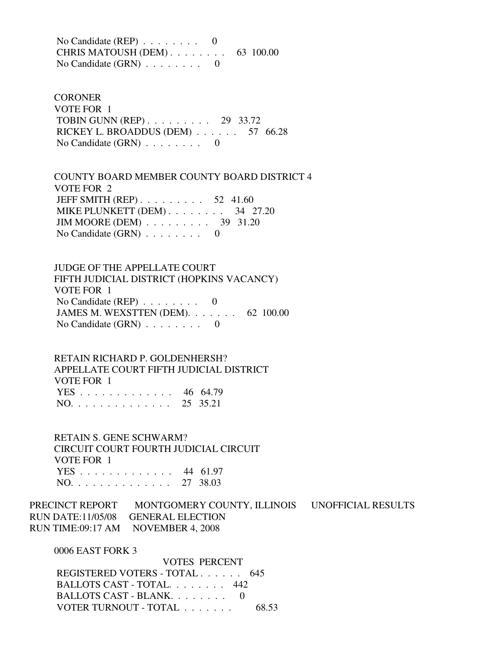No Candidate (REP) . . . . . . . . 0 CHRIS MATOUSH (DEM) . . . . . . . . 63 100.00 No Candidate (GRN) . . . . . . . . 0

**CORONER**  VOTE FOR 1 TOBIN GUNN (REP) . . . . . . . . . 29 33.72 RICKEY L. BROADDUS (DEM) . . . . . . 57 66.28 No Candidate (GRN) . . . . . . . . 0

 COUNTY BOARD MEMBER COUNTY BOARD DISTRICT 4 VOTE FOR 2 JEFF SMITH (REP) . . . . . . . . . . 52 41.60 MIKE PLUNKETT (DEM) . . . . . . . . 34 27.20 JIM MOORE (DEM) . . . . . . . . . 39 31.20 No Candidate (GRN) . . . . . . . . 0

 JUDGE OF THE APPELLATE COURT FIFTH JUDICIAL DISTRICT (HOPKINS VACANCY) VOTE FOR 1 No Candidate (REP)  $\ldots \ldots \ldots$  0 JAMES M. WEXSTTEN (DEM). . . . . . . 62 100.00 No Candidate  $(GRN)$  . . . . . . . . 0

 RETAIN RICHARD P. GOLDENHERSH? APPELLATE COURT FIFTH JUDICIAL DISTRICT VOTE FOR 1 YES . . . . . . . . . . . . . 46 64.79 NO. . . . . . . . . . . . . . 25 35.21

 RETAIN S. GENE SCHWARM? CIRCUIT COURT FOURTH JUDICIAL CIRCUIT VOTE FOR 1 YES . . . . . . . . . . . . . 44 61.97 NO. . . . . . . . . . . . . . 27 38.03

PRECINCT REPORT MONTGOMERY COUNTY, ILLINOIS UNOFFICIAL RESULTS RUN DATE:11/05/08 GENERAL ELECTION RUN TIME:09:17 AM NOVEMBER 4, 2008

0006 EAST FORK 3

| VOTES PERCENT                 |       |
|-------------------------------|-------|
| REGISTERED VOTERS - TOTAL 645 |       |
| BALLOTS CAST - TOTAL 442      |       |
| BALLOTS CAST - BLANK $0$      |       |
| VOTER TURNOUT - TOTAL         | 68.53 |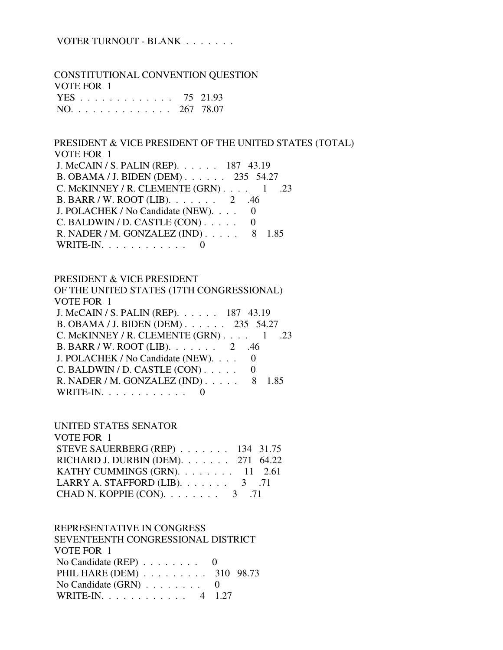## VOTER TURNOUT - BLANK . . . . . . .

 CONSTITUTIONAL CONVENTION QUESTION VOTE FOR 1 YES . . . . . . . . . . . . . 75 21.93 NO. . . . . . . . . . . . . . 267 78.07

 PRESIDENT & VICE PRESIDENT OF THE UNITED STATES (TOTAL) VOTE FOR 1 J. McCAIN / S. PALIN (REP). . . . . . 187 43.19

 B. OBAMA / J. BIDEN (DEM) . . . . . . 235 54.27 C. McKINNEY / R. CLEMENTE  $(GRN)$ . . . . 1 .23 B. BARR / W. ROOT (LIB). . . . . . . 2 .46 J. POLACHEK / No Candidate (NEW). . . . 0  $C.$  BALDWIN / D. CASTLE  $(CON)$ ..... 0 R. NADER / M. GONZALEZ (IND) . . . . . 8 1.85 WRITE-IN.  $\ldots$  . . . . . . . . 0

#### PRESIDENT & VICE PRESIDENT

 OF THE UNITED STATES (17TH CONGRESSIONAL) VOTE FOR 1 J. McCAIN / S. PALIN (REP). . . . . . 187 43.19 B. OBAMA / J. BIDEN (DEM) . . . . . . 235 54.27 C. McKINNEY / R. CLEMENTE (GRN)  $\ldots$  1 .23 B. BARR / W. ROOT (LIB). . . . . . . 2 .46 J. POLACHEK / No Candidate (NEW). . . . 0 C. BALDWIN / D. CASTLE  $(CON)$ ..... 0 R. NADER / M. GONZALEZ (IND) . . . . . 8 1.85 WRITE-IN. . . . . . . . . . . . 0

UNITED STATES SENATOR

| VOTE FOR 1                              |  |
|-----------------------------------------|--|
| STEVE SAUERBERG (REP) 134 31.75         |  |
| RICHARD J. DURBIN (DEM). 271 64.22      |  |
| KATHY CUMMINGS (GRN). $\ldots$ 11 2.61  |  |
| LARRY A. STAFFORD (LIB). $\ldots$ 3 .71 |  |
| CHAD N. KOPPIE (CON). $\ldots$ 3 .71    |  |

### REPRESENTATIVE IN CONGRESS

| SEVENTEENTH CONGRESSIONAL DISTRICT          |  |
|---------------------------------------------|--|
| VOTE FOR 1                                  |  |
| No Candidate (REP) $\ldots \ldots \ldots$ 0 |  |
| PHIL HARE (DEM) 310 98.73                   |  |
| No Candidate $(GRN)$ 0                      |  |
| WRITE-IN. 4 1.27                            |  |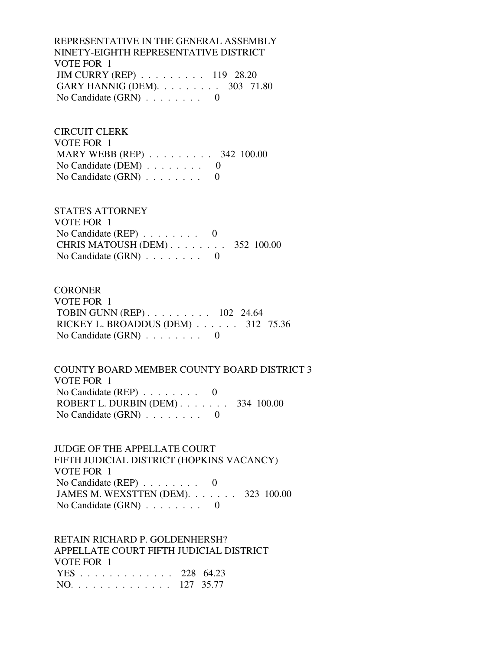REPRESENTATIVE IN THE GENERAL ASSEMBLY NINETY-EIGHTH REPRESENTATIVE DISTRICT VOTE FOR 1 JIM CURRY (REP) . . . . . . . . . 119 28.20 GARY HANNIG (DEM). . . . . . . . . 303 71.80 No Candidate (GRN) . . . . . . . . 0

 CIRCUIT CLERK VOTE FOR 1 MARY WEBB (REP) . . . . . . . . . 342 100.00 No Candidate (DEM)  $\ldots$  . . . . . . 0 No Candidate  $(GRN)$  . . . . . . . . 0

 STATE'S ATTORNEY VOTE FOR 1 No Candidate (REP) . . . . . . . . 0 CHRIS MATOUSH (DEM) . . . . . . . . 352 100.00 No Candidate  $(GRN)$  . . . . . . . . 0

**CORONER**  VOTE FOR 1 TOBIN GUNN (REP) . . . . . . . . . 102 24.64 RICKEY L. BROADDUS (DEM) . . . . . . 312 75.36 No Candidate  $(GRN)$  . . . . . . . . 0

 COUNTY BOARD MEMBER COUNTY BOARD DISTRICT 3 VOTE FOR 1 No Candidate (REP) . . . . . . . . 0 ROBERT L. DURBIN (DEM) . . . . . . . 334 100.00 No Candidate (GRN) . . . . . . . . 0

 JUDGE OF THE APPELLATE COURT FIFTH JUDICIAL DISTRICT (HOPKINS VACANCY) VOTE FOR 1 No Candidate (REP) . . . . . . . . 0 JAMES M. WEXSTTEN (DEM). . . . . . . 323 100.00 No Candidate  $(GRN)$  . . . . . . . . 0

 RETAIN RICHARD P. GOLDENHERSH? APPELLATE COURT FIFTH JUDICIAL DISTRICT VOTE FOR 1 YES . . . . . . . . . . . . . 228 64.23 NO. . . . . . . . . . . . . . 127 35.77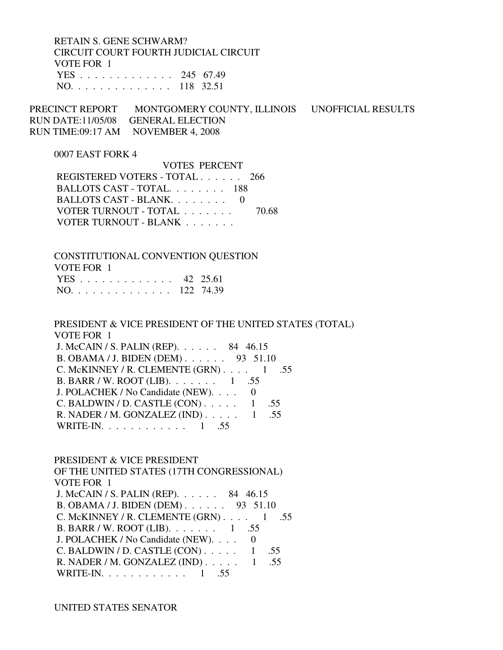RETAIN S. GENE SCHWARM? CIRCUIT COURT FOURTH JUDICIAL CIRCUIT VOTE FOR 1 YES . . . . . . . . . . . . . 245 67.49 NO. . . . . . . . . . . . . . 118 32.51

PRECINCT REPORT MONTGOMERY COUNTY, ILLINOIS UNOFFICIAL RESULTS RUN DATE:11/05/08 GENERAL ELECTION RUN TIME:09:17 AM NOVEMBER 4, 2008

#### 0007 EAST FORK 4

 VOTES PERCENT REGISTERED VOTERS - TOTAL . . . . . . 266 BALLOTS CAST - TOTAL. . . . . . . . 188 BALLOTS CAST - BLANK. . . . . . . . 0 VOTER TURNOUT - TOTAL . . . . . . . 70.68 VOTER TURNOUT - BLANK . . . . . . .

 CONSTITUTIONAL CONVENTION QUESTION VOTE FOR 1 YES . . . . . . . . . . . . . 42 25.61 NO. . . . . . . . . . . . . . 122 74.39

 PRESIDENT & VICE PRESIDENT OF THE UNITED STATES (TOTAL) VOTE FOR 1 J. McCAIN / S. PALIN (REP). . . . . . 84 46.15

| J. MICCALIN / S. I ALIIN (IVET ). 04 40.15            |  |  |
|-------------------------------------------------------|--|--|
| B. OBAMA / J. BIDEN (DEM) 93 51.10                    |  |  |
| C. McKINNEY / R. CLEMENTE $(GRN)$ . 1 .55             |  |  |
| B. BARR / W. ROOT (LIB). $\ldots \ldots \ldots 1$ .55 |  |  |
| J. POLACHEK / No Candidate (NEW). 0                   |  |  |
| C. BALDWIN / D. CASTLE $(CON)$ 1 .55                  |  |  |
| R. NADER / M. GONZALEZ (IND) $\ldots$ 1 .55           |  |  |
| WRITE-IN. 1 .55                                       |  |  |
|                                                       |  |  |

PRESIDENT & VICE PRESIDENT

 OF THE UNITED STATES (17TH CONGRESSIONAL) VOTE FOR 1 J. McCAIN / S. PALIN (REP). . . . . . 84 46.15 B. OBAMA / J. BIDEN (DEM) . . . . . . 93 51.10 C. McKINNEY / R. CLEMENTE  $(GRN)$ . . . . 1 .55 B. BARR / W. ROOT (LIB). . . . . . . 1 .55 J. POLACHEK / No Candidate (NEW). . . . 0 C. BALDWIN / D. CASTLE  $(CON)$ ..... 1 .55 R. NADER / M. GONZALEZ (IND) . . . . . 1 .55 WRITE-IN. . . . . . . . . . . . 1 .55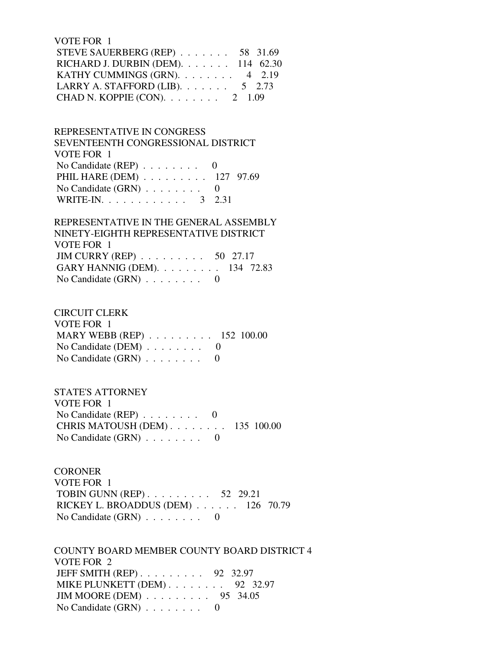VOTE FOR 1 STEVE SAUERBERG (REP) . . . . . . . 58 31.69 RICHARD J. DURBIN (DEM). . . . . . . 114 62.30 KATHY CUMMINGS (GRN). . . . . . . . 4 2.19 LARRY A. STAFFORD (LIB).  $\ldots$  . . . . . . 5 2.73 CHAD N. KOPPIE (CON). . . . . . . . 2 1.09

 REPRESENTATIVE IN CONGRESS SEVENTEENTH CONGRESSIONAL DISTRICT VOTE FOR 1 No Candidate (REP)  $\ldots$  . . . . . . 0 PHIL HARE (DEM) . . . . . . . . . 127 97.69 No Candidate  $(GRN)$  . . . . . . . . 0 WRITE-IN. . . . . . . . . . . . . 3 2.31

## REPRESENTATIVE IN THE GENERAL ASSEMBLY NINETY-EIGHTH REPRESENTATIVE DISTRICT VOTE FOR 1 JIM CURRY (REP) . . . . . . . . . 50 27.17 GARY HANNIG (DEM). . . . . . . . . 134 72.83 No Candidate  $(GRN)$  . . . . . . . . 0

 CIRCUIT CLERK VOTE FOR 1 MARY WEBB (REP) . . . . . . . . . 152 100.00 No Candidate (DEM) . . . . . . . . 0 No Candidate  $(GRN)$  . . . . . . . . 0

 STATE'S ATTORNEY VOTE FOR 1 No Candidate (REP) . . . . . . . . 0 CHRIS MATOUSH (DEM) . . . . . . . . 135 100.00 No Candidate  $(GRN)$  . . . . . . . . 0

**CORONER**  VOTE FOR 1 TOBIN GUNN (REP) . . . . . . . . . 52 29.21 RICKEY L. BROADDUS (DEM) . . . . . . 126 70.79 No Candidate  $(GRN)$  . . . . . . . . 0

 COUNTY BOARD MEMBER COUNTY BOARD DISTRICT 4 VOTE FOR 2 JEFF SMITH (REP) . . . . . . . . . 92 32.97 MIKE PLUNKETT (DEM) . . . . . . . . 92 32.97 JIM MOORE (DEM) . . . . . . . . . 95 34.05 No Candidate (GRN) . . . . . . . . 0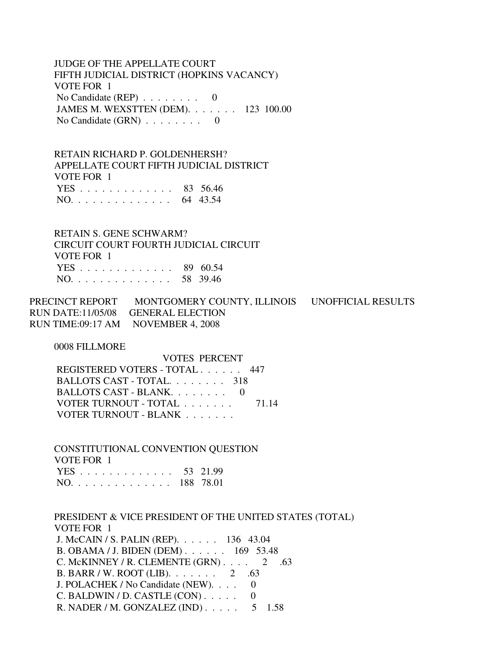JUDGE OF THE APPELLATE COURT FIFTH JUDICIAL DISTRICT (HOPKINS VACANCY) VOTE FOR 1 No Candidate (REP) . . . . . . . . 0 JAMES M. WEXSTTEN (DEM). . . . . . . 123 100.00 No Candidate  $(GRN)$  . . . . . . . . 0

 RETAIN RICHARD P. GOLDENHERSH? APPELLATE COURT FIFTH JUDICIAL DISTRICT VOTE FOR 1 YES . . . . . . . . . . . . . 83 56.46 NO. . . . . . . . . . . . . . 64 43.54

 RETAIN S. GENE SCHWARM? CIRCUIT COURT FOURTH JUDICIAL CIRCUIT VOTE FOR 1 YES . . . . . . . . . . . . . 89 60.54 NO. . . . . . . . . . . . . . 58 39.46

PRECINCT REPORT MONTGOMERY COUNTY, ILLINOIS UNOFFICIAL RESULTS RUN DATE:11/05/08 GENERAL ELECTION RUN TIME:09:17 AM NOVEMBER 4, 2008

0008 FILLMORE

 VOTES PERCENT REGISTERED VOTERS - TOTAL . . . . . . 447 BALLOTS CAST - TOTAL. . . . . . . . 318 BALLOTS CAST - BLANK. . . . . . . . 0 VOTER TURNOUT - TOTAL . . . . . . . 71.14 VOTER TURNOUT - BLANK . . . . . . .

 CONSTITUTIONAL CONVENTION QUESTION VOTE FOR 1 YES . . . . . . . . . . . . . 53 21.99 NO. . . . . . . . . . . . . . 188 78.01

 PRESIDENT & VICE PRESIDENT OF THE UNITED STATES (TOTAL) VOTE FOR 1 J. McCAIN / S. PALIN (REP). . . . . . 136 43.04 B. OBAMA / J. BIDEN (DEM) . . . . . . 169 53.48 C. McKINNEY / R. CLEMENTE  $(GRN)$ . . . . 2 .63 B. BARR / W. ROOT (LIB). . . . . . . 2 .63 J. POLACHEK / No Candidate (NEW). . . . 0 C. BALDWIN / D. CASTLE  $(CON)$ ..... 0 R. NADER / M. GONZALEZ (IND) . . . . . 5 1.58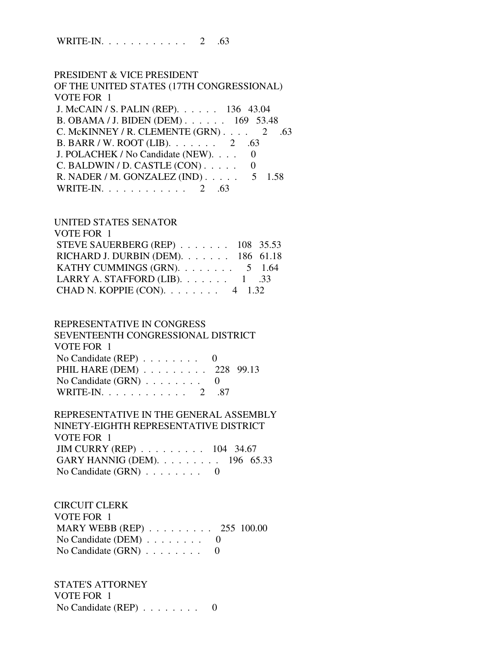WRITE-IN. . . . . . . . . . . . 2 .63

 PRESIDENT & VICE PRESIDENT OF THE UNITED STATES (17TH CONGRESSIONAL) VOTE FOR 1 J. McCAIN / S. PALIN (REP). . . . . . 136 43.04 B. OBAMA / J. BIDEN (DEM) . . . . . . 169 53.48 C. McKINNEY / R. CLEMENTE  $(GRN)$ . . . . 2 .63 B. BARR / W. ROOT (LIB). . . . . . . 2 .63 J. POLACHEK / No Candidate (NEW). . . . 0  $C.$  BALDWIN / D. CASTLE  $(CON)$ .... 0 R. NADER / M. GONZALEZ (IND) . . . . . 5 1.58 WRITE-IN. . . . . . . . . . . . 2 .63

### UNITED STATES SENATOR

| VOTE FOR 1                                  |  |
|---------------------------------------------|--|
| STEVE SAUERBERG (REP) 108 35.53             |  |
| RICHARD J. DURBIN (DEM). $\ldots$ 186 61.18 |  |
| KATHY CUMMINGS (GRN). $\ldots$ 5 1.64       |  |
| LARRY A. STAFFORD (LIB). $\ldots$ 1 .33     |  |
| CHAD N. KOPPIE (CON). $\ldots$ 4 1.32       |  |

#### REPRESENTATIVE IN CONGRESS

 SEVENTEENTH CONGRESSIONAL DISTRICT VOTE FOR 1 No Candidate (REP) . . . . . . . . 0 PHIL HARE (DEM) . . . . . . . . . 228 99.13 No Candidate (GRN) . . . . . . . . 0

WRITE-IN. . . . . . . . . . . . . 2 .87

#### REPRESENTATIVE IN THE GENERAL ASSEMBLY NINETY-EIGHTH REPRESENTATIVE DISTRICT

 VOTE FOR 1 JIM CURRY (REP) . . . . . . . . . 104 34.67 GARY HANNIG (DEM). . . . . . . . . 196 65.33 No Candidate  $(GRN)$  . . . . . . . . 0

### CIRCUIT CLERK

 VOTE FOR 1 MARY WEBB (REP) . . . . . . . . . 255 100.00 No Candidate (DEM)  $\ldots$  . . . . . . 0 No Candidate (GRN) . . . . . . . . 0

 STATE'S ATTORNEY VOTE FOR 1 No Candidate (REP) . . . . . . . . 0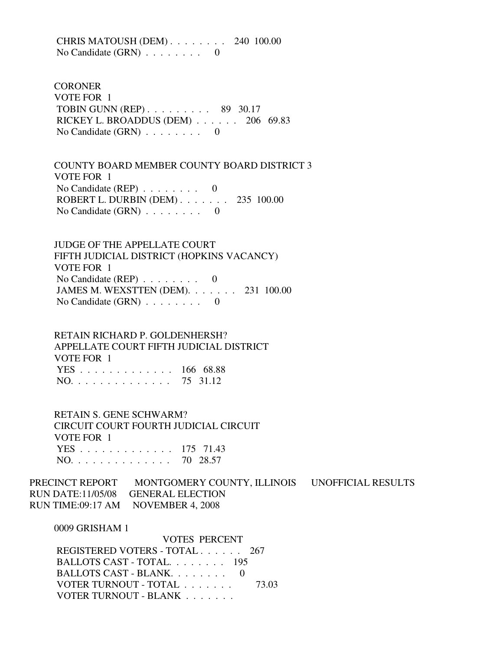CHRIS MATOUSH (DEM) . . . . . . . . 240 100.00 No Candidate (GRN) . . . . . . . . 0

**CORONER**  VOTE FOR 1 TOBIN GUNN (REP) . . . . . . . . . 89 30.17 RICKEY L. BROADDUS (DEM) . . . . . . 206 69.83 No Candidate (GRN) . . . . . . . . 0

 COUNTY BOARD MEMBER COUNTY BOARD DISTRICT 3 VOTE FOR 1 No Candidate (REP)  $\ldots \ldots \ldots$  0 ROBERT L. DURBIN (DEM) . . . . . . . 235 100.00 No Candidate  $(GRN)$  . . . . . . . . 0

 JUDGE OF THE APPELLATE COURT FIFTH JUDICIAL DISTRICT (HOPKINS VACANCY) VOTE FOR 1 No Candidate (REP) . . . . . . . . 0 JAMES M. WEXSTTEN (DEM). . . . . . . 231 100.00 No Candidate  $(GRN)$  . . . . . . . . 0

 RETAIN RICHARD P. GOLDENHERSH? APPELLATE COURT FIFTH JUDICIAL DISTRICT VOTE FOR 1 YES . . . . . . . . . . . . . 166 68.88 NO. . . . . . . . . . . . . . 75 31.12

 RETAIN S. GENE SCHWARM? CIRCUIT COURT FOURTH JUDICIAL CIRCUIT VOTE FOR 1 YES . . . . . . . . . . . . . 175 71.43 NO. . . . . . . . . . . . . . 70 28.57

PRECINCT REPORT MONTGOMERY COUNTY, ILLINOIS UNOFFICIAL RESULTS RUN DATE:11/05/08 GENERAL ELECTION RUN TIME:09:17 AM NOVEMBER 4, 2008

0009 GRISHAM 1

 VOTES PERCENT REGISTERED VOTERS - TOTAL . . . . . . 267 BALLOTS CAST - TOTAL. . . . . . . . 195 BALLOTS CAST - BLANK. . . . . . . . 0 VOTER TURNOUT - TOTAL . . . . . . . 73.03 VOTER TURNOUT - BLANK . . . . . . .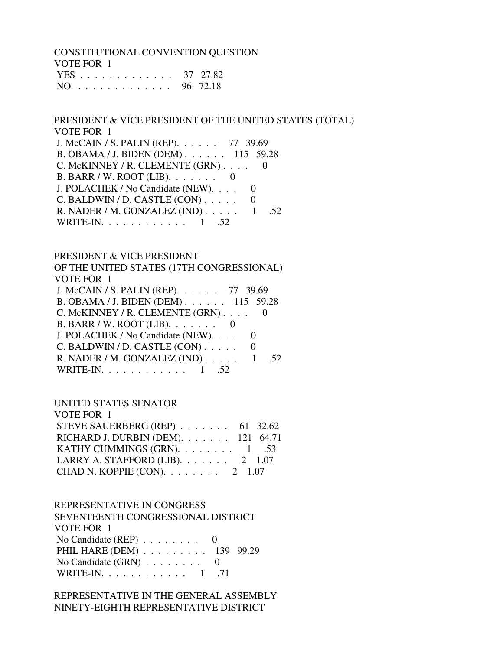CONSTITUTIONAL CONVENTION QUESTION VOTE FOR 1 YES . . . . . . . . . . . . . 37 27.82 NO. . . . . . . . . . . . . . 96 72.18

 PRESIDENT & VICE PRESIDENT OF THE UNITED STATES (TOTAL) VOTE FOR 1 J. McCAIN / S. PALIN (REP). . . . . . 77 39.69 B. OBAMA / J. BIDEN (DEM) . . . . . . 115 59.28 C. McKINNEY / R. CLEMENTE (GRN) . . . . 0  $B. BARR / W. ROOT (LIB). \ldots$ . . . . 0 J. POLACHEK / No Candidate (NEW). . . . 0  $C.$  BALDWIN / D. CASTLE  $(CON)$ ..... 0 R. NADER / M. GONZALEZ (IND) . . . . . 1 .52 WRITE-IN. . . . . . . . . . . . . 1 .52

#### PRESIDENT & VICE PRESIDENT

 OF THE UNITED STATES (17TH CONGRESSIONAL) VOTE FOR 1  $J. M_cCAIN / S. PAI IN (RFP)$  . . . 77 39.69

| <b>J. IVICCALIVE D. LALLIVELLE F.</b> . 11 J7.07 |  |
|--------------------------------------------------|--|
| B. OBAMA / J. BIDEN (DEM) 115 59.28              |  |
| C. McKINNEY / R. CLEMENTE $(GRN)$ 0              |  |
| B. BARR / W. ROOT (LIB). $\ldots \ldots$ 0       |  |
| J. POLACHEK / No Candidate (NEW). 0              |  |
| C. BALDWIN / D. CASTLE $(CON)$ 0                 |  |
| R. NADER / M. GONZALEZ (IND) $\ldots$ 1 .52      |  |
| WRITE-IN. $\ldots$ 1 .52                         |  |
|                                                  |  |

### UNITED STATES SENATOR

| VOTE FOR 1                               |  |
|------------------------------------------|--|
| STEVE SAUERBERG (REP) $\ldots$ 61 32.62  |  |
| RICHARD J. DURBIN (DEM). 121 64.71       |  |
| KATHY CUMMINGS (GRN). $\ldots$ 1 .53     |  |
| LARRY A. STAFFORD (LIB). $\ldots$ 2 1.07 |  |
| CHAD N. KOPPIE (CON). $\ldots$ 2 1.07    |  |

### REPRESENTATIVE IN CONGRESS

 SEVENTEENTH CONGRESSIONAL DISTRICT VOTE FOR 1 No Candidate  $(REP)$  . . . . . . . . 0 PHIL HARE (DEM) . . . . . . . . . 139 99.29 No Candidate (GRN) . . . . . . . . 0 WRITE-IN. . . . . . . . . . . . 1 .71

### REPRESENTATIVE IN THE GENERAL ASSEMBLY NINETY-EIGHTH REPRESENTATIVE DISTRICT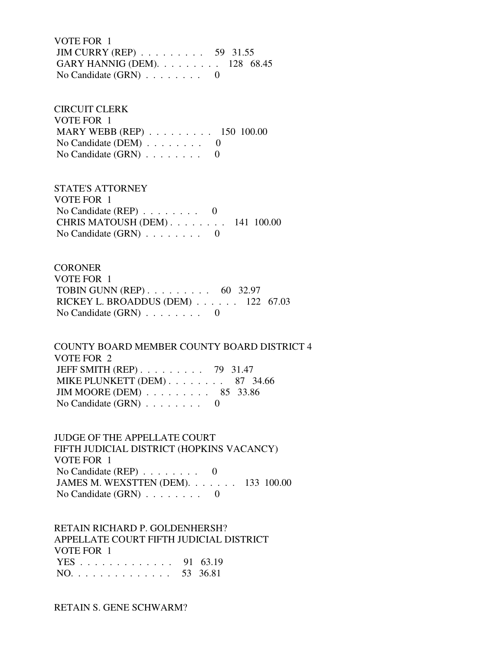VOTE FOR 1 JIM CURRY (REP) . . . . . . . . . 59 31.55 GARY HANNIG (DEM). . . . . . . . . 128 68.45 No Candidate  $(GRN)$  . . . . . . . . 0

 CIRCUIT CLERK VOTE FOR 1 MARY WEBB (REP) . . . . . . . . . 150 100.00 No Candidate (DEM) . . . . . . . . 0 No Candidate  $(GRN)$  . . . . . . . . 0

 STATE'S ATTORNEY VOTE FOR 1 No Candidate (REP) . . . . . . . . 0 CHRIS MATOUSH (DEM) . . . . . . . . 141 100.00 No Candidate  $(GRN)$  . . . . . . . . 0

**CORONER**  VOTE FOR 1 TOBIN GUNN (REP) . . . . . . . . . 60 32.97 RICKEY L. BROADDUS (DEM) . . . . . . 122 67.03 No Candidate (GRN) . . . . . . . . 0

 COUNTY BOARD MEMBER COUNTY BOARD DISTRICT 4 VOTE FOR 2 JEFF SMITH (REP) . . . . . . . . . 79 31.47 MIKE PLUNKETT (DEM) . . . . . . . . 87 34.66 JIM MOORE (DEM) . . . . . . . . . 85 33.86 No Candidate (GRN) . . . . . . . . 0

 JUDGE OF THE APPELLATE COURT FIFTH JUDICIAL DISTRICT (HOPKINS VACANCY) VOTE FOR 1 No Candidate (REP) . . . . . . . . 0 JAMES M. WEXSTTEN (DEM). . . . . . . 133 100.00 No Candidate (GRN) . . . . . . . . 0

 RETAIN RICHARD P. GOLDENHERSH? APPELLATE COURT FIFTH JUDICIAL DISTRICT VOTE FOR 1 YES . . . . . . . . . . . . . 91 63.19 NO. . . . . . . . . . . . . . 53 36.81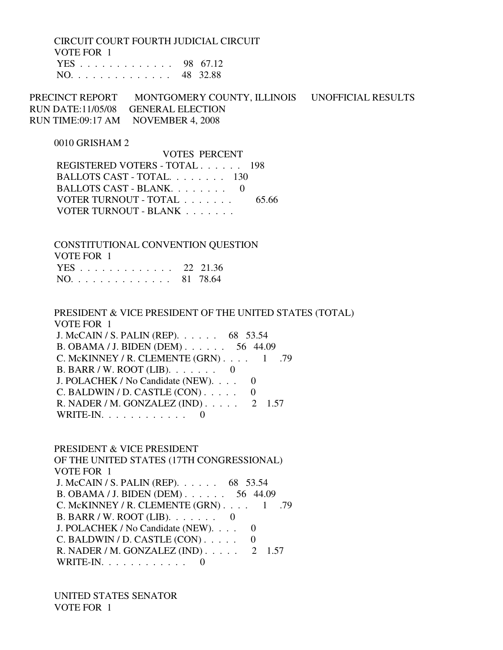CIRCUIT COURT FOURTH JUDICIAL CIRCUIT VOTE FOR 1 YES . . . . . . . . . . . . . 98 67.12 NO. . . . . . . . . . . . . . 48 32.88

PRECINCT REPORT MONTGOMERY COUNTY, ILLINOIS UNOFFICIAL RESULTS RUN DATE:11/05/08 GENERAL ELECTION RUN TIME:09:17 AM NOVEMBER 4, 2008

0010 GRISHAM 2

 VOTES PERCENT REGISTERED VOTERS - TOTAL . . . . . . 198 BALLOTS CAST - TOTAL. . . . . . . . 130 BALLOTS CAST - BLANK. . . . . . . . 0 VOTER TURNOUT - TOTAL . . . . . . . . 65.66 VOTER TURNOUT - BLANK . . . . . . .

 CONSTITUTIONAL CONVENTION QUESTION VOTE FOR 1 YES . . . . . . . . . . . . . 22 21.36 NO. . . . . . . . . . . . . . 81 78.64

 PRESIDENT & VICE PRESIDENT OF THE UNITED STATES (TOTAL) VOTE FOR 1 J. McCAIN / S. PALIN (REP). . . . . . 68 53.54 B. OBAMA / J. BIDEN (DEM) . . . . . . 56 44.09 C. McKINNEY / R. CLEMENTE  $(GRN)$ . . . . 1 .79 B. BARR / W. ROOT (LIB). . . . . . . 0 J. POLACHEK / No Candidate (NEW). . . . 0  $C.$  BALDWIN / D. CASTLE  $(CON)$ ..... 0 R. NADER / M. GONZALEZ (IND) . . . . . 2 1.57 WRITE-IN.  $\ldots$  . . . . . . . . . 0

 PRESIDENT & VICE PRESIDENT OF THE UNITED STATES (17TH CONGRESSIONAL) VOTE FOR 1 J. McCAIN / S. PALIN (REP). . . . . . 68 53.54 B. OBAMA / J. BIDEN (DEM) . . . . . . 56 44.09 C. McKINNEY / R. CLEMENTE  $(GRN)$ . . . . 1 .79 B. BARR / W. ROOT (LIB). . . . . . . 0 J. POLACHEK / No Candidate (NEW). . . . 0 C. BALDWIN / D. CASTLE  $(CON)$ ..... 0 R. NADER / M. GONZALEZ (IND) . . . . . 2 1.57 WRITE-IN.  $\ldots$  . . . . . . . . . 0

 UNITED STATES SENATOR VOTE FOR 1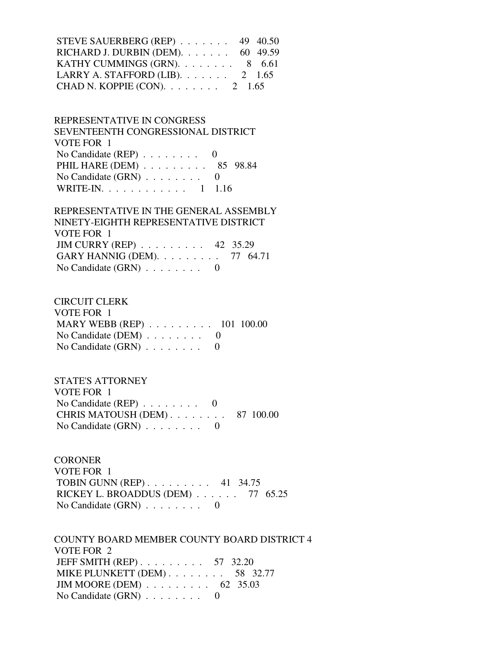| STEVE SAUERBERG (REP) $\ldots$ 49 40.50    |  |
|--------------------------------------------|--|
| RICHARD J. DURBIN (DEM). $\ldots$ 60 49.59 |  |
| KATHY CUMMINGS (GRN). $\ldots$ 8 6.61      |  |
| LARRY A. STAFFORD (LIB). $\ldots$ 2 1.65   |  |
| CHAD N. KOPPIE (CON). $\ldots$ 2 1.65      |  |

 REPRESENTATIVE IN CONGRESS SEVENTEENTH CONGRESSIONAL DISTRICT VOTE FOR 1 No Candidate (REP) . . . . . . . . 0 PHIL HARE (DEM) . . . . . . . . . 85 98.84 No Candidate (GRN) . . . . . . . . 0 WRITE-IN. . . . . . . . . . . . 1 1.16

# REPRESENTATIVE IN THE GENERAL ASSEMBLY NINETY-EIGHTH REPRESENTATIVE DISTRICT VOTE FOR 1 JIM CURRY (REP) . . . . . . . . . 42 35.29 GARY HANNIG (DEM). . . . . . . . . 77 64.71 No Candidate  $(GRN)$  . . . . . . . . 0

#### CIRCUIT CLERK

| VOTE FOR 1                                        |  |
|---------------------------------------------------|--|
| MARY WEBB (REP) $\ldots \ldots \ldots 101$ 100.00 |  |
| No Candidate (DEM) $\ldots \ldots \ldots$ 0       |  |
| No Candidate $(GRN)$                              |  |

## STATE'S ATTORNEY VOTE FOR 1 No Candidate (REP) . . . . . . . . 0 CHRIS MATOUSH (DEM) . . . . . . . . 87 100.00 No Candidate (GRN) . . . . . . . . 0

**CORONER**  VOTE FOR 1 TOBIN GUNN (REP) . . . . . . . . . 41 34.75 RICKEY L. BROADDUS (DEM) . . . . . . 77 65.25 No Candidate (GRN) . . . . . . . . 0

 COUNTY BOARD MEMBER COUNTY BOARD DISTRICT 4 VOTE FOR 2 JEFF SMITH (REP) . . . . . . . . . 57 32.20 MIKE PLUNKETT (DEM) . . . . . . . . 58 32.77 JIM MOORE (DEM) . . . . . . . . . 62 35.03 No Candidate (GRN) . . . . . . . . 0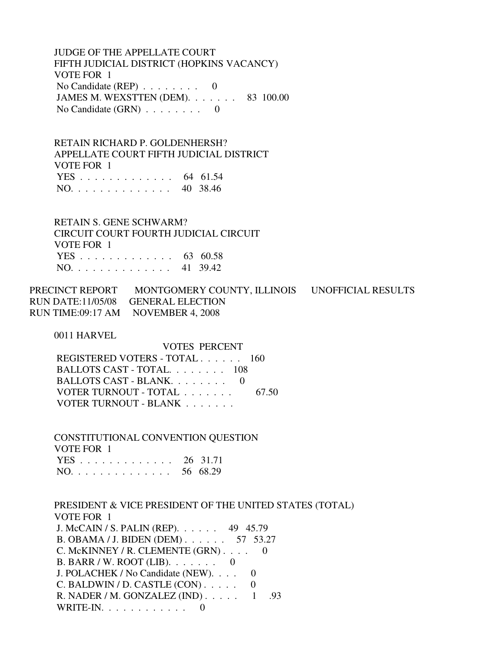JUDGE OF THE APPELLATE COURT FIFTH JUDICIAL DISTRICT (HOPKINS VACANCY) VOTE FOR 1 No Candidate (REP) . . . . . . . . 0 JAMES M. WEXSTTEN (DEM). . . . . . . 83 100.00 No Candidate  $(GRN)$  . . . . . . . . 0

 RETAIN RICHARD P. GOLDENHERSH? APPELLATE COURT FIFTH JUDICIAL DISTRICT VOTE FOR 1 YES . . . . . . . . . . . . . 64 61.54 NO. . . . . . . . . . . . . . 40 38.46

 RETAIN S. GENE SCHWARM? CIRCUIT COURT FOURTH JUDICIAL CIRCUIT VOTE FOR 1 YES . . . . . . . . . . . . . 63 60.58 NO. . . . . . . . . . . . . . 41 39.42

PRECINCT REPORT MONTGOMERY COUNTY, ILLINOIS UNOFFICIAL RESULTS RUN DATE:11/05/08 GENERAL ELECTION RUN TIME:09:17 AM NOVEMBER 4, 2008

0011 HARVEL

 VOTES PERCENT REGISTERED VOTERS - TOTAL . . . . . . 160 BALLOTS CAST - TOTAL. . . . . . . . 108 BALLOTS CAST - BLANK. . . . . . . . 0 VOTER TURNOUT - TOTAL . . . . . . . . . 67.50 VOTER TURNOUT - BLANK . . . . . . .

 CONSTITUTIONAL CONVENTION QUESTION VOTE FOR 1 YES . . . . . . . . . . . . . 26 31.71 NO. . . . . . . . . . . . . . 56 68.29

 PRESIDENT & VICE PRESIDENT OF THE UNITED STATES (TOTAL) VOTE FOR 1 J. McCAIN / S. PALIN (REP). . . . . . 49 45.79 B. OBAMA / J. BIDEN (DEM) . . . . . . 57 53.27 C. McKINNEY / R. CLEMENTE (GRN) . . . . 0 B. BARR / W. ROOT (LIB). . . . . . . 0 J. POLACHEK / No Candidate (NEW). . . . 0  $C.$  BALDWIN / D. CASTLE  $(CON)$ ..... 0 R. NADER / M. GONZALEZ (IND) . . . . . 1 .93 WRITE-IN. . . . . . . . . . . . 0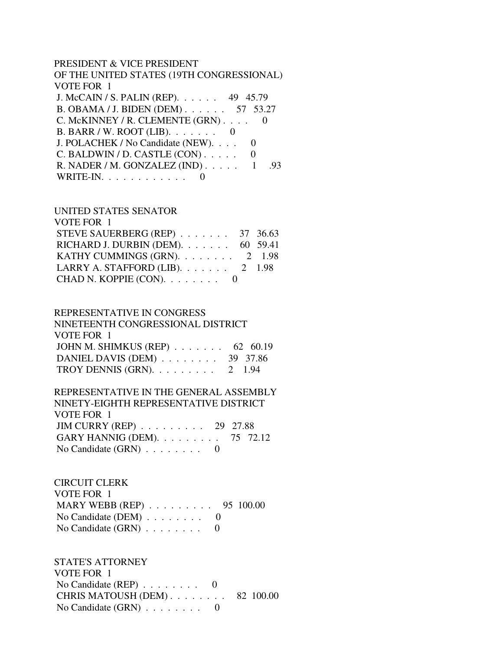### PRESIDENT & VICE PRESIDENT

| OF THE UNITED STATES (19TH CONGRESSIONAL)      |
|------------------------------------------------|
| VOTE FOR 1                                     |
| J. McCAIN / S. PALIN (REP). 49 45.79           |
| B. OBAMA / J. BIDEN (DEM) 57 53.27             |
| C. McKINNEY / R. CLEMENTE (GRN)                |
| B. BARR / W. ROOT (LIB). $\ldots$ 0            |
| J. POLACHEK / No Candidate (NEW).              |
| $C.$ BALDWIN / D. CASTLE $(CON)$               |
| R. NADER / M. GONZALEZ (IND) $\ldots$ 1<br>.93 |
| WRITE-IN.                                      |

#### UNITED STATES SENATOR

| VOTE FOR 1                                 |  |
|--------------------------------------------|--|
| STEVE SAUERBERG (REP) $\ldots$ 37 36.63    |  |
| RICHARD J. DURBIN (DEM). $\ldots$ 60 59.41 |  |
| KATHY CUMMINGS (GRN). 2 1.98               |  |
| LARRY A. STAFFORD (LIB). $\ldots$ 2 1.98   |  |
| CHAD N. KOPPIE (CON). 0                    |  |

#### REPRESENTATIVE IN CONGRESS

| NINETEENTH CONGRESSIONAL DISTRICT                     |  |
|-------------------------------------------------------|--|
| VOTE FOR 1                                            |  |
| JOHN M. SHIMKUS (REP) $\ldots \ldots \ldots$ 62 60.19 |  |
| DANIEL DAVIS (DEM) $\ldots \ldots \ldots$ 39 37.86    |  |
| TROY DENNIS (GRN). $\ldots \ldots \ldots 2$ 1.94      |  |

#### REPRESENTATIVE IN THE GENERAL ASSEMBLY NINETY-EIGHTH REPRESENTATIVE DISTRICT VOTE FOR 1 JIM CURRY (REP) . . . . . . . . . 29 27.88

| JIM CURRY (REP) $\ldots$ $\ldots$ $\ldots$ 29 27.88 |  |  |
|-----------------------------------------------------|--|--|
| GARY HANNIG (DEM). $\ldots$ 75 72.12                |  |  |
| No Candidate $(GRN)$ 0                              |  |  |

## CIRCUIT CLERK VOTE FOR 1 MARY WEBB (REP) . . . . . . . . . 95 100.00 No Candidate (DEM) . . . . . . . . 0 No Candidate (GRN)  $\ldots$  . . . . . . 0

 STATE'S ATTORNEY VOTE FOR 1 No Candidate (REP) . . . . . . . . 0 CHRIS MATOUSH (DEM) . . . . . . . . 82 100.00 No Candidate (GRN)  $\ldots \ldots \ldots$  0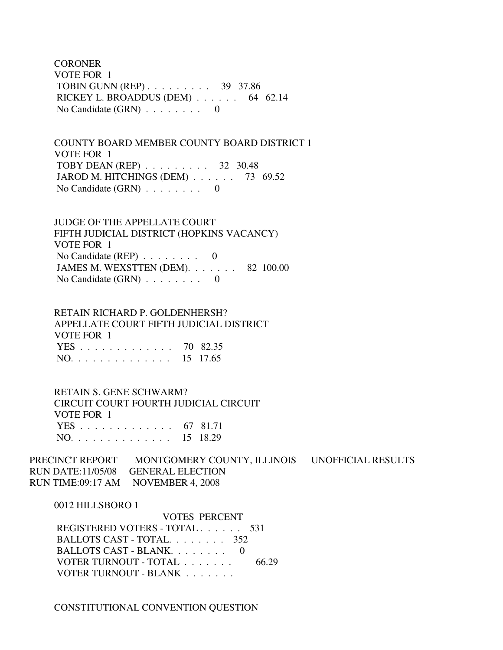**CORONER**  VOTE FOR 1 TOBIN GUNN (REP) . . . . . . . . . 39 37.86 RICKEY L. BROADDUS (DEM) . . . . . . 64 62.14 No Candidate  $(GRN)$  . . . . . . . . 0

 COUNTY BOARD MEMBER COUNTY BOARD DISTRICT 1 VOTE FOR 1 TOBY DEAN (REP) . . . . . . . . . 32 30.48 JAROD M. HITCHINGS (DEM) . . . . . . 73 69.52 No Candidate  $(GRN)$  . . . . . . . . 0

 JUDGE OF THE APPELLATE COURT FIFTH JUDICIAL DISTRICT (HOPKINS VACANCY) VOTE FOR 1 No Candidate (REP)  $\ldots$  . . . . . . 0 JAMES M. WEXSTTEN (DEM). . . . . . . 82 100.00 No Candidate  $(GRN)$  . . . . . . . . 0

 RETAIN RICHARD P. GOLDENHERSH? APPELLATE COURT FIFTH JUDICIAL DISTRICT VOTE FOR 1 YES . . . . . . . . . . . . . 70 82.35 NO. . . . . . . . . . . . . . 15 17.65

 RETAIN S. GENE SCHWARM? CIRCUIT COURT FOURTH JUDICIAL CIRCUIT VOTE FOR 1 YES . . . . . . . . . . . . . 67 81.71 NO. . . . . . . . . . . . . . 15 18.29

PRECINCT REPORT MONTGOMERY COUNTY, ILLINOIS UNOFFICIAL RESULTS RUN DATE:11/05/08 GENERAL ELECTION RUN TIME:09:17 AM NOVEMBER 4, 2008

0012 HILLSBORO 1

 VOTES PERCENT REGISTERED VOTERS - TOTAL . . . . . . 531 BALLOTS CAST - TOTAL. . . . . . . . 352 BALLOTS CAST - BLANK. . . . . . . . 0 VOTER TURNOUT - TOTAL . . . . . . . 66.29 VOTER TURNOUT - BLANK . . . . . . .

CONSTITUTIONAL CONVENTION QUESTION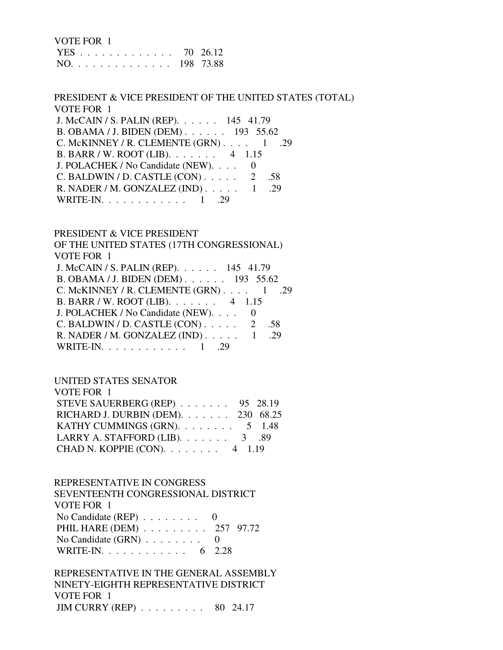| VOTE FOR 1    |  |
|---------------|--|
| YES 70 26.12  |  |
| NO. 198 73.88 |  |

 PRESIDENT & VICE PRESIDENT OF THE UNITED STATES (TOTAL) VOTE FOR 1 J. McCAIN / S. PALIN (REP). . . . . . 145 41.79 B. OBAMA / J. BIDEN (DEM) . . . . . . 193 55.62 C. McKINNEY / R. CLEMENTE  $(GRN)$ . . . . 1 .29 B. BARR / W. ROOT (LIB). . . . . . . 4 1.15 J. POLACHEK / No Candidate (NEW). . . . 0 C. BALDWIN / D. CASTLE  $(CON)$ ..... 2 .58 R. NADER / M. GONZALEZ (IND) . . . . . 1 .29 WRITE-IN. . . . . . . . . . . . . 1 .29

PRESIDENT & VICE PRESIDENT

 OF THE UNITED STATES (17TH CONGRESSIONAL) VOTE FOR 1 J. McCAIN / S. PALIN (REP). . . . . . 145 41.79 B. OBAMA / J. BIDEN (DEM) . . . . . . 193 55.62 C. McKINNEY / R. CLEMENTE (GRN)  $\ldots$  1 .29 B. BARR / W. ROOT (LIB). . . . . . . 4 1.15 J. POLACHEK / No Candidate (NEW). . . . 0 C. BALDWIN / D. CASTLE  $(CON)$ ..... 2 .58 R. NADER / M. GONZALEZ (IND) . . . . . 1 .29 WRITE-IN. . . . . . . . . . . . 1 .29

### UNITED STATES SENATOR

| STEVE SAUERBERG (REP) 95 28.19                                                   |
|----------------------------------------------------------------------------------|
| RICHARD J. DURBIN (DEM). 230 68.25                                               |
| KATHY CUMMINGS (GRN). $\ldots$ 5 1.48                                            |
|                                                                                  |
|                                                                                  |
| LARRY A. STAFFORD (LIB). $\ldots$ 3 .89<br>CHAD N. KOPPIE (CON). $\ldots$ 4 1.19 |

### REPRESENTATIVE IN CONGRESS

| SEVENTEENTH CONGRESSIONAL DISTRICT               |  |
|--------------------------------------------------|--|
| VOTE FOR 1                                       |  |
| No Candidate (REP) $\ldots \ldots \ldots \ldots$ |  |
| PHIL HARE (DEM) 257 97.72                        |  |
| No Candidate $(GRN)$ 0                           |  |
| WRITE-IN. 6 2.28                                 |  |

 REPRESENTATIVE IN THE GENERAL ASSEMBLY NINETY-EIGHTH REPRESENTATIVE DISTRICT VOTE FOR 1 JIM CURRY (REP) . . . . . . . . . 80 24.17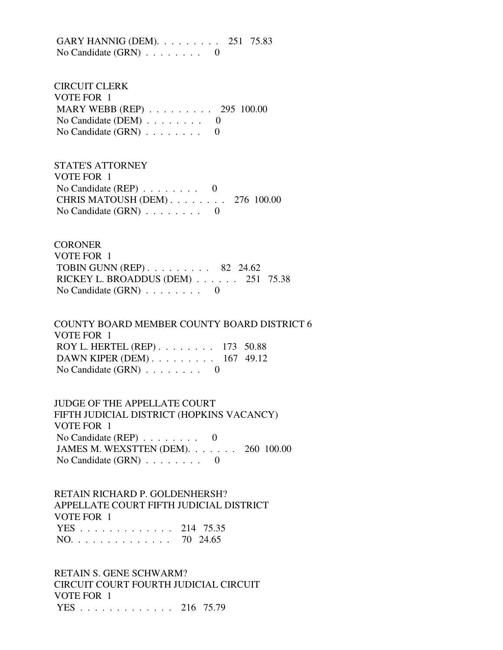GARY HANNIG (DEM). . . . . . . . . 251 75.83 No Candidate (GRN) . . . . . . . . 0

 CIRCUIT CLERK VOTE FOR 1 MARY WEBB (REP) . . . . . . . . . 295 100.00 No Candidate (DEM)  $\ldots$  . . . . . . 0 No Candidate (GRN) . . . . . . . . 0

 STATE'S ATTORNEY VOTE FOR 1 No Candidate (REP) . . . . . . . . 0 CHRIS MATOUSH (DEM) . . . . . . . . 276 100.00 No Candidate  $(GRN)$  . . . . . . . . 0

**CORONER**  VOTE FOR 1 TOBIN GUNN (REP) . . . . . . . . . 82 24.62 RICKEY L. BROADDUS (DEM) . . . . . . 251 75.38 No Candidate (GRN) . . . . . . . . 0

 COUNTY BOARD MEMBER COUNTY BOARD DISTRICT 6 VOTE FOR 1 ROY L. HERTEL (REP) . . . . . . . . 173 50.88 DAWN KIPER (DEM) . . . . . . . . . 167 49.12 No Candidate  $(GRN)$  . . . . . . . . 0

 JUDGE OF THE APPELLATE COURT FIFTH JUDICIAL DISTRICT (HOPKINS VACANCY) VOTE FOR 1 No Candidate (REP) . . . . . . . . 0 JAMES M. WEXSTTEN (DEM). . . . . . . 260 100.00 No Candidate (GRN) . . . . . . . . 0

 RETAIN RICHARD P. GOLDENHERSH? APPELLATE COURT FIFTH JUDICIAL DISTRICT VOTE FOR 1 YES . . . . . . . . . . . . . 214 75.35 NO. . . . . . . . . . . . . . 70 24.65

 RETAIN S. GENE SCHWARM? CIRCUIT COURT FOURTH JUDICIAL CIRCUIT VOTE FOR 1 YES . . . . . . . . . . . . . 216 75.79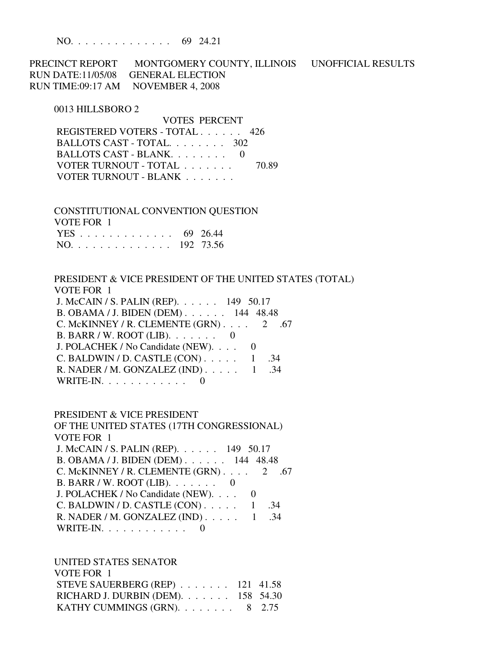NO. . . . . . . . . . . . . . 69 24.21

PRECINCT REPORT MONTGOMERY COUNTY, ILLINOIS UNOFFICIAL RESULTS RUN DATE:11/05/08 GENERAL ELECTION RUN TIME:09:17 AM NOVEMBER 4, 2008

#### 0013 HILLSBORO 2

 VOTES PERCENT REGISTERED VOTERS - TOTAL . . . . . . 426 BALLOTS CAST - TOTAL. . . . . . . . 302 BALLOTS CAST - BLANK. . . . . . . . 0 VOTER TURNOUT - TOTAL . . . . . . . 70.89 VOTER TURNOUT - BLANK . . . . . . .

 CONSTITUTIONAL CONVENTION QUESTION VOTE FOR 1 YES . . . . . . . . . . . . . 69 26.44 NO. . . . . . . . . . . . . . 192 73.56

 PRESIDENT & VICE PRESIDENT OF THE UNITED STATES (TOTAL) VOTE FOR 1 J. McCAIN / S. PALIN (REP). . . . . . 149 50.17 B. OBAMA / J. BIDEN (DEM) . . . . . . 144 48.48 C. McKINNEY / R. CLEMENTE  $(GRN)$ . . . . 2 .67 B. BARR / W. ROOT (LIB). . . . . . . 0 J. POLACHEK / No Candidate (NEW). . . . 0 C. BALDWIN / D. CASTLE  $(CON)$ . . . . . 1 .34 R. NADER / M. GONZALEZ (IND) . . . . . 1 .34 WRITE-IN.  $\ldots$  . . . . . . . . 0

#### PRESIDENT & VICE PRESIDENT

 OF THE UNITED STATES (17TH CONGRESSIONAL) VOTE FOR 1 J. McCAIN / S. PALIN (REP). . . . . . 149 50.17 B. OBAMA / J. BIDEN (DEM) . . . . . . 144 48.48 C. McKINNEY / R. CLEMENTE  $(GRN)$ . . . . 2 .67 B. BARR / W. ROOT (LIB). . . . . . . 0 J. POLACHEK / No Candidate (NEW). . . . 0 C. BALDWIN / D. CASTLE  $(CON)$ . . . . . 1 .34 R. NADER / M. GONZALEZ (IND) . . . . . 1 .34 WRITE-IN. . . . . . . . . . . . 0

 UNITED STATES SENATOR VOTE FOR 1 STEVE SAUERBERG (REP) . . . . . . . 121 41.58 RICHARD J. DURBIN (DEM). . . . . . . 158 54.30 KATHY CUMMINGS (GRN).  $\ldots$  . . . . . 8 2.75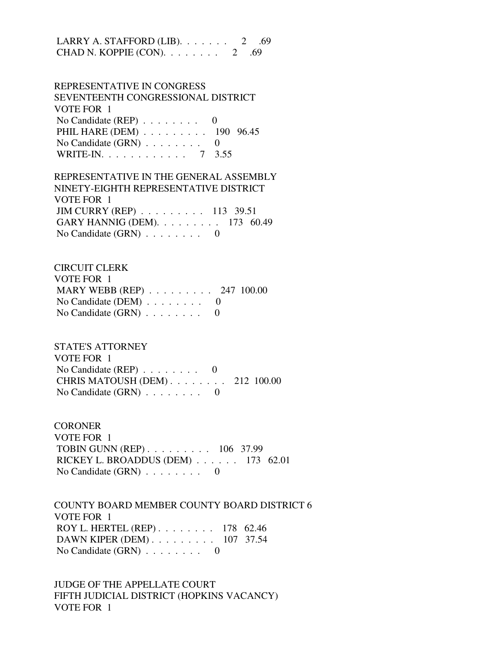LARRY A. STAFFORD (LIB).  $\ldots$  . . . . . 2 .69 CHAD N. KOPPIE  $(CON)$ . . . . . . . . 2 .69

 REPRESENTATIVE IN CONGRESS SEVENTEENTH CONGRESSIONAL DISTRICT VOTE FOR 1 No Candidate (REP) . . . . . . . . 0 PHIL HARE (DEM) . . . . . . . . . 190 96.45 No Candidate  $(GRN)$  . . . . . . . . 0 WRITE-IN. . . . . . . . . . . . 7 3.55

 REPRESENTATIVE IN THE GENERAL ASSEMBLY NINETY-EIGHTH REPRESENTATIVE DISTRICT VOTE FOR 1 JIM CURRY (REP) . . . . . . . . . 113 39.51 GARY HANNIG (DEM). . . . . . . . . 173 60.49 No Candidate (GRN) . . . . . . . . 0

 CIRCUIT CLERK VOTE FOR 1 MARY WEBB (REP) . . . . . . . . . 247 100.00 No Candidate (DEM)  $\ldots$  . . . . . . 0 No Candidate  $(GRN)$  . . . . . . . . 0

 STATE'S ATTORNEY VOTE FOR 1 No Candidate (REP)  $\ldots$  . . . . . . 0 CHRIS MATOUSH (DEM) . . . . . . . . 212 100.00 No Candidate (GRN) . . . . . . . . 0

**CORONER**  VOTE FOR 1 TOBIN GUNN (REP) . . . . . . . . . 106 37.99 RICKEY L. BROADDUS (DEM) . . . . . . 173 62.01 No Candidate (GRN) . . . . . . . . 0

 COUNTY BOARD MEMBER COUNTY BOARD DISTRICT 6 VOTE FOR 1 ROY L. HERTEL (REP) . . . . . . . . 178 62.46 DAWN KIPER (DEM) . . . . . . . . . 107 37.54 No Candidate  $(GRN)$  . . . . . . . . 0

 JUDGE OF THE APPELLATE COURT FIFTH JUDICIAL DISTRICT (HOPKINS VACANCY) VOTE FOR 1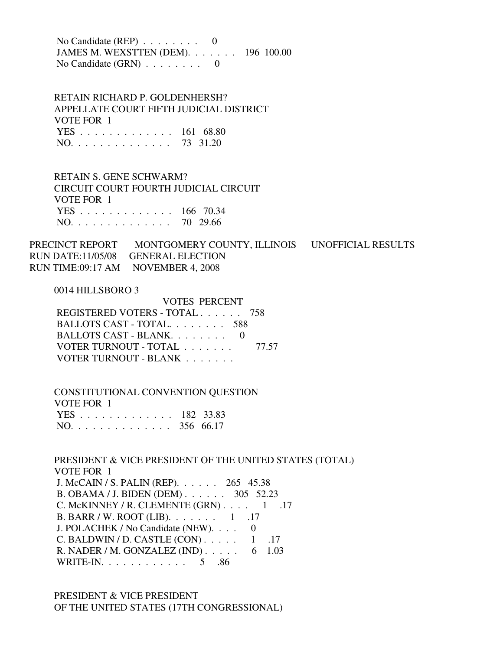No Candidate (REP) . . . . . . . . 0 JAMES M. WEXSTTEN (DEM). . . . . . . 196 100.00 No Candidate (GRN) . . . . . . . . 0

 RETAIN RICHARD P. GOLDENHERSH? APPELLATE COURT FIFTH JUDICIAL DISTRICT VOTE FOR 1 YES . . . . . . . . . . . . . 161 68.80 NO. . . . . . . . . . . . . . 73 31.20

 RETAIN S. GENE SCHWARM? CIRCUIT COURT FOURTH JUDICIAL CIRCUIT VOTE FOR 1 YES . . . . . . . . . . . . . 166 70.34 NO. . . . . . . . . . . . . . 70 29.66

PRECINCT REPORT MONTGOMERY COUNTY, ILLINOIS UNOFFICIAL RESULTS RUN DATE:11/05/08 GENERAL ELECTION RUN TIME:09:17 AM NOVEMBER 4, 2008

0014 HILLSBORO 3

 VOTES PERCENT REGISTERED VOTERS - TOTAL . . . . . . 758 BALLOTS CAST - TOTAL. . . . . . . . 588 BALLOTS CAST - BLANK. . . . . . . . 0 VOTER TURNOUT - TOTAL . . . . . . . 77.57 VOTER TURNOUT - BLANK . . . . . . .

 CONSTITUTIONAL CONVENTION QUESTION VOTE FOR 1 YES . . . . . . . . . . . . . 182 33.83 NO. . . . . . . . . . . . . . 356 66.17

 PRESIDENT & VICE PRESIDENT OF THE UNITED STATES (TOTAL) VOTE FOR 1 J. McCAIN / S. PALIN (REP). . . . . . 265 45.38 B. OBAMA / J. BIDEN (DEM) . . . . . . 305 52.23 C. McKINNEY / R. CLEMENTE  $(GRN)$ . . . . 1 .17 B. BARR / W. ROOT (LIB). . . . . . . 1 .17 J. POLACHEK / No Candidate (NEW). . . . 0 C. BALDWIN / D. CASTLE  $(CON)$ . . . . . 1 .17 R. NADER / M. GONZALEZ (IND) . . . . . 6 1.03 WRITE-IN. . . . . . . . . . . . . 5 .86

 PRESIDENT & VICE PRESIDENT OF THE UNITED STATES (17TH CONGRESSIONAL)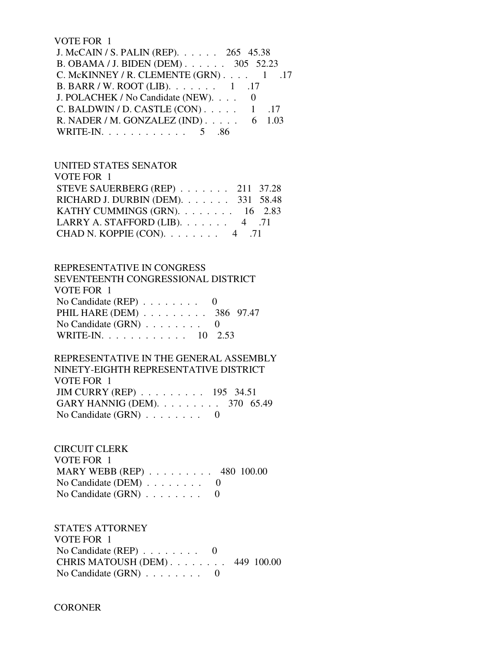### VOTE FOR 1

| J. McCAIN / S. PALIN (REP). 265 45.38          |  |
|------------------------------------------------|--|
| B. OBAMA / J. BIDEN (DEM) 305 52.23            |  |
| C. McKINNEY / R. CLEMENTE $(GRN)$ . 1 .17      |  |
| B. BARR / W. ROOT (LIB). 1 .17                 |  |
| J. POLACHEK / No Candidate (NEW). 0            |  |
| C. BALDWIN / D. CASTLE $(CON)$ 1 .17           |  |
| R. NADER / M. GONZALEZ (IND) $\ldots$ . 6 1.03 |  |
| WRITE-IN. 5 .86                                |  |
|                                                |  |

#### UNITED STATES SENATOR

|                                         | STEVE SAUERBERG (REP) 211 37.28        |
|-----------------------------------------|----------------------------------------|
|                                         | RICHARD J. DURBIN (DEM). 331 58.48     |
|                                         | KATHY CUMMINGS (GRN). $\ldots$ 16 2.83 |
| LARRY A. STAFFORD (LIB). $\ldots$ 4 .71 |                                        |
| CHAD N. KOPPIE (CON). $\ldots$ 4 .71    |                                        |
|                                         |                                        |

## REPRESENTATIVE IN CONGRESS

| SEVENTEENTH CONGRESSIONAL DISTRICT          |  |
|---------------------------------------------|--|
| VOTE FOR 1                                  |  |
| No Candidate (REP) $\ldots \ldots \ldots$ 0 |  |
| PHIL HARE (DEM) 386 97.47                   |  |
| No Candidate $(GRN)$ 0                      |  |
| WRITE-IN. 10 2.53                           |  |

## REPRESENTATIVE IN THE GENERAL ASSEMBLY NINETY-EIGHTH REPRESENTATIVE DISTRICT VOTE FOR 1 JIM CURRY (REP) . . . . . . . . . 195 34.51 GARY HANNIG (DEM). . . . . . . . . 370 65.49 No Candidate (GRN) . . . . . . . . 0

## CIRCUIT CLERK VOTE FOR 1 MARY WEBB (REP) . . . . . . . . . 480 100.00 No Candidate (DEM)  $\ldots \ldots \ldots$  0 No Candidate  $(GRN)$  . . . . . . . . 0

 STATE'S ATTORNEY VOTE FOR 1 No Candidate (REP) . . . . . . . . 0 CHRIS MATOUSH (DEM) . . . . . . . . 449 100.00 No Candidate (GRN) . . . . . . . . 0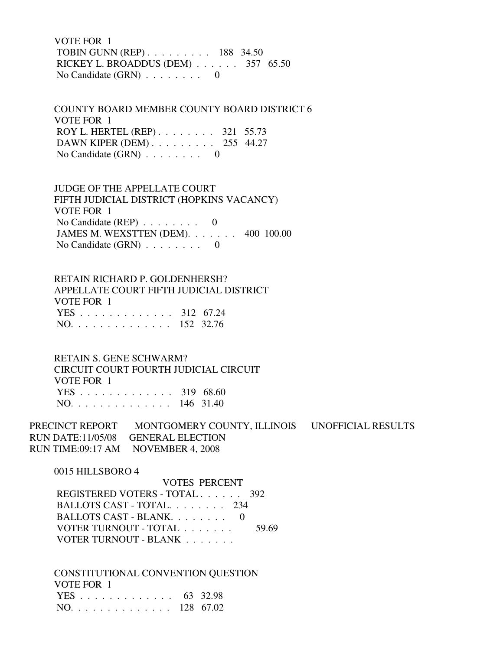VOTE FOR 1 TOBIN GUNN (REP) . . . . . . . . . 188 34.50 RICKEY L. BROADDUS (DEM) . . . . . . 357 65.50 No Candidate  $(GRN)$  . . . . . . . . 0

 COUNTY BOARD MEMBER COUNTY BOARD DISTRICT 6 VOTE FOR 1 ROY L. HERTEL (REP) . . . . . . . . 321 55.73 DAWN KIPER (DEM) . . . . . . . . . 255 44.27 No Candidate  $(GRN)$  . . . . . . . . 0

 JUDGE OF THE APPELLATE COURT FIFTH JUDICIAL DISTRICT (HOPKINS VACANCY) VOTE FOR 1 No Candidate (REP) . . . . . . . . 0 JAMES M. WEXSTTEN (DEM). . . . . . . 400 100.00 No Candidate  $(GRN)$  . . . . . . . . 0

 RETAIN RICHARD P. GOLDENHERSH? APPELLATE COURT FIFTH JUDICIAL DISTRICT VOTE FOR 1 YES . . . . . . . . . . . . . 312 67.24 NO. . . . . . . . . . . . . . 152 32.76

 RETAIN S. GENE SCHWARM? CIRCUIT COURT FOURTH JUDICIAL CIRCUIT VOTE FOR 1 YES . . . . . . . . . . . . . 319 68.60 NO. . . . . . . . . . . . . . 146 31.40

PRECINCT REPORT MONTGOMERY COUNTY, ILLINOIS UNOFFICIAL RESULTS RUN DATE:11/05/08 GENERAL ELECTION RUN TIME:09:17 AM NOVEMBER 4, 2008

0015 HILLSBORO 4

 VOTES PERCENT REGISTERED VOTERS - TOTAL . . . . . . 392 BALLOTS CAST - TOTAL. . . . . . . . 234 BALLOTS CAST - BLANK. . . . . . . . 0 VOTER TURNOUT - TOTAL . . . . . . . 59.69 VOTER TURNOUT - BLANK . . . . . . .

 CONSTITUTIONAL CONVENTION QUESTION VOTE FOR 1 YES . . . . . . . . . . . . . 63 32.98 NO. . . . . . . . . . . . . . 128 67.02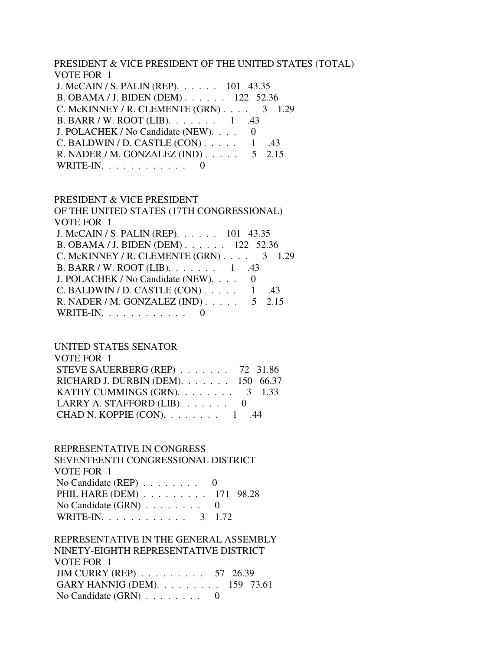PRESIDENT & VICE PRESIDENT OF THE UNITED STATES (TOTAL) VOTE FOR 1 J. McCAIN / S. PALIN (REP). . . . . . 101 43.35 B. OBAMA / J. BIDEN (DEM) . . . . . . 122 52.36 C. McKINNEY / R. CLEMENTE  $(GRN)$ . . . . 3 1.29 B. BARR / W. ROOT (LIB). . . . . . . 1 .43 J. POLACHEK / No Candidate (NEW). . . . 0 C. BALDWIN / D. CASTLE  $(CON)$ ..... 1 .43 R. NADER / M. GONZALEZ (IND) . . . . . 5 2.15 WRITE-IN.  $\ldots$  . . . . . . . . . 0

#### PRESIDENT & VICE PRESIDENT

 OF THE UNITED STATES (17TH CONGRESSIONAL) VOTE FOR 1 J. McCAIN / S. PALIN (REP). . . . . . 101 43.35 B. OBAMA / J. BIDEN (DEM) . . . . . . 122 52.36 C. McKINNEY / R. CLEMENTE  $(GRN)$ . . . . 3 1.29 B. BARR / W. ROOT (LIB). . . . . . . 1 .43 J. POLACHEK / No Candidate (NEW). . . . 0 C. BALDWIN / D. CASTLE  $(CON)$ . . . . . 1 .43 R. NADER / M. GONZALEZ (IND) . . . . . 5 2.15 WRITE-IN.  $\ldots$  . . . . . . . . 0

### UNITED STATES SENATOR

| VOTE FOR 1                                  |  |
|---------------------------------------------|--|
| STEVE SAUERBERG (REP) $\ldots$ 72 31.86     |  |
| RICHARD J. DURBIN (DEM). $\ldots$ 150 66.37 |  |
| KATHY CUMMINGS (GRN). $\ldots$ 3 1.33       |  |
| LARRY A. STAFFORD (LIB). $\ldots \ldots$ 0  |  |
| CHAD N. KOPPIE $(CON)$ . 1                  |  |

### REPRESENTATIVE IN CONGRESS

 SEVENTEENTH CONGRESSIONAL DISTRICT VOTE FOR 1 No Candidate (REP)  $\ldots \ldots \ldots$  0 PHIL HARE (DEM) . . . . . . . . . 171 98.28 No Candidate (GRN) . . . . . . . . 0 WRITE-IN. . . . . . . . . . . . 3 1.72

## REPRESENTATIVE IN THE GENERAL ASSEMBLY NINETY-EIGHTH REPRESENTATIVE DISTRICT VOTE FOR 1 JIM CURRY (REP) . . . . . . . . . 57 26.39 GARY HANNIG (DEM). . . . . . . . . 159 73.61 No Candidate  $(GRN)$  . . . . . . . . 0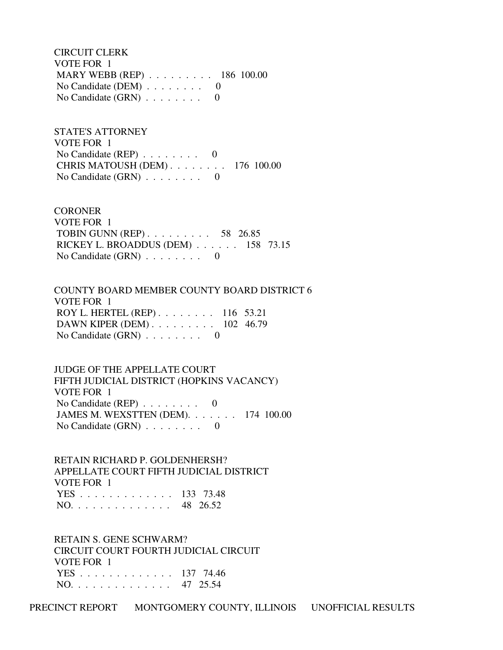CIRCUIT CLERK VOTE FOR 1 MARY WEBB (REP) . . . . . . . . . 186 100.00 No Candidate (DEM) . . . . . . . . 0 No Candidate (GRN) . . . . . . . . 0

 STATE'S ATTORNEY VOTE FOR 1 No Candidate (REP) . . . . . . . . 0 CHRIS MATOUSH (DEM) . . . . . . . . 176 100.00 No Candidate  $(GRN)$  . . . . . . . . 0

**CORONER**  VOTE FOR 1 TOBIN GUNN (REP) . . . . . . . . . 58 26.85 RICKEY L. BROADDUS (DEM) . . . . . . 158 73.15 No Candidate  $(GRN)$  . . . . . . . . 0

 COUNTY BOARD MEMBER COUNTY BOARD DISTRICT 6 VOTE FOR 1 ROY L. HERTEL (REP) . . . . . . . . 116 53.21 DAWN KIPER (DEM) . . . . . . . . . 102 46.79 No Candidate  $(GRN)$  . . . . . . . . 0

 JUDGE OF THE APPELLATE COURT FIFTH JUDICIAL DISTRICT (HOPKINS VACANCY) VOTE FOR 1 No Candidate (REP) . . . . . . . . 0 JAMES M. WEXSTTEN (DEM). . . . . . . 174 100.00 No Candidate  $(GRN)$  . . . . . . . . 0

 RETAIN RICHARD P. GOLDENHERSH? APPELLATE COURT FIFTH JUDICIAL DISTRICT VOTE FOR 1 YES . . . . . . . . . . . . . 133 73.48 NO. . . . . . . . . . . . . . 48 26.52

 RETAIN S. GENE SCHWARM? CIRCUIT COURT FOURTH JUDICIAL CIRCUIT VOTE FOR 1 YES . . . . . . . . . . . . . 137 74.46 NO. . . . . . . . . . . . . . 47 25.54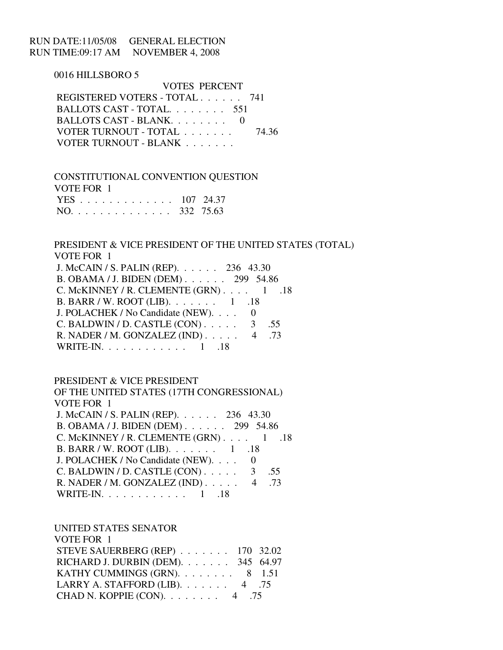## RUN DATE:11/05/08 GENERAL ELECTION RUN TIME:09:17 AM NOVEMBER 4, 2008

0016 HILLSBORO 5

 VOTES PERCENT REGISTERED VOTERS - TOTAL . . . . . . 741 BALLOTS CAST - TOTAL. . . . . . . . 551 BALLOTS CAST - BLANK. . . . . . . . 0 VOTER TURNOUT - TOTAL . . . . . . . 74.36 VOTER TURNOUT - BLANK . . . . . . .

 CONSTITUTIONAL CONVENTION QUESTION VOTE FOR 1 YES . . . . . . . . . . . . . 107 24.37 NO. . . . . . . . . . . . . . 332 75.63

 PRESIDENT & VICE PRESIDENT OF THE UNITED STATES (TOTAL) VOTE FOR 1 J. McCAIN / S. PALIN (REP). . . . . . 236 43.30 B. OBAMA / J. BIDEN (DEM) . . . . . . 299 54.86 C. McKINNEY / R. CLEMENTE  $(GRN)$ . . . . 1 .18 B. BARR / W. ROOT (LIB). . . . . . . 1 .18 J. POLACHEK / No Candidate (NEW). . . . 0 C. BALDWIN / D. CASTLE  $(CON)$ . . . . . 3 .55 R. NADER / M. GONZALEZ (IND) . . . . . 4 .73 WRITE-IN. . . . . . . . . . . . 1 .18

PRESIDENT & VICE PRESIDENT

 OF THE UNITED STATES (17TH CONGRESSIONAL) VOTE FOR 1 J. McCAIN / S. PALIN (REP). . . . . . 236 43.30 B. OBAMA / J. BIDEN (DEM) . . . . . . 299 54.86 C. McKINNEY / R. CLEMENTE  $(GRN)$ . . . . 1 .18 B. BARR / W. ROOT (LIB). . . . . . . 1 .18 J. POLACHEK / No Candidate (NEW). . . . 0 C. BALDWIN / D. CASTLE  $(CON)$ . . . . . 3 .55 R. NADER / M. GONZALEZ (IND) . . . . . 4 .73 WRITE-IN. . . . . . . . . . . . 1 .18

UNITED STATES SENATOR

| VOTE FOR 1                              |  |
|-----------------------------------------|--|
| STEVE SAUERBERG (REP) 170 32.02         |  |
| RICHARD J. DURBIN (DEM). 345 64.97      |  |
| KATHY CUMMINGS (GRN). 8 1.51            |  |
| LARRY A. STAFFORD (LIB). $\ldots$ 4 .75 |  |
| CHAD N. KOPPIE (CON). $\ldots$ 4 .75    |  |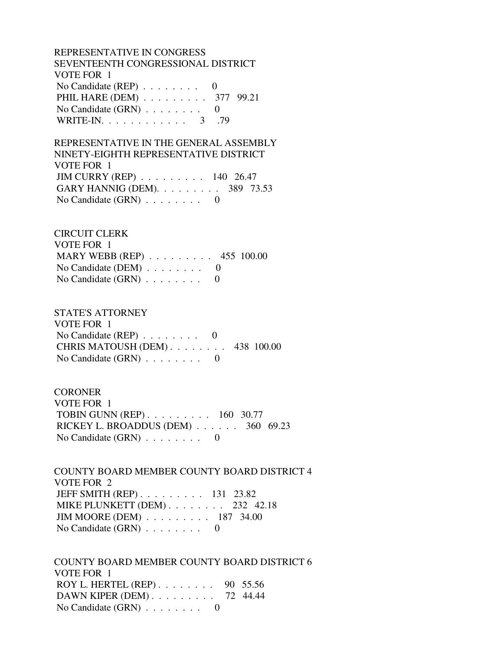REPRESENTATIVE IN CONGRESS SEVENTEENTH CONGRESSIONAL DISTRICT VOTE FOR 1 No Candidate (REP) . . . . . . . . 0 PHIL HARE (DEM) . . . . . . . . . 377 99.21 No Candidate  $(GRN)$  . . . . . . . . 0 WRITE-IN. . . . . . . . . . . . . 3 .79

 REPRESENTATIVE IN THE GENERAL ASSEMBLY NINETY-EIGHTH REPRESENTATIVE DISTRICT VOTE FOR 1 JIM CURRY (REP) . . . . . . . . . 140 26.47 GARY HANNIG (DEM). . . . . . . . . 389 73.53 No Candidate (GRN) . . . . . . . . 0

 CIRCUIT CLERK VOTE FOR 1 MARY WEBB (REP) . . . . . . . . . 455 100.00 No Candidate (DEM)  $\ldots$  . . . . . . 0 No Candidate  $(GRN)$  . . . . . . . . 0

 STATE'S ATTORNEY VOTE FOR 1 No Candidate (REP) . . . . . . . . 0 CHRIS MATOUSH (DEM) . . . . . . . . 438 100.00 No Candidate  $(GRN)$  . . . . . . . . 0

**CORONER**  VOTE FOR 1 TOBIN GUNN (REP) . . . . . . . . . 160 30.77 RICKEY L. BROADDUS (DEM) . . . . . . 360 69.23 No Candidate (GRN) . . . . . . . . 0

 COUNTY BOARD MEMBER COUNTY BOARD DISTRICT 4 VOTE FOR 2 JEFF SMITH (REP) . . . . . . . . . 131 23.82

 MIKE PLUNKETT (DEM) . . . . . . . . 232 42.18 JIM MOORE (DEM) . . . . . . . . . 187 34.00 No Candidate (GRN) . . . . . . . . 0

 COUNTY BOARD MEMBER COUNTY BOARD DISTRICT 6 VOTE FOR 1 ROY L. HERTEL (REP) . . . . . . . . 90 55.56 DAWN KIPER (DEM) . . . . . . . . . 72 44.44 No Candidate  $(GRN)$  . . . . . . . . 0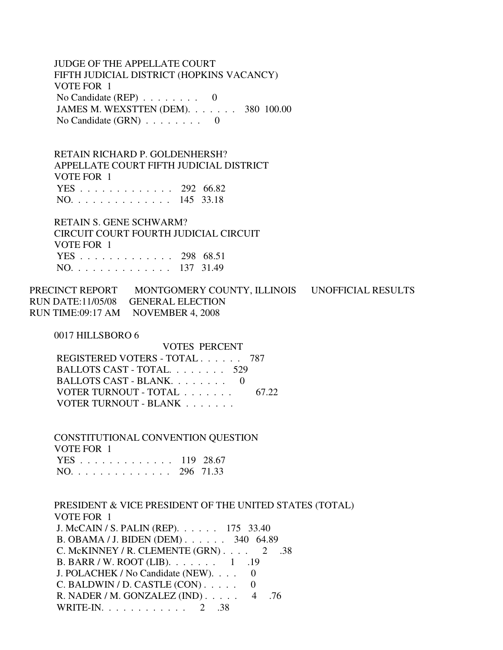JUDGE OF THE APPELLATE COURT FIFTH JUDICIAL DISTRICT (HOPKINS VACANCY) VOTE FOR 1 No Candidate (REP) . . . . . . . . 0 JAMES M. WEXSTTEN (DEM). . . . . . . 380 100.00 No Candidate  $(GRN)$  . . . . . . . . 0

 RETAIN RICHARD P. GOLDENHERSH? APPELLATE COURT FIFTH JUDICIAL DISTRICT VOTE FOR 1 YES . . . . . . . . . . . . . 292 66.82 NO. . . . . . . . . . . . . . 145 33.18

 RETAIN S. GENE SCHWARM? CIRCUIT COURT FOURTH JUDICIAL CIRCUIT VOTE FOR 1 YES . . . . . . . . . . . . . 298 68.51 NO. . . . . . . . . . . . . . 137 31.49

PRECINCT REPORT MONTGOMERY COUNTY, ILLINOIS UNOFFICIAL RESULTS RUN DATE:11/05/08 GENERAL ELECTION RUN TIME:09:17 AM NOVEMBER 4, 2008

0017 HILLSBORO 6

 VOTES PERCENT REGISTERED VOTERS - TOTAL . . . . . . 787 BALLOTS CAST - TOTAL. . . . . . . . 529 BALLOTS CAST - BLANK. . . . . . . . 0 VOTER TURNOUT - TOTAL . . . . . . . 67.22 VOTER TURNOUT - BLANK . . . . . . .

 CONSTITUTIONAL CONVENTION QUESTION VOTE FOR 1 YES . . . . . . . . . . . . . 119 28.67 NO. . . . . . . . . . . . . . 296 71.33

 PRESIDENT & VICE PRESIDENT OF THE UNITED STATES (TOTAL) VOTE FOR 1 J. McCAIN / S. PALIN (REP). . . . . . 175 33.40 B. OBAMA / J. BIDEN (DEM) . . . . . . 340 64.89 C. McKINNEY / R. CLEMENTE (GRN) . . . . 2 .38 B. BARR / W. ROOT (LIB). . . . . . . 1 .19 J. POLACHEK / No Candidate (NEW). . . . 0  $C.$  BALDWIN / D. CASTLE  $(CON)$ ..... 0 R. NADER / M. GONZALEZ (IND) . . . . . 4 .76 WRITE-IN. . . . . . . . . . . . 2 .38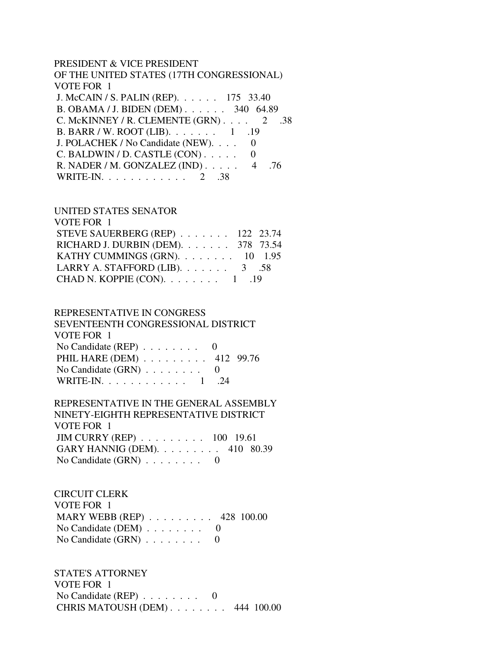#### PRESIDENT & VICE PRESIDENT

| OF THE UNITED STATES (17TH CONGRESSIONAL)        |
|--------------------------------------------------|
| VOTE FOR 1                                       |
| J. McCAIN / S. PALIN (REP). 175 33.40            |
| B. OBAMA / J. BIDEN (DEM) 340 64.89              |
| C. McKINNEY / R. CLEMENTE $(GRN)$ 2<br>.38       |
| B. BARR / W. ROOT (LIB). 1 .19                   |
| J. POLACHEK / No Candidate (NEW).                |
| C. BALDWIN / D. CASTLE (CON)                     |
| R. NADER / M. GONZALEZ (IND) $\ldots$ . 4<br>.76 |
| WRITE-IN. 2 .38                                  |

#### UNITED STATES SENATOR

| VOTE FOR 1                              |  |
|-----------------------------------------|--|
| STEVE SAUERBERG (REP) 122 23.74         |  |
| RICHARD J. DURBIN (DEM). 378 73.54      |  |
| KATHY CUMMINGS (GRN). 10 1.95           |  |
| LARRY A. STAFFORD (LIB). $\ldots$ 3 .58 |  |
| CHAD N. KOPPIE (CON). $\ldots$ 1 . 19   |  |
|                                         |  |

#### REPRESENTATIVE IN CONGRESS

| SEVENTEENTH CONGRESSIONAL DISTRICT          |  |
|---------------------------------------------|--|
| VOTE FOR 1                                  |  |
| No Candidate (REP) $\ldots \ldots \ldots$ 0 |  |
| PHIL HARE (DEM) 412 99.76                   |  |
| No Candidate $(GRN)$ 0                      |  |
| WRITE-IN. 1 .24                             |  |

# REPRESENTATIVE IN THE GENERAL ASSEMBLY NINETY-EIGHTH REPRESENTATIVE DISTRICT VOTE FOR 1 JIM CURRY (REP) . . . . . . . . . 100 19.61

| GARY HANNIG (DEM). $\ldots \ldots \ldots$ 410 80.39 |  |
|-----------------------------------------------------|--|
| No Candidate $(GRN)$                                |  |

## CIRCUIT CLERK VOTE FOR 1 MARY WEBB (REP) . . . . . . . . . 428 100.00 No Candidate (DEM) . . . . . . . . 0 No Candidate  $(GRN)$  . . . . . . . . 0

 STATE'S ATTORNEY VOTE FOR 1 No Candidate (REP) . . . . . . . . 0 CHRIS MATOUSH (DEM) . . . . . . . . 444 100.00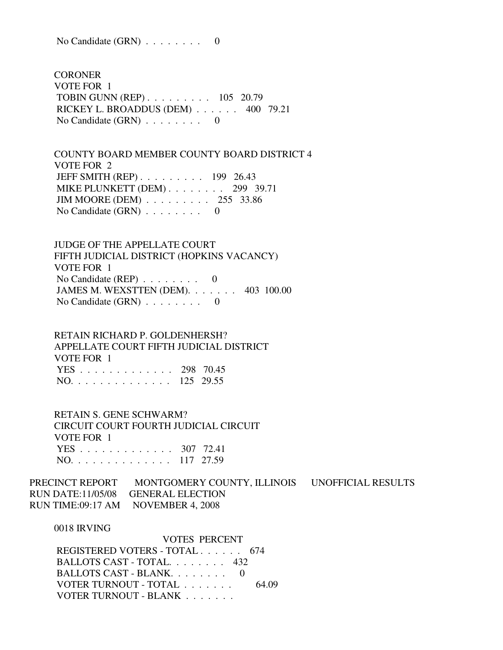No Candidate (GRN) . . . . . . . . 0

**CORONER**  VOTE FOR 1 TOBIN GUNN (REP) . . . . . . . . . 105 20.79 RICKEY L. BROADDUS (DEM) . . . . . . 400 79.21 No Candidate  $(GRN)$  . . . . . . . . 0

 COUNTY BOARD MEMBER COUNTY BOARD DISTRICT 4 VOTE FOR 2 JEFF SMITH (REP) . . . . . . . . . 199 26.43 MIKE PLUNKETT (DEM) . . . . . . . . 299 39.71 JIM MOORE (DEM) . . . . . . . . . 255 33.86 No Candidate  $(GRN)$  . . . . . . . . 0

 JUDGE OF THE APPELLATE COURT FIFTH JUDICIAL DISTRICT (HOPKINS VACANCY) VOTE FOR 1 No Candidate (REP) . . . . . . . . 0 JAMES M. WEXSTTEN (DEM). . . . . . . 403 100.00 No Candidate  $(GRN)$  . . . . . . . . 0

 RETAIN RICHARD P. GOLDENHERSH? APPELLATE COURT FIFTH JUDICIAL DISTRICT VOTE FOR 1 YES . . . . . . . . . . . . . 298 70.45 NO. . . . . . . . . . . . . . 125 29.55

 RETAIN S. GENE SCHWARM? CIRCUIT COURT FOURTH JUDICIAL CIRCUIT VOTE FOR 1 YES . . . . . . . . . . . . . 307 72.41 NO. . . . . . . . . . . . . . 117 27.59

PRECINCT REPORT MONTGOMERY COUNTY, ILLINOIS UNOFFICIAL RESULTS RUN DATE:11/05/08 GENERAL ELECTION RUN TIME:09:17 AM NOVEMBER 4, 2008

0018 IRVING

 VOTES PERCENT REGISTERED VOTERS - TOTAL . . . . . . 674 BALLOTS CAST - TOTAL. . . . . . . . 432 BALLOTS CAST - BLANK. . . . . . . . 0 VOTER TURNOUT - TOTAL . . . . . . . 64.09 VOTER TURNOUT - BLANK . . . . . . .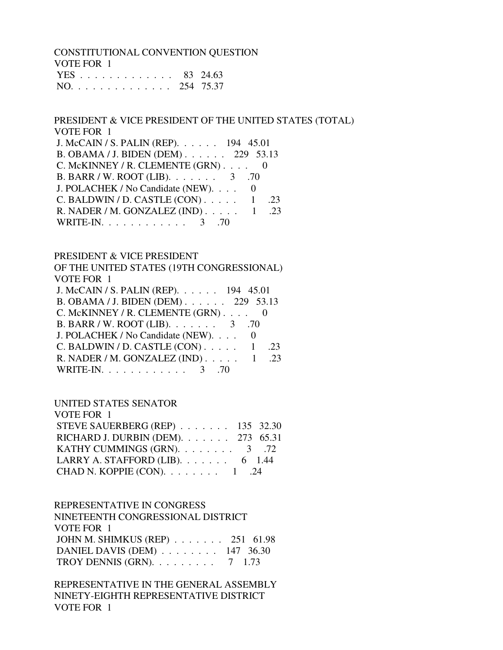CONSTITUTIONAL CONVENTION QUESTION VOTE FOR 1 YES . . . . . . . . . . . . . 83 24.63 NO. . . . . . . . . . . . . . 254 75.37

 PRESIDENT & VICE PRESIDENT OF THE UNITED STATES (TOTAL) VOTE FOR 1 J. McCAIN / S. PALIN (REP). . . . . . . 194 45.01<br>B. ORAMA / J. BIDEN (DEM). . . . . . . . . 220 52.12  $B$ . OBAMA *I* J. BIDEN (DEM)

| B. OBAMA / J. BIDEN (DEM) $229$ 33.13       |     |
|---------------------------------------------|-----|
| C. McKINNEY / R. CLEMENTE $(GRN)$ 0         |     |
| B. BARR / W. ROOT (LIB). $\ldots$ 3 .70     |     |
| J. POLACHEK / No Candidate (NEW). 0         |     |
| C. BALDWIN / D. CASTLE $(CON)$ 1            | .23 |
| R. NADER / M. GONZALEZ (IND) $\ldots$ 1 .23 |     |
| WRITE-IN. 3 .70                             |     |

#### PRESIDENT & VICE PRESIDENT

 OF THE UNITED STATES (19TH CONGRESSIONAL) VOTE FOR 1

| J. McCAIN / S. PALIN (REP). 194 45.01       |     |
|---------------------------------------------|-----|
| B. OBAMA / J. BIDEN (DEM) 229 53.13         |     |
| C. McKINNEY / R. CLEMENTE $(GRN)$ 0         |     |
| B. BARR / W. ROOT (LIB). $\ldots$ 3 .70     |     |
| J. POLACHEK / No Candidate (NEW). 0         |     |
| C. BALDWIN / D. CASTLE $(CON)$ 1            | .23 |
| R. NADER / M. GONZALEZ (IND) $\ldots$ 1 .23 |     |
| WRITE-IN. $\ldots$ 3 .70                    |     |

## UNITED STATES SENATOR

| STEVE SAUERBERG (REP) 135 32.30                                                 |
|---------------------------------------------------------------------------------|
| RICHARD J. DURBIN (DEM). $\ldots$ 273 65.31                                     |
| KATHY CUMMINGS (GRN). $\ldots$ 3 .72                                            |
|                                                                                 |
|                                                                                 |
| LARRY A. STAFFORD (LIB). $\ldots$ 6 1.44<br>CHAD N. KOPPIE (CON). $\ldots$ 1 24 |

#### REPRESENTATIVE IN CONGRESS

| NINETEENTH CONGRESSIONAL DISTRICT                |  |
|--------------------------------------------------|--|
| VOTE FOR 1                                       |  |
| JOHN M. SHIMKUS (REP) 251 61.98                  |  |
| DANIEL DAVIS (DEM) 147 36.30                     |  |
| TROY DENNIS (GRN). $\ldots \ldots \ldots$ 7 1.73 |  |

 REPRESENTATIVE IN THE GENERAL ASSEMBLY NINETY-EIGHTH REPRESENTATIVE DISTRICT VOTE FOR 1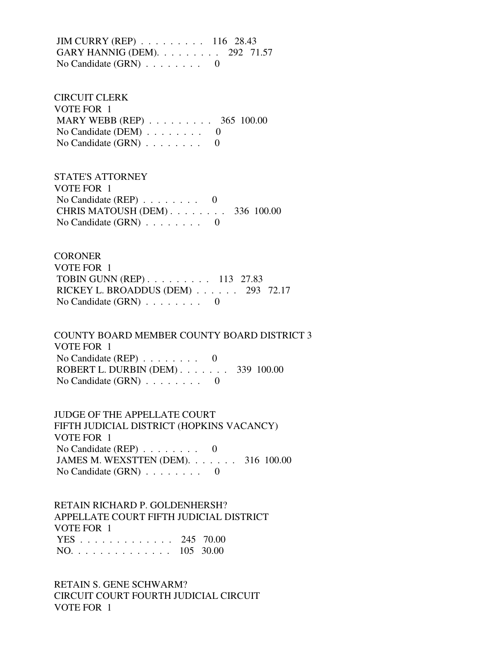JIM CURRY (REP) . . . . . . . . . 116 28.43 GARY HANNIG (DEM). . . . . . . . . 292 71.57 No Candidate (GRN) . . . . . . . . 0

 CIRCUIT CLERK VOTE FOR 1 MARY WEBB (REP) . . . . . . . . . 365 100.00 No Candidate (DEM)  $\ldots$  . . . . . . 0 No Candidate  $(GRN)$  . . . . . . . . 0

 STATE'S ATTORNEY VOTE FOR 1 No Candidate (REP)  $\ldots \ldots \ldots$  0 CHRIS MATOUSH (DEM) . . . . . . . . 336 100.00 No Candidate  $(GRN)$  . . . . . . . . 0

**CORONER**  VOTE FOR 1 TOBIN GUNN (REP) . . . . . . . . . 113 27.83 RICKEY L. BROADDUS (DEM) . . . . . . 293 72.17 No Candidate (GRN) . . . . . . . . 0

 COUNTY BOARD MEMBER COUNTY BOARD DISTRICT 3 VOTE FOR 1 No Candidate (REP) . . . . . . . . 0 ROBERT L. DURBIN (DEM) . . . . . . . 339 100.00 No Candidate (GRN) . . . . . . . . 0

 JUDGE OF THE APPELLATE COURT FIFTH JUDICIAL DISTRICT (HOPKINS VACANCY) VOTE FOR 1 No Candidate (REP)  $\ldots \ldots \ldots$  0 JAMES M. WEXSTTEN (DEM). . . . . . . 316 100.00 No Candidate (GRN) . . . . . . . . 0

 RETAIN RICHARD P. GOLDENHERSH? APPELLATE COURT FIFTH JUDICIAL DISTRICT VOTE FOR 1 YES . . . . . . . . . . . . . 245 70.00 NO. . . . . . . . . . . . . . 105 30.00

 RETAIN S. GENE SCHWARM? CIRCUIT COURT FOURTH JUDICIAL CIRCUIT VOTE FOR 1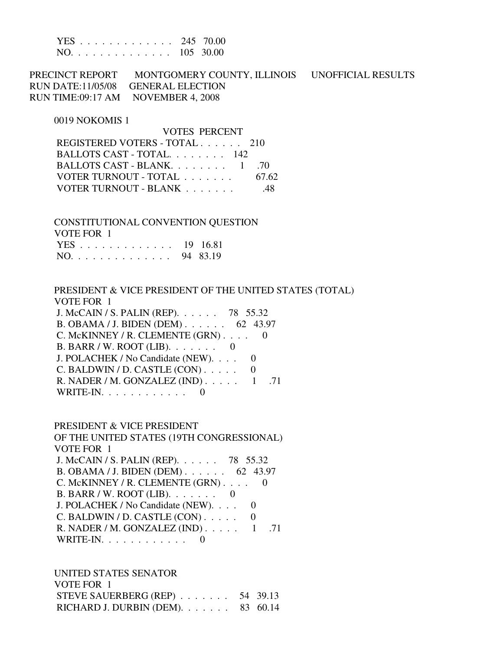|  |  |  |  |  |  |  | YES 245 70.00 |
|--|--|--|--|--|--|--|---------------|
|  |  |  |  |  |  |  | NO. 105 30.00 |

PRECINCT REPORT MONTGOMERY COUNTY, ILLINOIS UNOFFICIAL RESULTS RUN DATE:11/05/08 GENERAL ELECTION RUN TIME:09:17 AM NOVEMBER 4, 2008

VOTES PERCENT

#### 0019 NOKOMIS 1

| VUIES PERUENI                 |       |
|-------------------------------|-------|
| REGISTERED VOTERS - TOTAL 210 |       |
| BALLOTS CAST - TOTAL $142$    |       |
| BALLOTS CAST - BLANK. 1 .70   |       |
| VOTER TURNOUT - TOTAL         | 67.62 |
| VOTER TURNOUT - BLANK         | -48   |
|                               |       |

 CONSTITUTIONAL CONVENTION QUESTION VOTE FOR 1

| VVID PVINT   |  |
|--------------|--|
| YES 19 16.81 |  |
| NO. 94 83.19 |  |

 PRESIDENT & VICE PRESIDENT OF THE UNITED STATES (TOTAL) VOTE FOR 1 J. McCAIN / S. PALIN (REP). . . . . . 78 55.32 B. OBAMA / J. BIDEN (DEM) . 62 43.97

| D. UDAMA / J. DIDEN (DENI) $02$ 43.91           |  |
|-------------------------------------------------|--|
| C. McKINNEY / R. CLEMENTE $(GRN)$ 0             |  |
| B. BARR / W. ROOT (LIB). $\ldots \ldots \ldots$ |  |
| J. POLACHEK / No Candidate (NEW). 0             |  |
| C. BALDWIN / D. CASTLE $(CON)$ 0                |  |
| R. NADER / M. GONZALEZ (IND) $\ldots$ 1 .71     |  |
| WRITE-IN. $\ldots$ 0                            |  |

 PRESIDENT & VICE PRESIDENT OF THE UNITED STATES (19TH CONGRESSIONAL) VOTE FOR 1 J. McCAIN / S. PALIN (REP). . . . . . 78 55.32 B. OBAMA / J. BIDEN (DEM) . . . . . . 62 43.97 C. McKINNEY / R. CLEMENTE (GRN) . . . . 0 B. BARR / W. ROOT (LIB). . . . . . . 0 J. POLACHEK / No Candidate (NEW). . . . 0  $C.$  BALDWIN / D. CASTLE  $(CON)$ ..... 0 R. NADER / M. GONZALEZ (IND) . . . . . 1 .71 WRITE-IN. . . . . . . . . . . . 0

 UNITED STATES SENATOR VOTE FOR 1 STEVE SAUERBERG (REP) . . . . . . . 54 39.13 RICHARD J. DURBIN (DEM). . . . . . . 83 60.14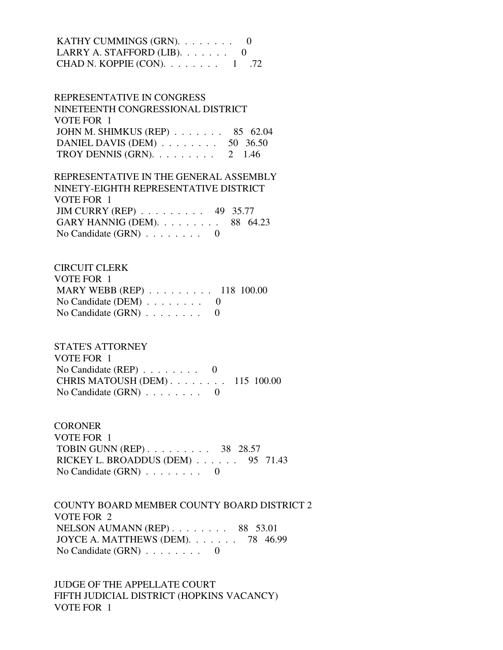| KATHY CUMMINGS (GRN). 0                    |  |
|--------------------------------------------|--|
| LARRY A. STAFFORD (LIB). $\ldots \ldots$ 0 |  |
| CHAD N. KOPPIE (CON). $\ldots$ 1 .72       |  |

 REPRESENTATIVE IN CONGRESS NINETEENTH CONGRESSIONAL DISTRICT VOTE FOR 1 JOHN M. SHIMKUS (REP) . . . . . . . 85 62.04 DANIEL DAVIS (DEM) . . . . . . . . 50 36.50 TROY DENNIS (GRN).  $\ldots$  . . . . . . 2 1.46

 REPRESENTATIVE IN THE GENERAL ASSEMBLY NINETY-EIGHTH REPRESENTATIVE DISTRICT VOTE FOR 1 JIM CURRY (REP) . . . . . . . . . 49 35.77 GARY HANNIG (DEM). . . . . . . . . 88 64.23 No Candidate (GRN) . . . . . . . . 0

 CIRCUIT CLERK VOTE FOR 1 MARY WEBB (REP) . . . . . . . . . 118 100.00 No Candidate (DEM)  $\ldots \ldots \ldots$  0 No Candidate  $(GRN)$  . . . . . . . . 0

 STATE'S ATTORNEY VOTE FOR 1 No Candidate (REP)  $\ldots$  . . . . . . 0 CHRIS MATOUSH (DEM) . . . . . . . . 115 100.00 No Candidate (GRN) . . . . . . . . 0

**CORONER**  VOTE FOR 1 TOBIN GUNN (REP) . . . . . . . . . 38 28.57 RICKEY L. BROADDUS (DEM) . . . . . . 95 71.43 No Candidate (GRN) . . . . . . . . 0

 COUNTY BOARD MEMBER COUNTY BOARD DISTRICT 2 VOTE FOR 2 NELSON AUMANN (REP) . . . . . . . . 88 53.01 JOYCE A. MATTHEWS (DEM). . . . . . . 78 46.99 No Candidate  $(GRN)$  . . . . . . . . 0

 JUDGE OF THE APPELLATE COURT FIFTH JUDICIAL DISTRICT (HOPKINS VACANCY) VOTE FOR 1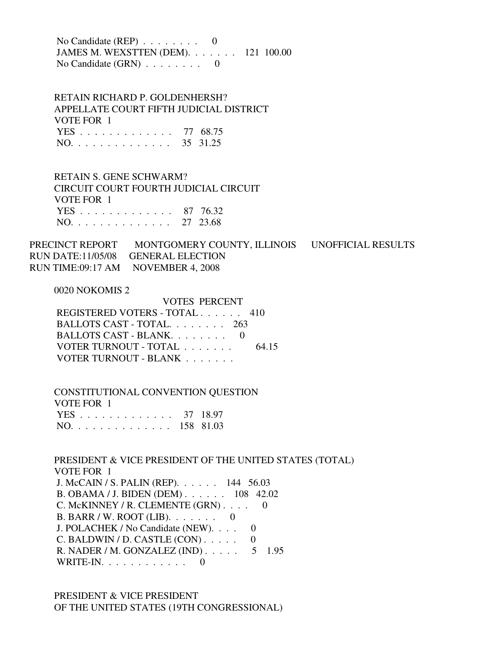No Candidate (REP) . . . . . . . . 0 JAMES M. WEXSTTEN (DEM). . . . . . . 121 100.00 No Candidate (GRN) . . . . . . . . 0

 RETAIN RICHARD P. GOLDENHERSH? APPELLATE COURT FIFTH JUDICIAL DISTRICT VOTE FOR 1 YES . . . . . . . . . . . . . 77 68.75 NO. . . . . . . . . . . . . . 35 31.25

 RETAIN S. GENE SCHWARM? CIRCUIT COURT FOURTH JUDICIAL CIRCUIT VOTE FOR 1 YES . . . . . . . . . . . . . 87 76.32 NO. . . . . . . . . . . . . . 27 23.68

PRECINCT REPORT MONTGOMERY COUNTY, ILLINOIS UNOFFICIAL RESULTS RUN DATE:11/05/08 GENERAL ELECTION RUN TIME:09:17 AM NOVEMBER 4, 2008

0020 NOKOMIS 2

 VOTES PERCENT REGISTERED VOTERS - TOTAL . . . . . . 410 BALLOTS CAST - TOTAL. . . . . . . . 263 BALLOTS CAST - BLANK. . . . . . . . 0 VOTER TURNOUT - TOTAL . . . . . . . 64.15 VOTER TURNOUT - BLANK . . . . . . .

 CONSTITUTIONAL CONVENTION QUESTION VOTE FOR 1 YES . . . . . . . . . . . . . 37 18.97 NO. . . . . . . . . . . . . . 158 81.03

 PRESIDENT & VICE PRESIDENT OF THE UNITED STATES (TOTAL) VOTE FOR 1 J. McCAIN / S. PALIN (REP). . . . . . 144 56.03 B. OBAMA / J. BIDEN (DEM) . . . . . . 108 42.02 C. McKINNEY / R. CLEMENTE (GRN) . . . . 0 B. BARR / W. ROOT (LIB). . . . . . . 0 J. POLACHEK / No Candidate (NEW). . . . 0  $C.$  BALDWIN / D. CASTLE  $(CON)$ ..... 0 R. NADER / M. GONZALEZ (IND) . . . . . 5 1.95 WRITE-IN.  $\ldots$  . . . . . . . . 0

 PRESIDENT & VICE PRESIDENT OF THE UNITED STATES (19TH CONGRESSIONAL)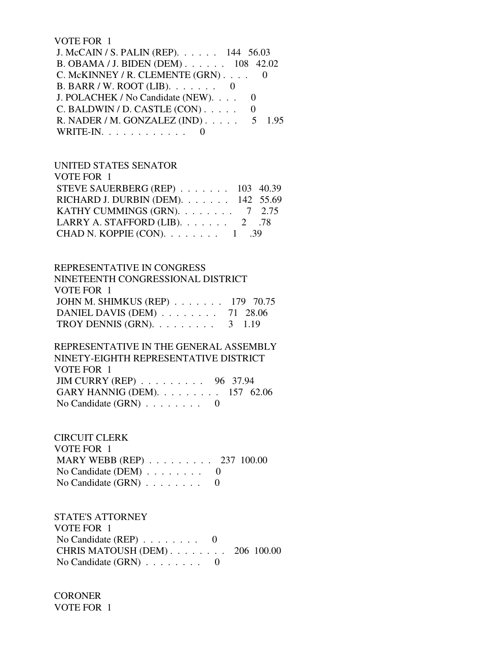#### VOTE FOR 1

| J. McCAIN / S. PALIN (REP). 144 56.03        |  |
|----------------------------------------------|--|
| B. OBAMA / J. BIDEN (DEM) 108 42.02          |  |
| C. McKINNEY / R. CLEMENTE (GRN) 0            |  |
| B. BARR / W. ROOT (LIB). $\ldots \ldots$ 0   |  |
| J. POLACHEK / No Candidate (NEW).            |  |
| $C.$ BALDWIN / D. CASTLE $(CON)$             |  |
| R. NADER / M. GONZALEZ (IND) $\ldots$ 5 1.95 |  |
| WRITE-IN. $\ldots$                           |  |

#### UNITED STATES SENATOR

| VOTE FOR 1                              |  |
|-----------------------------------------|--|
| STEVE SAUERBERG (REP) 103 40.39         |  |
| RICHARD J. DURBIN (DEM). 142 55.69      |  |
| KATHY CUMMINGS (GRN). $\ldots$ 7 2.75   |  |
| LARRY A. STAFFORD (LIB). $\ldots$ 2 .78 |  |
| CHAD N. KOPPIE (CON). $\ldots$ 1 .39    |  |
|                                         |  |

## REPRESENTATIVE IN CONGRESS

| NINETEENTH CONGRESSIONAL DISTRICT                |  |
|--------------------------------------------------|--|
| VOTE FOR 1                                       |  |
| JOHN M. SHIMKUS (REP) 179 70.75                  |  |
| DANIEL DAVIS (DEM) 71 28.06                      |  |
| TROY DENNIS (GRN). $\ldots \ldots \ldots$ 3 1.19 |  |

## REPRESENTATIVE IN THE GENERAL ASSEMBLY NINETY-EIGHTH REPRESENTATIVE DISTRICT VOTE FOR 1 JIM CURRY (REP) . . . . . . . . . 96 37.94 GARY HANNIG (DEM). . . . . . . . . 157 62.06 No Candidate (GRN)  $\ldots$  . . . . . . 0

## CIRCUIT CLERK VOTE FOR 1 MARY WEBB (REP) . . . . . . . . . 237 100.00 No Candidate (DEM) . . . . . . . . 0 No Candidate  $(GRN)$  . . . . . . . . 0

## STATE'S ATTORNEY VOTE FOR 1 No Candidate (REP) . . . . . . . . 0 CHRIS MATOUSH (DEM) . . . . . . . . 206 100.00 No Candidate (GRN) . . . . . . . . 0

**CORONER** VOTE FOR 1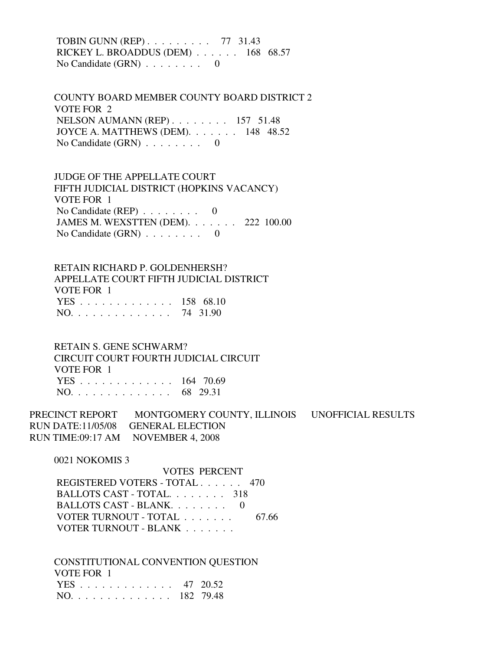TOBIN GUNN (REP) . . . . . . . . . 77 31.43 RICKEY L. BROADDUS (DEM) . . . . . . 168 68.57 No Candidate (GRN) . . . . . . . . 0

 COUNTY BOARD MEMBER COUNTY BOARD DISTRICT 2 VOTE FOR 2 NELSON AUMANN (REP) . . . . . . . . 157 51.48 JOYCE A. MATTHEWS (DEM). . . . . . . 148 48.52 No Candidate  $(GRN)$  . . . . . . . . 0

 JUDGE OF THE APPELLATE COURT FIFTH JUDICIAL DISTRICT (HOPKINS VACANCY) VOTE FOR 1 No Candidate  $(REP)$  . . . . . . . . 0 JAMES M. WEXSTTEN (DEM). . . . . . . 222 100.00 No Candidate (GRN) . . . . . . . . 0

 RETAIN RICHARD P. GOLDENHERSH? APPELLATE COURT FIFTH JUDICIAL DISTRICT VOTE FOR 1 YES . . . . . . . . . . . . . 158 68.10 NO. . . . . . . . . . . . . . 74 31.90

 RETAIN S. GENE SCHWARM? CIRCUIT COURT FOURTH JUDICIAL CIRCUIT VOTE FOR 1 YES . . . . . . . . . . . . . 164 70.69 NO. . . . . . . . . . . . . . 68 29.31

PRECINCT REPORT MONTGOMERY COUNTY, ILLINOIS UNOFFICIAL RESULTS RUN DATE:11/05/08 GENERAL ELECTION RUN TIME:09:17 AM NOVEMBER 4, 2008

0021 NOKOMIS 3

 VOTES PERCENT REGISTERED VOTERS - TOTAL . . . . . . 470 BALLOTS CAST - TOTAL. . . . . . . . 318 BALLOTS CAST - BLANK. . . . . . . . 0 VOTER TURNOUT - TOTAL . . . . . . . 67.66 VOTER TURNOUT - BLANK . . . . . . .

 CONSTITUTIONAL CONVENTION QUESTION VOTE FOR 1 YES . . . . . . . . . . . . . 47 20.52 NO. . . . . . . . . . . . . . 182 79.48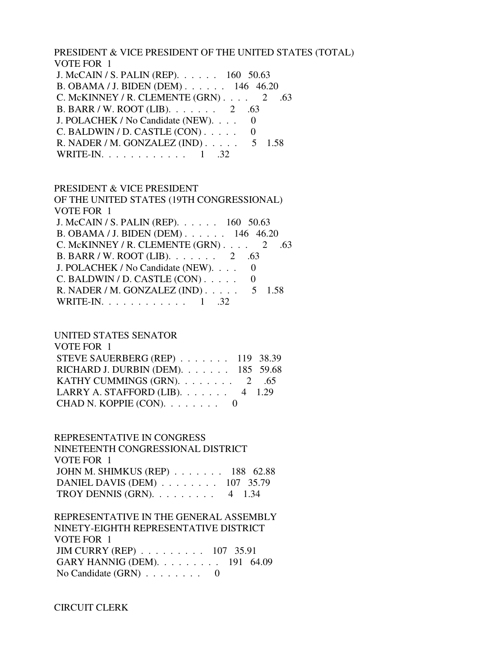PRESIDENT & VICE PRESIDENT OF THE UNITED STATES (TOTAL) VOTE FOR 1

 J. McCAIN / S. PALIN (REP). . . . . . 160 50.63 B. OBAMA / J. BIDEN (DEM) . . . . . . 146 46.20 C. McKINNEY / R. CLEMENTE  $(GRN)$ . . . . 2 .63 B. BARR / W. ROOT (LIB). . . . . . . 2 .63 J. POLACHEK / No Candidate (NEW). . . . 0  $C.$  BALDWIN / D. CASTLE  $(CON)$ ..... 0 R. NADER / M. GONZALEZ (IND) . . . . . 5 1.58 WRITE-IN.  $\ldots$  . . . . . . . . . 1 .32

 PRESIDENT & VICE PRESIDENT OF THE UNITED STATES (19TH CONGRESSIONAL) VOTE FOR 1 J. McCAIN / S. PALIN (REP). . . . . . 160 50.63 B. OBAMA / J. BIDEN (DEM) . . . . . . 146 46.20 C. McKINNEY / R. CLEMENTE  $(GRN)$ . . . . 2 .63 B. BARR / W. ROOT (LIB). . . . . . . 2 .63 J. POLACHEK / No Candidate (NEW). . . . 0  $C.$  BALDWIN / D. CASTLE  $(CON)$ .... 0 R. NADER / M. GONZALEZ (IND) . . . . . 5 1.58 WRITE-IN. . . . . . . . . . . . 1 .32

## UNITED STATES SENATOR

| VOTE FOR 1                                   |  |
|----------------------------------------------|--|
| STEVE SAUERBERG (REP) 119 38.39              |  |
| RICHARD J. DURBIN (DEM). $\ldots$ 185 59.68  |  |
|                                              |  |
| LARRY A. STAFFORD (LIB). $\ldots$ 4 1.29     |  |
| CHAD N. KOPPIE (CON). $\ldots \ldots \ldots$ |  |

#### REPRESENTATIVE IN CONGRESS

 NINETEENTH CONGRESSIONAL DISTRICT VOTE FOR 1 JOHN M. SHIMKUS (REP) . . . . . . . 188 62.88 DANIEL DAVIS (DEM) . . . . . . . . 107 35.79 TROY DENNIS (GRN).  $\ldots$  . . . . . . 4 1.34

 REPRESENTATIVE IN THE GENERAL ASSEMBLY NINETY-EIGHTH REPRESENTATIVE DISTRICT VOTE FOR 1 JIM CURRY (REP) . . . . . . . . . 107 35.91 GARY HANNIG (DEM). . . . . . . . . 191 64.09 No Candidate (GRN) . . . . . . . . 0

CIRCUIT CLERK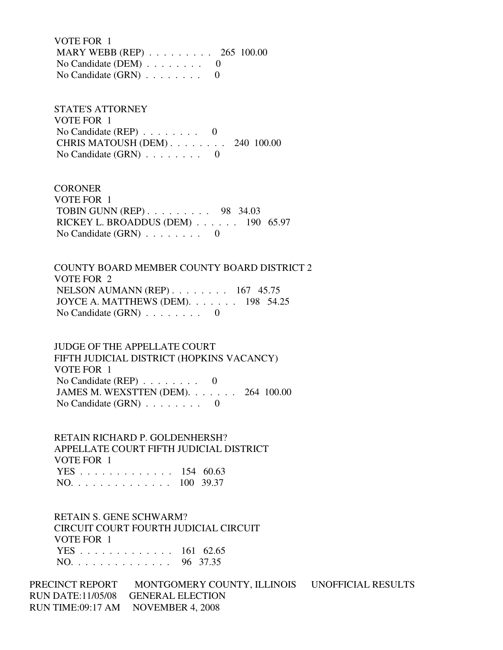VOTE FOR 1 MARY WEBB (REP) . . . . . . . . . 265 100.00 No Candidate (DEM) . . . . . . . . 0 No Candidate  $(GRN)$  . . . . . . . . 0

 STATE'S ATTORNEY VOTE FOR 1 No Candidate (REP)  $\ldots$ ...... 0 CHRIS MATOUSH (DEM) . . . . . . . . 240 100.00 No Candidate  $(GRN)$  . . . . . . . . 0

**CORONER**  VOTE FOR 1 TOBIN GUNN (REP) . . . . . . . . . 98 34.03 RICKEY L. BROADDUS (DEM) . . . . . . 190 65.97 No Candidate (GRN) . . . . . . . . 0

 COUNTY BOARD MEMBER COUNTY BOARD DISTRICT 2 VOTE FOR 2 NELSON AUMANN (REP) . . . . . . . . 167 45.75 JOYCE A. MATTHEWS (DEM). . . . . . . 198 54.25 No Candidate  $(GRN)$  . . . . . . . . 0

 JUDGE OF THE APPELLATE COURT FIFTH JUDICIAL DISTRICT (HOPKINS VACANCY) VOTE FOR 1 No Candidate (REP)  $\ldots$  . . . . . . 0 JAMES M. WEXSTTEN (DEM). . . . . . . 264 100.00 No Candidate (GRN) . . . . . . . . 0

 RETAIN RICHARD P. GOLDENHERSH? APPELLATE COURT FIFTH JUDICIAL DISTRICT VOTE FOR 1 YES . . . . . . . . . . . . . 154 60.63 NO. . . . . . . . . . . . . . 100 39.37

 RETAIN S. GENE SCHWARM? CIRCUIT COURT FOURTH JUDICIAL CIRCUIT VOTE FOR 1 YES . . . . . . . . . . . . . 161 62.65 NO. . . . . . . . . . . . . . 96 37.35

PRECINCT REPORT MONTGOMERY COUNTY, ILLINOIS UNOFFICIAL RESULTS RUN DATE:11/05/08 GENERAL ELECTION RUN TIME:09:17 AM NOVEMBER 4, 2008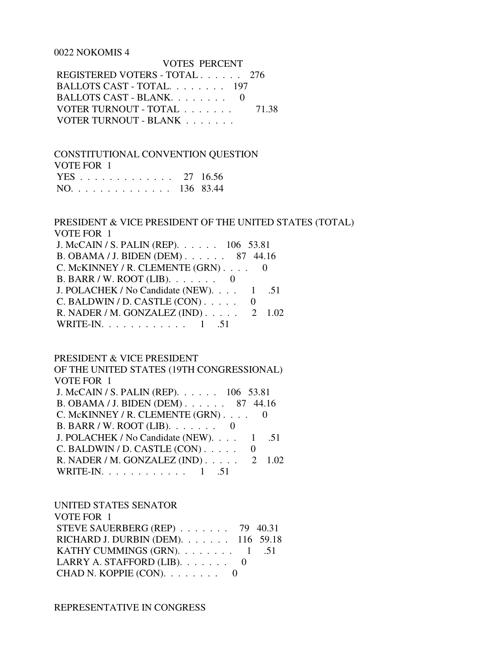#### 0022 NOKOMIS 4

| VULES PERUENT                 |       |
|-------------------------------|-------|
| REGISTERED VOTERS - TOTAL 276 |       |
| BALLOTS CAST - TOTAL 197      |       |
| BALLOTS CAST - BLANK. 0       |       |
| VOTER TURNOUT - TOTAL         | 71.38 |
| VOTER TURNOUT - BLANK         |       |

## CONSTITUTIONAL CONVENTION QUESTION

VOTE FOR 1

| YES 27 16.56  |  |
|---------------|--|
| NO. 136 83.44 |  |

#### PRESIDENT & VICE PRESIDENT OF THE UNITED STATES (TOTAL) VOTE FOR 1

VOTES PERCENT

| J. McCAIN / S. PALIN (REP). 106 53.81        |  |
|----------------------------------------------|--|
| B. OBAMA / J. BIDEN (DEM) 87 44.16           |  |
| C. McKINNEY / R. CLEMENTE $(GRN)$ 0          |  |
| B. BARR / W. ROOT (LIB). $\ldots \ldots$ 0   |  |
| J. POLACHEK / No Candidate (NEW). 1 .51      |  |
| C. BALDWIN / D. CASTLE (CON)                 |  |
| R. NADER / M. GONZALEZ (IND) $\ldots$ 2 1.02 |  |
| WRITE-IN. 1 .51                              |  |
|                                              |  |

#### PRESIDENT & VICE PRESIDENT

 OF THE UNITED STATES (19TH CONGRESSIONAL) VOTE FOR 1 J. McCAIN / S. PALIN (REP). . . . . . 106 53.81 B. OBAMA / J. BIDEN (DEM) . . . . . . 87 44.16 C. McKINNEY / R. CLEMENTE (GRN) . . . . 0 B. BARR / W. ROOT (LIB). . . . . . . 0 J. POLACHEK / No Candidate (NEW). . . . 1 .51 C. BALDWIN / D. CASTLE  $(CON)$ ..... 0 R. NADER / M. GONZALEZ (IND) . . . . . 2 1.02 WRITE-IN. . . . . . . . . . . . 1 .51

#### UNITED STATES SENATOR

| VOTE FOR 1                                   |  |
|----------------------------------------------|--|
| STEVE SAUERBERG (REP) $\ldots$ 79 40.31      |  |
| RICHARD J. DURBIN (DEM). 116 59.18           |  |
| KATHY CUMMINGS (GRN). $\ldots$ 1 .51         |  |
| LARRY A. STAFFORD (LIB). $\ldots \ldots$ 0   |  |
| CHAD N. KOPPIE (CON). $\ldots \ldots \ldots$ |  |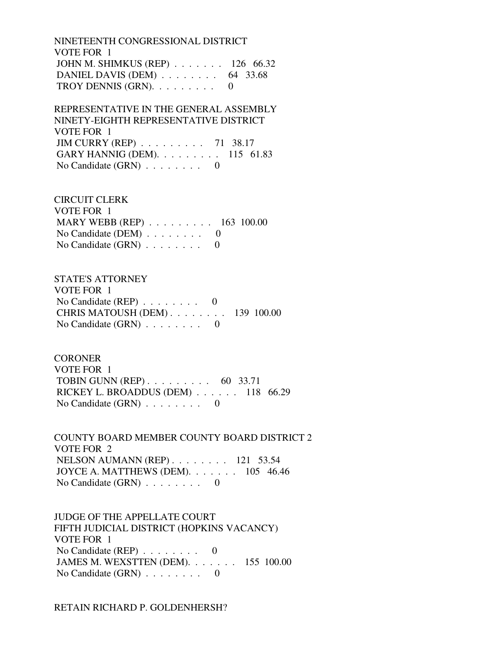NINETEENTH CONGRESSIONAL DISTRICT VOTE FOR 1 JOHN M. SHIMKUS (REP) . . . . . . . 126 66.32 DANIEL DAVIS (DEM) . . . . . . . . 64 33.68 TROY DENNIS (GRN).  $\ldots$  . . . . . . 0

 REPRESENTATIVE IN THE GENERAL ASSEMBLY NINETY-EIGHTH REPRESENTATIVE DISTRICT VOTE FOR 1 JIM CURRY (REP) . . . . . . . . . 71 38.17 GARY HANNIG (DEM). . . . . . . . . 115 61.83 No Candidate (GRN) . . . . . . . . 0

 CIRCUIT CLERK VOTE FOR 1 MARY WEBB (REP) . . . . . . . . . 163 100.00 No Candidate (DEM) . . . . . . . . 0 No Candidate  $(GRN)$  . . . . . . . . 0

 STATE'S ATTORNEY VOTE FOR 1 No Candidate (REP)  $\ldots \ldots \ldots$  0 CHRIS MATOUSH (DEM) . . . . . . . . 139 100.00 No Candidate (GRN) . . . . . . . . 0

**CORONER**  VOTE FOR 1 TOBIN GUNN (REP) . . . . . . . . . 60 33.71 RICKEY L. BROADDUS (DEM) . . . . . . 118 66.29 No Candidate  $(GRN)$  . . . . . . . . 0

 COUNTY BOARD MEMBER COUNTY BOARD DISTRICT 2 VOTE FOR 2 NELSON AUMANN (REP) . . . . . . . . 121 53.54 JOYCE A. MATTHEWS (DEM). . . . . . . 105 46.46 No Candidate (GRN) . . . . . . . . 0

 JUDGE OF THE APPELLATE COURT FIFTH JUDICIAL DISTRICT (HOPKINS VACANCY) VOTE FOR 1 No Candidate (REP)  $\ldots \ldots \ldots$  0 JAMES M. WEXSTTEN (DEM). . . . . . . 155 100.00 No Candidate (GRN) . . . . . . . . 0

RETAIN RICHARD P. GOLDENHERSH?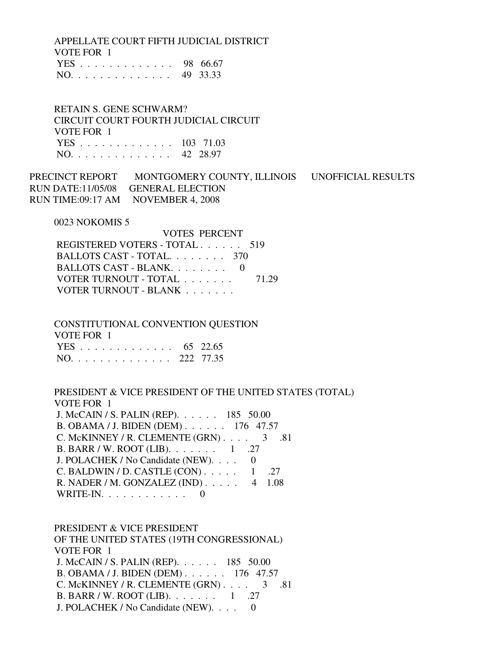APPELLATE COURT FIFTH JUDICIAL DISTRICT VOTE FOR 1

|  |  |  |  |  |  |  | YES 98 66.67 |
|--|--|--|--|--|--|--|--------------|
|  |  |  |  |  |  |  | NO. 49 33.33 |

 RETAIN S. GENE SCHWARM? CIRCUIT COURT FOURTH JUDICIAL CIRCUIT VOTE FOR 1 YES . . . . . . . . . . . . . 103 71.03 NO. . . . . . . . . . . . . . 42 28.97

PRECINCT REPORT MONTGOMERY COUNTY, ILLINOIS UNOFFICIAL RESULTS RUN DATE:11/05/08 GENERAL ELECTION RUN TIME:09:17 AM NOVEMBER 4, 2008

0023 NOKOMIS 5

 VOTES PERCENT REGISTERED VOTERS - TOTAL . . . . . . 519 BALLOTS CAST - TOTAL. . . . . . . . 370 BALLOTS CAST - BLANK. . . . . . . . 0 VOTER TURNOUT - TOTAL . . . . . . . 71.29 VOTER TURNOUT - BLANK . . . . . . .

 CONSTITUTIONAL CONVENTION QUESTION VOTE FOR 1 YES . . . . . . . . . . . . . 65 22.65 NO. . . . . . . . . . . . . . 222 77.35

 PRESIDENT & VICE PRESIDENT OF THE UNITED STATES (TOTAL) VOTE FOR 1 J. McCAIN / S. PALIN (REP). . . . . . 185 50.00 B. OBAMA / J. BIDEN (DEM) . . . . . . 176 47.57 C. McKINNEY / R. CLEMENTE  $(GRN)$ . . . . 3 .81 B. BARR / W. ROOT (LIB). . . . . . . 1 .27 J. POLACHEK / No Candidate (NEW). . . . 0 C. BALDWIN / D. CASTLE  $(CON)$ ..... 1 .27 R. NADER / M. GONZALEZ (IND) . . . . . 4 1.08 WRITE-IN. . . . . . . . . . . . 0

 PRESIDENT & VICE PRESIDENT OF THE UNITED STATES (19TH CONGRESSIONAL) VOTE FOR 1 J. McCAIN / S. PALIN (REP). . . . . . 185 50.00 B. OBAMA / J. BIDEN (DEM) . . . . . . 176 47.57 C. McKINNEY / R. CLEMENTE  $(GRN)$ . . . . 3 .81 B. BARR / W. ROOT (LIB). . . . . . . . 1 .27 J. POLACHEK / No Candidate (NEW). . . . 0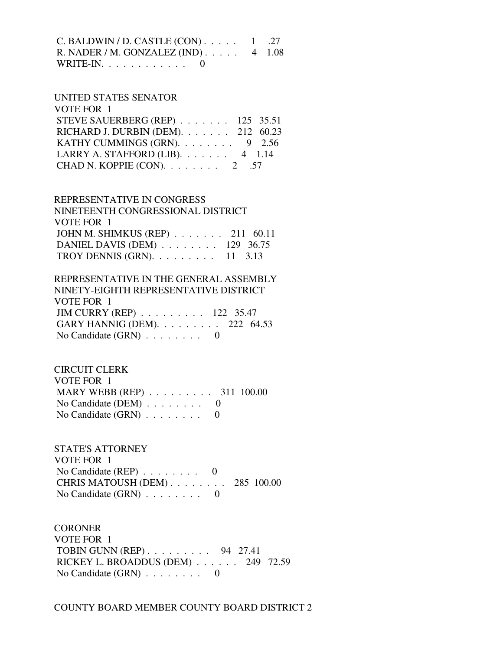| C. BALDWIN / D. CASTLE $(CON)$ 1 .27         |  |
|----------------------------------------------|--|
| R. NADER / M. GONZALEZ (IND) $\ldots$ 4 1.08 |  |
| WRITE-IN. $\ldots$ 0                         |  |

#### UNITED STATES SENATOR  $V$  $Q$ TE FOR 1

| VUIE FUK 1                               |  |
|------------------------------------------|--|
| STEVE SAUERBERG (REP) $\ldots$ 125 35.51 |  |
| RICHARD J. DURBIN (DEM). 212 60.23       |  |
| KATHY CUMMINGS (GRN). $\ldots$ 9 2.56    |  |
| LARRY A. STAFFORD (LIB). $\ldots$ 4 1.14 |  |
| CHAD N. KOPPIE (CON). $\ldots$ 2 .57     |  |
|                                          |  |

 REPRESENTATIVE IN CONGRESS NINETEENTH CONGRESSIONAL DISTRICT VOTE FOR 1 JOHN M. SHIMKUS (REP) . . . . . . . 211 60.11 DANIEL DAVIS (DEM) . . . . . . . . 129 36.75 TROY DENNIS (GRN). . . . . . . . . 11 3.13

 REPRESENTATIVE IN THE GENERAL ASSEMBLY NINETY-EIGHTH REPRESENTATIVE DISTRICT VOTE FOR 1 JIM CURRY (REP) . . . . . . . . . 122 35.47 GARY HANNIG (DEM). . . . . . . . . 222 64.53 No Candidate  $(GRN)$  . . . . . . . . 0

 CIRCUIT CLERK VOTE FOR 1 MARY WEBB (REP) . . . . . . . . . 311 100.00 No Candidate (DEM)  $\ldots$  . . . . . . 0 No Candidate  $(GRN)$  . . . . . . . . 0

 STATE'S ATTORNEY VOTE FOR 1 No Candidate (REP) . . . . . . . . 0 CHRIS MATOUSH (DEM) . . . . . . . . 285 100.00 No Candidate (GRN) . . . . . . . . 0

**CORONER**  VOTE FOR 1 TOBIN GUNN (REP) . . . . . . . . . 94 27.41 RICKEY L. BROADDUS (DEM) . . . . . . 249 72.59 No Candidate (GRN) . . . . . . . . 0

COUNTY BOARD MEMBER COUNTY BOARD DISTRICT 2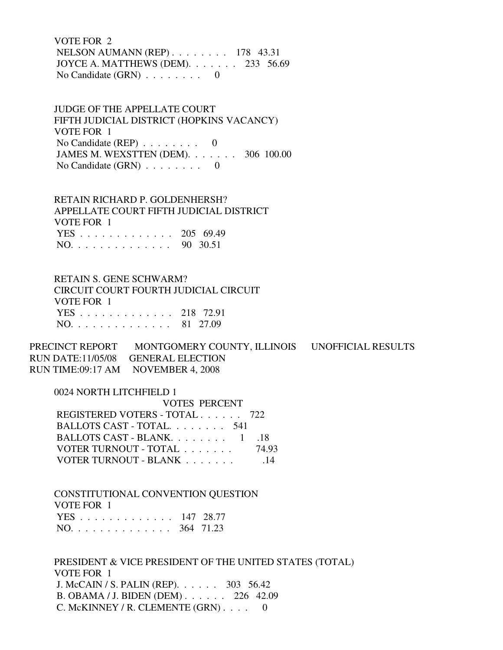VOTE FOR 2 NELSON AUMANN (REP) . . . . . . . . 178 43.31 JOYCE A. MATTHEWS (DEM). . . . . . . 233 56.69 No Candidate  $(GRN)$  . . . . . . . . 0

 JUDGE OF THE APPELLATE COURT FIFTH JUDICIAL DISTRICT (HOPKINS VACANCY) VOTE FOR 1 No Candidate (REP) . . . . . . . . 0 JAMES M. WEXSTTEN (DEM). . . . . . . 306 100.00 No Candidate  $(GRN)$  . . . . . . . . 0

 RETAIN RICHARD P. GOLDENHERSH? APPELLATE COURT FIFTH JUDICIAL DISTRICT VOTE FOR 1 YES . . . . . . . . . . . . . 205 69.49 NO. . . . . . . . . . . . . . 90 30.51

 RETAIN S. GENE SCHWARM? CIRCUIT COURT FOURTH JUDICIAL CIRCUIT VOTE FOR 1 YES . . . . . . . . . . . . . 218 72.91 NO. . . . . . . . . . . . . . 81 27.09

PRECINCT REPORT MONTGOMERY COUNTY, ILLINOIS UNOFFICIAL RESULTS RUN DATE:11/05/08 GENERAL ELECTION RUN TIME:09:17 AM NOVEMBER 4, 2008

0024 NORTH LITCHFIELD 1

| <b>VOTES PERCENT</b>          |       |
|-------------------------------|-------|
| REGISTERED VOTERS - TOTAL 722 |       |
| BALLOTS CAST - TOTAL 541      |       |
| BALLOTS CAST - BLANK 1        | -18   |
| VOTER TURNOUT - TOTAL         | 74.93 |
| VOTER TURNOUT - BLANK         | -14   |

 CONSTITUTIONAL CONVENTION QUESTION VOTE FOR 1 YES . . . . . . . . . . . . . 147 28.77 NO. . . . . . . . . . . . . . 364 71.23

 PRESIDENT & VICE PRESIDENT OF THE UNITED STATES (TOTAL) VOTE FOR 1 J. McCAIN / S. PALIN (REP). . . . . . 303 56.42 B. OBAMA / J. BIDEN (DEM) . . . . . . 226 42.09 C. McKINNEY / R. CLEMENTE (GRN) . . . . 0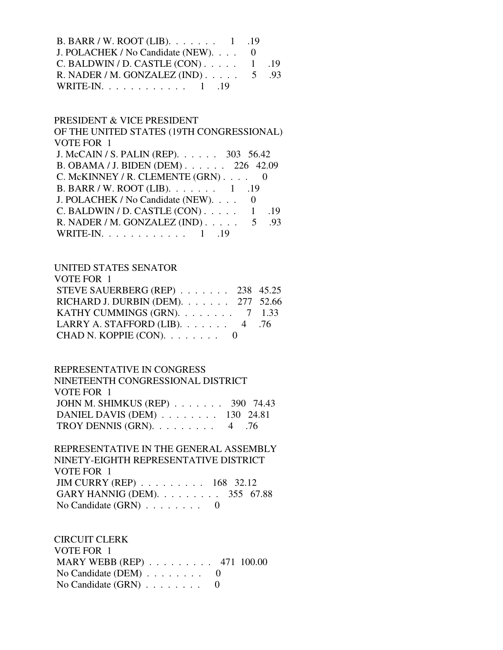| B. BARR / W. ROOT (LIB). $\ldots \ldots \ldots 1$ .19 |  |  |
|-------------------------------------------------------|--|--|
| J. POLACHEK / No Candidate (NEW). 0                   |  |  |
| C. BALDWIN / D. CASTLE $(CON)$ 1 .19                  |  |  |
| R. NADER / M. GONZALEZ (IND) $\ldots$ 5 .93           |  |  |
| WRITE-IN. $\ldots$ 1 . 19                             |  |  |

#### PRESIDENT & VICE PRESIDENT

 OF THE UNITED STATES (19TH CONGRESSIONAL) VOTE FOR 1 J. McCAIN / S. PALIN (REP). . . . . . 303 56.42 B. OBAMA / J. BIDEN (DEM) . . . . . . 226 42.09 C. McKINNEY / R. CLEMENTE  $(GRN)$ . . . . 0 B. BARR / W. ROOT (LIB). . . . . . . 1 .19 J. POLACHEK / No Candidate (NEW). . . . 0 C. BALDWIN / D. CASTLE  $(CON)$ ..... 1 .19 R. NADER / M. GONZALEZ (IND) . . . . . 5 .93 WRITE-IN. . . . . . . . . . . . 1 .19

## UNITED STATES SENATOR

| STEVE SAUERBERG (REP) 238 45.25                                       |
|-----------------------------------------------------------------------|
| RICHARD J. DURBIN (DEM). 277 52.66                                    |
| KATHY CUMMINGS (GRN). $\ldots$ 7 1.33                                 |
|                                                                       |
|                                                                       |
| LARRY A. STAFFORD (LIB). $\ldots$ 4 .76<br>CHAD N. KOPPIE $(CON)$ . 0 |

#### REPRESENTATIVE IN CONGRESS

| NINETEENTH CONGRESSIONAL DISTRICT                   |  |
|-----------------------------------------------------|--|
| VOTE FOR 1                                          |  |
| JOHN M. SHIMKUS (REP) 390 74.43                     |  |
| DANIEL DAVIS (DEM) $\ldots \ldots \ldots$ 130 24.81 |  |
| TROY DENNIS (GRN). $\ldots$ 4 .76                   |  |

## REPRESENTATIVE IN THE GENERAL ASSEMBLY NINETY-EIGHTH REPRESENTATIVE DISTRICT VOTE FOR 1 JIM CURRY (REP) . . . . . . . . . 168 32.12 GARY HANNIG (DEM). . . . . . . . . 355 67.88 No Candidate (GRN) . . . . . . . . 0

 CIRCUIT CLERK VOTE FOR 1 MARY WEBB (REP) . . . . . . . . . 471 100.00 No Candidate (DEM) . . . . . . . . 0 No Candidate (GRN) . . . . . . . . 0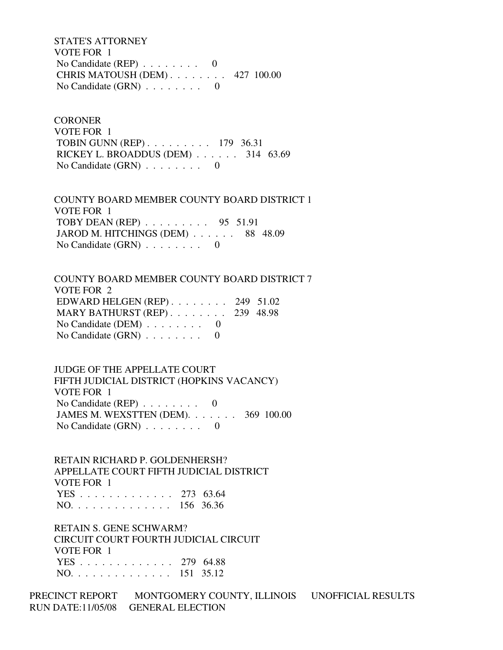STATE'S ATTORNEY VOTE FOR 1 No Candidate (REP)  $\ldots$  . . . . . . 0 CHRIS MATOUSH (DEM) . . . . . . . . 427 100.00 No Candidate (GRN) . . . . . . . . 0

**CORONER**  VOTE FOR 1 TOBIN GUNN (REP) . . . . . . . . . 179 36.31 RICKEY L. BROADDUS (DEM) . . . . . . 314 63.69 No Candidate  $(GRN)$  . . . . . . . . 0

 COUNTY BOARD MEMBER COUNTY BOARD DISTRICT 1 VOTE FOR 1 TOBY DEAN (REP) . . . . . . . . . 95 51.91 JAROD M. HITCHINGS (DEM) . . . . . . 88 48.09 No Candidate (GRN) . . . . . . . . 0

 COUNTY BOARD MEMBER COUNTY BOARD DISTRICT 7 VOTE FOR 2 EDWARD HELGEN (REP) . . . . . . . . 249 51.02 MARY BATHURST (REP) . . . . . . . . 239 48.98 No Candidate (DEM)  $\ldots$  . . . . . . 0 No Candidate  $(GRN)$  . . . . . . . . 0

 JUDGE OF THE APPELLATE COURT FIFTH JUDICIAL DISTRICT (HOPKINS VACANCY) VOTE FOR 1 No Candidate (REP) . . . . . . . . 0 JAMES M. WEXSTTEN (DEM). . . . . . . 369 100.00 No Candidate  $(GRN)$  . . . . . . . . 0

 RETAIN RICHARD P. GOLDENHERSH? APPELLATE COURT FIFTH JUDICIAL DISTRICT VOTE FOR 1 YES . . . . . . . . . . . . . 273 63.64 NO. . . . . . . . . . . . . . 156 36.36

 RETAIN S. GENE SCHWARM? CIRCUIT COURT FOURTH JUDICIAL CIRCUIT VOTE FOR 1 YES . . . . . . . . . . . . . 279 64.88 NO. . . . . . . . . . . . . . 151 35.12

PRECINCT REPORT MONTGOMERY COUNTY, ILLINOIS UNOFFICIAL RESULTS RUN DATE:11/05/08 GENERAL ELECTION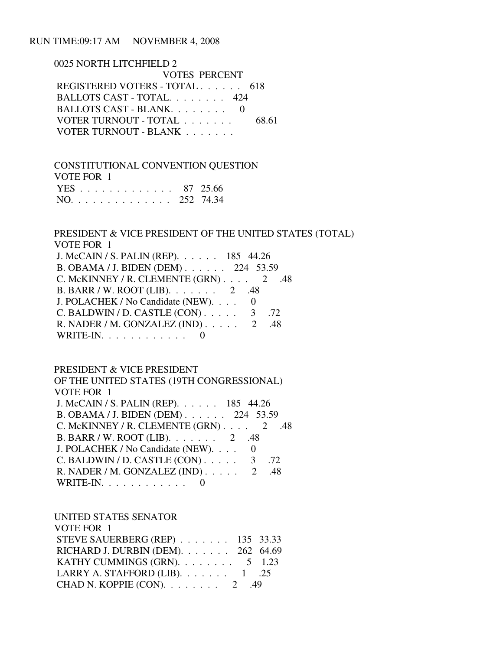#### RUN TIME:09:17 AM NOVEMBER 4, 2008

 0025 NORTH LITCHFIELD 2 VOTES PERCENT REGISTERED VOTERS - TOTAL . . . . . . 618 BALLOTS CAST - TOTAL. . . . . . . . 424 BALLOTS CAST - BLANK. . . . . . . . 0 VOTER TURNOUT - TOTAL . . . . . . . 68.61 VOTER TURNOUT - BLANK . . . . . . .

 CONSTITUTIONAL CONVENTION QUESTION VOTE FOR 1 YES . . . . . . . . . . . . . 87 25.66 NO. . . . . . . . . . . . . . 252 74.34

## PRESIDENT & VICE PRESIDENT OF THE UNITED STATES (TOTAL) VOTE FOR 1

| J. McCAIN / S. PALIN (REP). 185 44.26          |  |
|------------------------------------------------|--|
| B. OBAMA / J. BIDEN (DEM) 224 53.59            |  |
| C. McKINNEY / R. CLEMENTE (GRN) $\ldots$ 2 .48 |  |
| B. BARR / W. ROOT (LIB). $\ldots$ 2 .48        |  |
| J. POLACHEK / No Candidate (NEW). 0            |  |
| C. BALDWIN / D. CASTLE $(CON)$ 3 .72           |  |
| R. NADER / M. GONZALEZ (IND) $\ldots$ 2 .48    |  |
| WRITE-IN. $\ldots$ 0                           |  |

#### PRESIDENT & VICE PRESIDENT  $\overline{C}$  Of  $\overline{C}$   $\overline{C}$   $\overline{C}$   $\overline{C}$   $\overline{C}$   $\overline{C}$   $\overline{C}$   $\overline{C}$   $\overline{C}$   $\overline{C}$   $\overline{C}$   $\overline{C}$   $\overline{C}$   $\overline{C}$   $\overline{C}$   $\overline{C}$   $\overline{C}$   $\overline{C}$   $\overline{C}$   $\overline{C}$   $\overline{C}$   $\overline{C}$   $\overline{C}$   $\$

| OF THE UNITED STATES (19TH CONGRESSIONAL)   |          |
|---------------------------------------------|----------|
| VOTE FOR 1                                  |          |
| J. McCAIN / S. PALIN (REP). 185 44.26       |          |
| B. OBAMA / J. BIDEN (DEM) 224 53.59         |          |
| C. McKINNEY / R. CLEMENTE $(GRN)$ 2         | .48      |
| B. BARR / W. ROOT (LIB). 2 .48              |          |
| J. POLACHEK / No Candidate (NEW).           | $\Omega$ |
| C. BALDWIN / D. CASTLE $(CON)$ 3 .72        |          |
| R. NADER / M. GONZALEZ (IND) $\ldots$ 2 .48 |          |
| WRITE-IN. $\ldots$                          |          |
|                                             |          |

UNITED STATES SENATOR

| VOTE FOR 1                             |  |
|----------------------------------------|--|
| STEVE SAUERBERG (REP) 135 33.33        |  |
| RICHARD J. DURBIN (DEM). 262 64.69     |  |
| KATHY CUMMINGS (GRN). $\ldots$ 5 1.23  |  |
| LARRY A. STAFFORD (LIB). $\ldots$ 1 25 |  |
| CHAD N. KOPPIE (CON). $\ldots$ 2 .49   |  |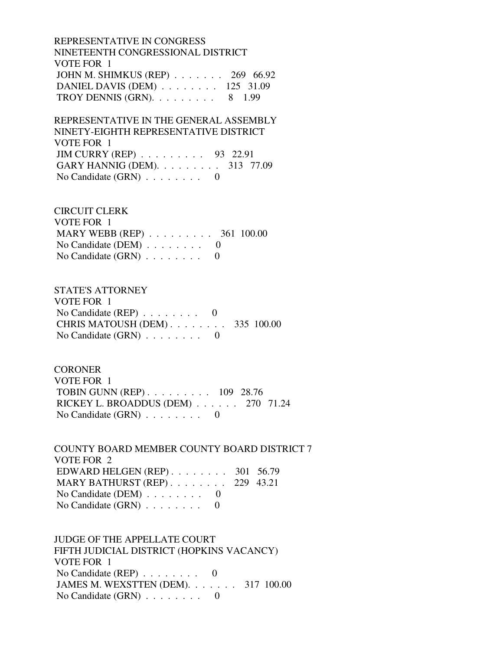REPRESENTATIVE IN CONGRESS NINETEENTH CONGRESSIONAL DISTRICT VOTE FOR 1 JOHN M. SHIMKUS (REP) . . . . . . . 269 66.92 DANIEL DAVIS (DEM) . . . . . . . . 125 31.09 TROY DENNIS (GRN).  $\ldots$  . . . . . . 8 1.99

 REPRESENTATIVE IN THE GENERAL ASSEMBLY NINETY-EIGHTH REPRESENTATIVE DISTRICT VOTE FOR 1 JIM CURRY (REP) . . . . . . . . . 93 22.91 GARY HANNIG (DEM). . . . . . . . . 313 77.09 No Candidate  $(GRN)$  . . . . . . . . 0

 CIRCUIT CLERK VOTE FOR 1 MARY WEBB (REP) . . . . . . . . . . 361 100.00 No Candidate (DEM)  $\ldots$  . . . . . . 0 No Candidate  $(GRN)$  . . . . . . . . 0

 STATE'S ATTORNEY VOTE FOR 1 No Candidate (REP)  $\ldots$  . . . . . . 0 CHRIS MATOUSH (DEM) . . . . . . . . 335 100.00 No Candidate  $(GRN)$  . . . . . . . . 0

**CORONER**  VOTE FOR 1 TOBIN GUNN (REP) . . . . . . . . . 109 28.76 RICKEY L. BROADDUS (DEM) . . . . . . 270 71.24 No Candidate (GRN) . . . . . . . . 0

 COUNTY BOARD MEMBER COUNTY BOARD DISTRICT 7 VOTE FOR 2 EDWARD HELGEN (REP) . . . . . . . . 301 56.79 MARY BATHURST (REP) . . . . . . . . 229 43.21 No Candidate (DEM) . . . . . . . . 0 No Candidate (GRN) . . . . . . . . 0

 JUDGE OF THE APPELLATE COURT FIFTH JUDICIAL DISTRICT (HOPKINS VACANCY) VOTE FOR 1 No Candidate (REP) . . . . . . . . 0 JAMES M. WEXSTTEN (DEM). . . . . . . 317 100.00 No Candidate (GRN) . . . . . . . . 0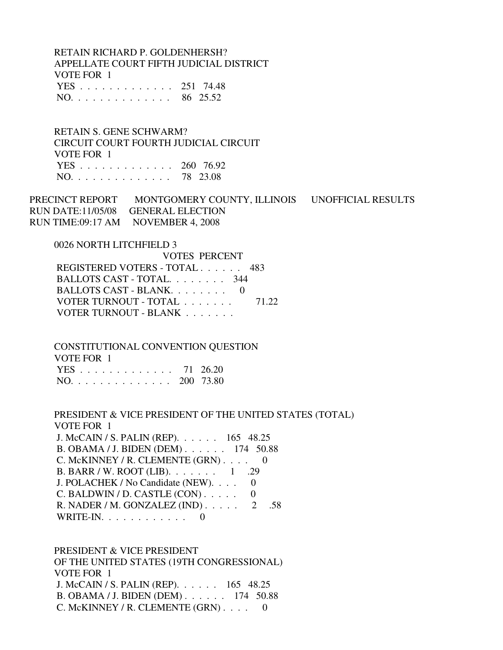RETAIN RICHARD P. GOLDENHERSH? APPELLATE COURT FIFTH JUDICIAL DISTRICT VOTE FOR 1 YES . . . . . . . . . . . . . 251 74.48 NO. . . . . . . . . . . . . . 86 25.52

 RETAIN S. GENE SCHWARM? CIRCUIT COURT FOURTH JUDICIAL CIRCUIT VOTE FOR 1 YES . . . . . . . . . . . . . 260 76.92 NO. . . . . . . . . . . . . . 78 23.08

PRECINCT REPORT MONTGOMERY COUNTY, ILLINOIS UNOFFICIAL RESULTS RUN DATE:11/05/08 GENERAL ELECTION RUN TIME:09:17 AM NOVEMBER 4, 2008

0026 NORTH LITCHFIELD 3

 VOTES PERCENT REGISTERED VOTERS - TOTAL . . . . . . 483 BALLOTS CAST - TOTAL. . . . . . . . 344 BALLOTS CAST - BLANK. . . . . . . . 0 VOTER TURNOUT - TOTAL . . . . . . . 71.22 VOTER TURNOUT - BLANK . . . . . . .

 CONSTITUTIONAL CONVENTION QUESTION VOTE FOR 1

|  |  |  |  |  |  |  | YES 71 26.20  |
|--|--|--|--|--|--|--|---------------|
|  |  |  |  |  |  |  | NO. 200 73.80 |

 PRESIDENT & VICE PRESIDENT OF THE UNITED STATES (TOTAL) VOTE FOR 1 J. McCAIN / S. PALIN (REP). . . . . . 165 48.25 B. OBAMA / J. BIDEN (DEM) . . . . . . 174 50.88 C. McKINNEY / R. CLEMENTE (GRN) . . . . 0 B. BARR / W. ROOT (LIB). . . . . . . 1 .29 J. POLACHEK / No Candidate (NEW). . . . 0  $C.$  BALDWIN / D. CASTLE  $(CON)$ ..... 0 R. NADER / M. GONZALEZ (IND) . . . . . 2 .58 WRITE-IN.  $\ldots$  . . . . . . . . 0

 PRESIDENT & VICE PRESIDENT OF THE UNITED STATES (19TH CONGRESSIONAL) VOTE FOR 1 J. McCAIN / S. PALIN (REP). . . . . . 165 48.25 B. OBAMA / J. BIDEN (DEM) . . . . . . 174 50.88 C. McKINNEY / R. CLEMENTE (GRN) . . . . 0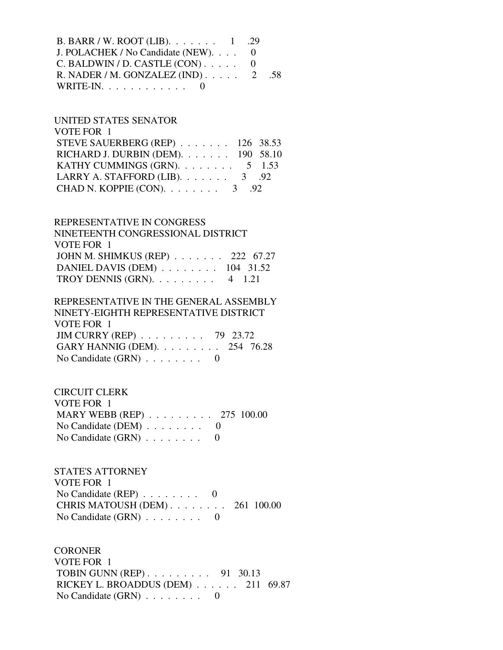| B. BARR / W. ROOT (LIB). $\ldots \ldots \ldots 1$ . 29 |  |
|--------------------------------------------------------|--|
| J. POLACHEK / No Candidate (NEW). $\ldots$ 0           |  |
| C. BALDWIN / D. CASTLE $(CON)$ 0                       |  |
| R. NADER / M. GONZALEZ (IND) $\ldots$ . 2 .58          |  |
| WRITE-IN. $\ldots$ 0                                   |  |

## UNITED STATES SENATOR VOTE FOR 1 STEVE SAUERBERG (REP) . . . . . . . 126 38.53 RICHARD J. DURBIN (DEM). . . . . . . 190 58.10 KATHY CUMMINGS (GRN).  $\ldots$  . . . . . . 5 1.53 LARRY A. STAFFORD (LIB).  $\ldots$  . . . . . 3 .92 CHAD N. KOPPIE (CON). . . . . . . . 3 .92

#### REPRESENTATIVE IN CONGRESS

| NINETEENTH CONGRESSIONAL DISTRICT  |  |
|------------------------------------|--|
| VOTE FOR 1                         |  |
| JOHN M. SHIMKUS (REP) 222 67.27    |  |
| DANIEL DAVIS (DEM) 104 31.52       |  |
| TROY DENNIS (GRN). $\ldots$ 4 1.21 |  |

## REPRESENTATIVE IN THE GENERAL ASSEMBLY NINETY-EIGHTH REPRESENTATIVE DISTRICT VOTE FOR 1 JIM CURRY (REP) . . . . . . . . . 79 23.72 GARY HANNIG (DEM). . . . . . . . . 254 76.28 No Candidate (GRN) . . . . . . . . 0

## CIRCUIT CLERK VOTE FOR 1 MARY WEBB (REP) . . . . . . . . . 275 100.00 No Candidate (DEM) . . . . . . . . 0 No Candidate (GRN) . . . . . . . . 0

## STATE'S ATTORNEY VOTE FOR 1 No Candidate (REP)  $\ldots \ldots \ldots$  0 CHRIS MATOUSH (DEM) . . . . . . . . 261 100.00 No Candidate  $(GRN)$  . . . . . . . . 0

## **CORONER**  VOTE FOR 1 TOBIN GUNN (REP) . . . . . . . . . 91 30.13 RICKEY L. BROADDUS (DEM) . . . . . . 211 69.87 No Candidate (GRN) . . . . . . . . 0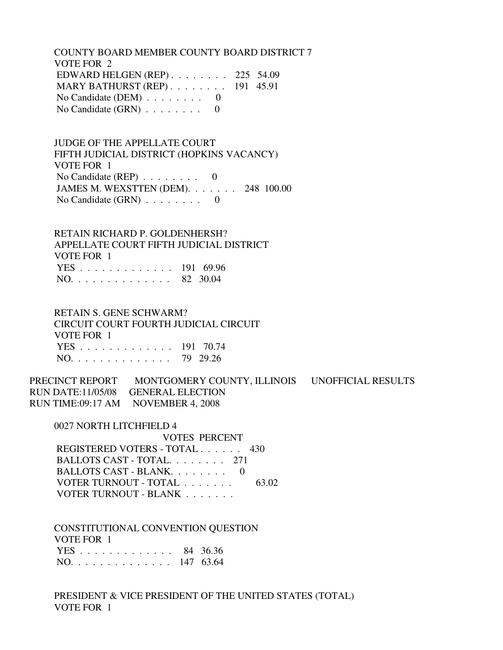COUNTY BOARD MEMBER COUNTY BOARD DISTRICT 7 VOTE FOR 2 EDWARD HELGEN (REP) . . . . . . . . 225 54.09 MARY BATHURST (REP) . . . . . . . . 191 45.91 No Candidate (DEM)  $\ldots \ldots \ldots$  0 No Candidate  $(GRN)$  . . . . . . . . 0

 JUDGE OF THE APPELLATE COURT FIFTH JUDICIAL DISTRICT (HOPKINS VACANCY) VOTE FOR 1 No Candidate (REP)  $\ldots$ ...... 0 JAMES M. WEXSTTEN (DEM). . . . . . . 248 100.00 No Candidate (GRN) . . . . . . . . 0

 RETAIN RICHARD P. GOLDENHERSH? APPELLATE COURT FIFTH JUDICIAL DISTRICT VOTE FOR 1 YES . . . . . . . . . . . . . 191 69.96 NO. . . . . . . . . . . . . . 82 30.04

 RETAIN S. GENE SCHWARM? CIRCUIT COURT FOURTH JUDICIAL CIRCUIT VOTE FOR 1 YES . . . . . . . . . . . . . 191 70.74 NO. . . . . . . . . . . . . . 79 29.26

PRECINCT REPORT MONTGOMERY COUNTY, ILLINOIS UNOFFICIAL RESULTS RUN DATE:11/05/08 GENERAL ELECTION RUN TIME:09:17 AM NOVEMBER 4, 2008

0027 NORTH LITCHFIELD 4

 VOTES PERCENT REGISTERED VOTERS - TOTAL . . . . . . 430 BALLOTS CAST - TOTAL. . . . . . . . 271 BALLOTS CAST - BLANK. . . . . . . . 0 VOTER TURNOUT - TOTAL . . . . . . . 63.02 VOTER TURNOUT - BLANK . . . . . . .

 CONSTITUTIONAL CONVENTION QUESTION VOTE FOR 1 YES . . . . . . . . . . . . . 84 36.36 NO. . . . . . . . . . . . . . 147 63.64

 PRESIDENT & VICE PRESIDENT OF THE UNITED STATES (TOTAL) VOTE FOR 1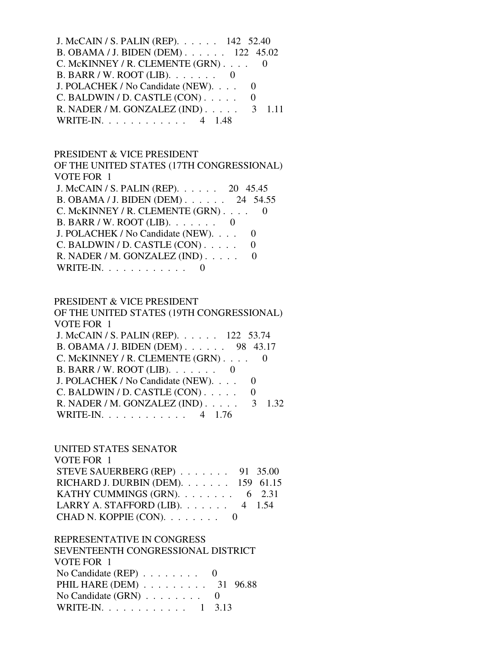| J. McCAIN / S. PALIN (REP). 142 52.40              |
|----------------------------------------------------|
| B. OBAMA / J. BIDEN (DEM) 122 45.02                |
| C. McKINNEY / R. CLEMENTE (GRN) 0                  |
| B. BARR / W. ROOT (LIB). $\ldots \ldots$ 0         |
| J. POLACHEK / No Candidate (NEW).                  |
| $C.$ BALDWIN / D. CASTLE $(CON)$                   |
| R. NADER / M. GONZALEZ (IND) $\ldots$ 3<br>$-1.11$ |
| WRITE-IN. 4 1.48                                   |

# PRESIDENT & VICE PRESIDENT

| OF THE UNITED STATES (17TH CONGRESSIONAL) |   |
|-------------------------------------------|---|
| <b>VOTE FOR 1</b>                         |   |
| J. McCAIN / S. PALIN (REP). 20 45.45      |   |
| B. OBAMA / J. BIDEN (DEM) 24 54.55        |   |
| C. McKINNEY / R. CLEMENTE (GRN)           |   |
| B. BARR / W. ROOT (LIB). $\ldots$ 0       |   |
| J. POLACHEK / No Candidate (NEW).         |   |
| C. BALDWIN / D. CASTLE (CON)              | 0 |
| R. NADER / M. GONZALEZ (IND)              |   |
| WRITE-IN. $\ldots$                        |   |
|                                           |   |

# PRESIDENT & VICE PRESIDENT

| OF THE UNITED STATES (19TH CONGRESSIONAL) |
|-------------------------------------------|
| VOTE FOR 1                                |
| J. McCAIN / S. PALIN (REP). 122 53.74     |
| B. OBAMA / J. BIDEN (DEM) 98 43.17        |
| C. McKINNEY / R. CLEMENTE (GRN)           |
| B. BARR / W. ROOT (LIB). $\ldots$         |
| J. POLACHEK / No Candidate (NEW).         |
| C. BALDWIN / D. CASTLE (CON)              |
| R. NADER / M. GONZALEZ (IND).<br>1.32     |
| $WRITE-IN. \ldots \ldots \ldots$          |

# UNITED STATES SENATOR

| VOTE FOR 1                               |  |
|------------------------------------------|--|
| STEVE SAUERBERG (REP) $\ldots$ 91 35.00  |  |
| RICHARD J. DURBIN (DEM). 159 61.15       |  |
| KATHY CUMMINGS (GRN). $\ldots$ 6 2.31    |  |
| LARRY A. STAFFORD (LIB). $\ldots$ 4 1.54 |  |
| CHAD N. KOPPIE $(CON)$ . 0               |  |

# REPRESENTATIVE IN CONGRESS

| SEVENTEENTH CONGRESSIONAL DISTRICT               |  |
|--------------------------------------------------|--|
| VOTE FOR 1                                       |  |
| No Candidate (REP) $\ldots \ldots \ldots \ldots$ |  |
| PHIL HARE (DEM) 31 96.88                         |  |
| No Candidate $(GRN)$ 0                           |  |
| WRITE-IN. 1 3.13                                 |  |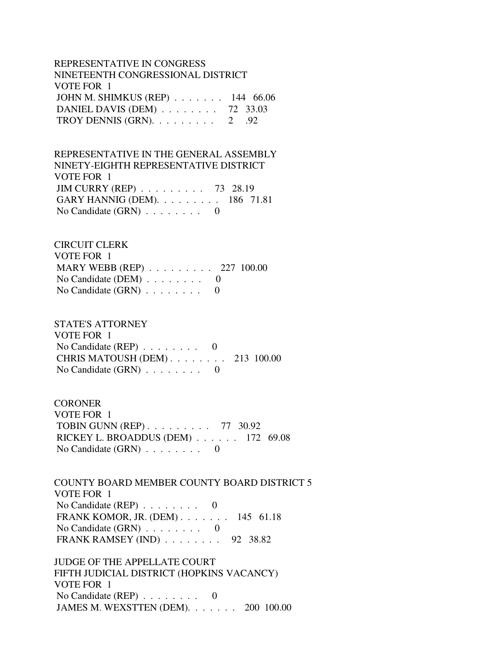## REPRESENTATIVE IN CONGRESS NINETEENTH CONGRESSIONAL DISTRICT VOTE FOR 1 JOHN M. SHIMKUS (REP) . . . . . . . 144 66.06 DANIEL DAVIS (DEM) . . . . . . . . 72 33.03 TROY DENNIS (GRN).  $\ldots \ldots \ldots 2$  .92

 REPRESENTATIVE IN THE GENERAL ASSEMBLY NINETY-EIGHTH REPRESENTATIVE DISTRICT VOTE FOR 1 JIM CURRY (REP) . . . . . . . . . 73 28.19 GARY HANNIG (DEM). . . . . . . . . 186 71.81 No Candidate  $(GRN)$  . . . . . . . . 0

#### CIRCUIT CLERK

| VOTE FOR 1                                        |  |
|---------------------------------------------------|--|
| MARY WEBB (REP) $\ldots \ldots \ldots 227$ 100.00 |  |
| No Candidate (DEM) $\ldots \ldots \ldots$ 0       |  |
| No Candidate $(GRN)$ 0                            |  |

# STATE'S ATTORNEY

 VOTE FOR 1 No Candidate (REP) . . . . . . . . 0 CHRIS MATOUSH (DEM) . . . . . . . . 213 100.00 No Candidate (GRN) . . . . . . . . 0

#### **CORONER**

 VOTE FOR 1 TOBIN GUNN (REP) . . . . . . . . . 77 30.92 RICKEY L. BROADDUS (DEM) . . . . . . 172 69.08 No Candidate (GRN) . . . . . . . . 0

## COUNTY BOARD MEMBER COUNTY BOARD DISTRICT 5 VOTE FOR 1 No Candidate (REP) . . . . . . . . 0 FRANK KOMOR, JR. (DEM) . . . . . . . 145 61.18 No Candidate (GRN)  $\ldots \ldots \ldots$  0 FRANK RAMSEY (IND) . . . . . . . . 92 38.82

 JUDGE OF THE APPELLATE COURT FIFTH JUDICIAL DISTRICT (HOPKINS VACANCY) VOTE FOR 1 No Candidate (REP) . . . . . . . . 0 JAMES M. WEXSTTEN (DEM). . . . . . . 200 100.00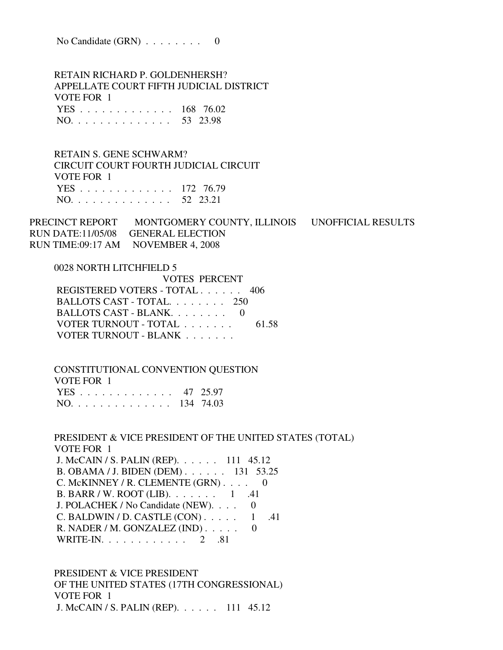No Candidate (GRN) . . . . . . . . 0

 RETAIN RICHARD P. GOLDENHERSH? APPELLATE COURT FIFTH JUDICIAL DISTRICT VOTE FOR 1 YES . . . . . . . . . . . . . 168 76.02 NO. . . . . . . . . . . . . . 53 23.98

 RETAIN S. GENE SCHWARM? CIRCUIT COURT FOURTH JUDICIAL CIRCUIT VOTE FOR 1 YES . . . . . . . . . . . . . 172 76.79 NO. . . . . . . . . . . . . . 52 23.21

PRECINCT REPORT MONTGOMERY COUNTY, ILLINOIS UNOFFICIAL RESULTS RUN DATE:11/05/08 GENERAL ELECTION RUN TIME:09:17 AM NOVEMBER 4, 2008

 0028 NORTH LITCHFIELD 5 VOTES PERCENT REGISTERED VOTERS - TOTAL . . . . . . 406 BALLOTS CAST - TOTAL. . . . . . . . 250 BALLOTS CAST - BLANK. . . . . . . . 0 VOTER TURNOUT - TOTAL . . . . . . . 61.58 VOTER TURNOUT - BLANK . . . . . . .

 CONSTITUTIONAL CONVENTION QUESTION VOTE FOR 1 YES . . . . . . . . . . . . . 47 25.97 NO. . . . . . . . . . . . . . 134 74.03

 PRESIDENT & VICE PRESIDENT OF THE UNITED STATES (TOTAL) VOTE FOR 1 J. McCAIN / S. PALIN (REP). . . . . . 111 45.12 B. OBAMA / J. BIDEN (DEM) . . . . . . 131 53.25 C. McKINNEY / R. CLEMENTE (GRN) . . . . 0 B. BARR / W. ROOT (LIB). . . . . . . 1 .41 J. POLACHEK / No Candidate (NEW). . . . 0 C. BALDWIN / D. CASTLE  $(CON)$ . . . . . 1 .41 R. NADER / M. GONZALEZ (IND) . . . . . 0 WRITE-IN. . . . . . . . . . . . 2 .81

 PRESIDENT & VICE PRESIDENT OF THE UNITED STATES (17TH CONGRESSIONAL) VOTE FOR 1 J. McCAIN / S. PALIN (REP). . . . . . 111 45.12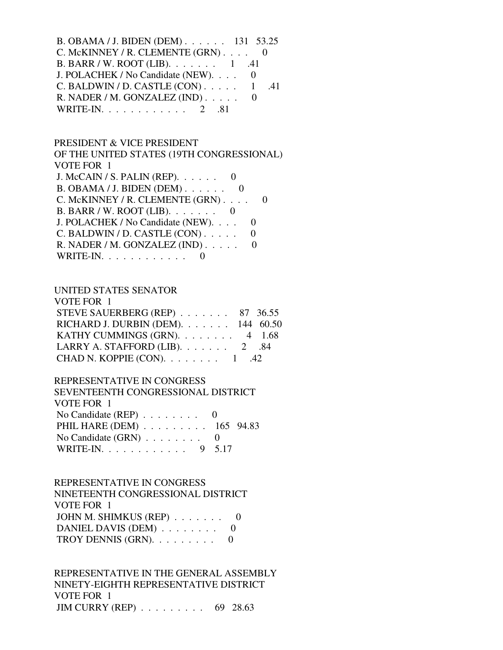| B. OBAMA / J. BIDEN (DEM) 131 53.25                   |  |
|-------------------------------------------------------|--|
| C. McKINNEY / R. CLEMENTE $(GRN)$ 0                   |  |
| B. BARR / W. ROOT (LIB). $\ldots \ldots \ldots 1$ .41 |  |
| J. POLACHEK / No Candidate (NEW). 0                   |  |
| C. BALDWIN / D. CASTLE $(CON)$ 1 .41                  |  |
| R. NADER / M. GONZALEZ (IND)                          |  |
| WRITE-IN. $\ldots$ $\ldots$ $\ldots$ $2$ .81          |  |

#### PRESIDENT & VICE PRESIDENT

 OF THE UNITED STATES (19TH CONGRESSIONAL) VOTE FOR 1 J. McCAIN / S. PALIN (REP). . . . . . 0 B. OBAMA / J. BIDEN (DEM) . . . . . . 0 C. McKINNEY / R. CLEMENTE (GRN) . . . . 0 B. BARR / W. ROOT (LIB). . . . . . . 0 J. POLACHEK / No Candidate (NEW). . . . 0 C. BALDWIN / D. CASTLE  $(CON)$ ..... 0 R. NADER / M. GONZALEZ (IND) . . . . . 0 WRITE-IN.  $\ldots$  . . . . . . . . . 0

## UNITED STATES SENATOR

| STEVE SAUERBERG (REP) 87 36.55                                                  |
|---------------------------------------------------------------------------------|
| RICHARD J. DURBIN (DEM). $\ldots$ 144 60.50                                     |
| KATHY CUMMINGS (GRN). $\ldots$ 4 1.68                                           |
|                                                                                 |
|                                                                                 |
| LARRY A. STAFFORD (LIB). $\ldots$ 2 .84<br>CHAD N. KOPPIE (CON). $\ldots$ 1 .42 |

## REPRESENTATIVE IN CONGRESS

| SEVENTEENTH CONGRESSIONAL DISTRICT          |  |
|---------------------------------------------|--|
| VOTE FOR 1                                  |  |
| No Candidate (REP) $\ldots \ldots \ldots$ 0 |  |
| PHIL HARE (DEM) 165 94.83                   |  |
| No Candidate $(GRN)$ 0                      |  |
| WRITE-IN. 9 5.17                            |  |

#### REPRESENTATIVE IN CONGRESS

 NINETEENTH CONGRESSIONAL DISTRICT VOTE FOR 1 JOHN M. SHIMKUS (REP) . . . . . . . 0 DANIEL DAVIS (DEM) . . . . . . . . 0 TROY DENNIS (GRN).  $\ldots \ldots \ldots$  0

 REPRESENTATIVE IN THE GENERAL ASSEMBLY NINETY-EIGHTH REPRESENTATIVE DISTRICT VOTE FOR 1 JIM CURRY (REP) . . . . . . . . . 69 28.63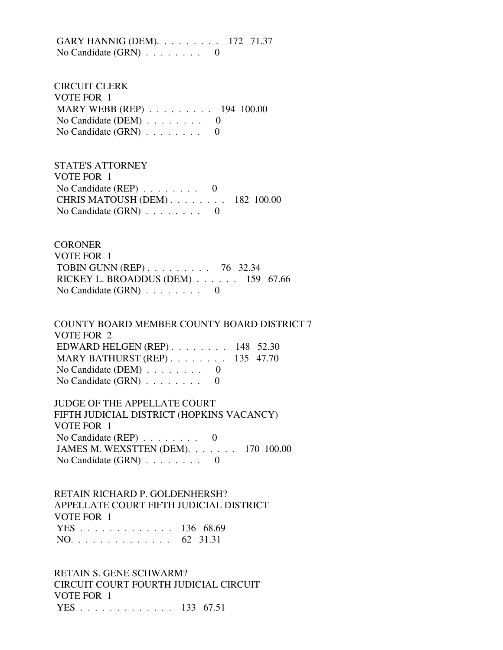GARY HANNIG (DEM). . . . . . . . . 172 71.37 No Candidate (GRN) . . . . . . . . 0

 CIRCUIT CLERK VOTE FOR 1 MARY WEBB (REP) . . . . . . . . . 194 100.00 No Candidate (DEM)  $\ldots$  . . . . . . 0 No Candidate (GRN) . . . . . . . . 0

 STATE'S ATTORNEY VOTE FOR 1 No Candidate (REP) . . . . . . . . 0 CHRIS MATOUSH (DEM) . . . . . . . . 182 100.00 No Candidate  $(GRN)$  . . . . . . . . 0

**CORONER**  VOTE FOR 1 TOBIN GUNN (REP) . . . . . . . . . 76 32.34 RICKEY L. BROADDUS (DEM) . . . . . . 159 67.66 No Candidate (GRN) . . . . . . . . 0

 COUNTY BOARD MEMBER COUNTY BOARD DISTRICT 7 VOTE FOR 2 EDWARD HELGEN (REP) . . . . . . . . 148 52.30 MARY BATHURST (REP) . . . . . . . . 135 47.70 No Candidate (DEM)  $\ldots$  . . . . . . 0 No Candidate (GRN) . . . . . . . . 0

 JUDGE OF THE APPELLATE COURT FIFTH JUDICIAL DISTRICT (HOPKINS VACANCY) VOTE FOR 1 No Candidate (REP) . . . . . . . . 0 JAMES M. WEXSTTEN (DEM). . . . . . . 170 100.00 No Candidate (GRN) . . . . . . . . 0

 RETAIN RICHARD P. GOLDENHERSH? APPELLATE COURT FIFTH JUDICIAL DISTRICT VOTE FOR 1 YES . . . . . . . . . . . . . 136 68.69 NO. . . . . . . . . . . . . . 62 31.31

 RETAIN S. GENE SCHWARM? CIRCUIT COURT FOURTH JUDICIAL CIRCUIT VOTE FOR 1 YES . . . . . . . . . . . . . 133 67.51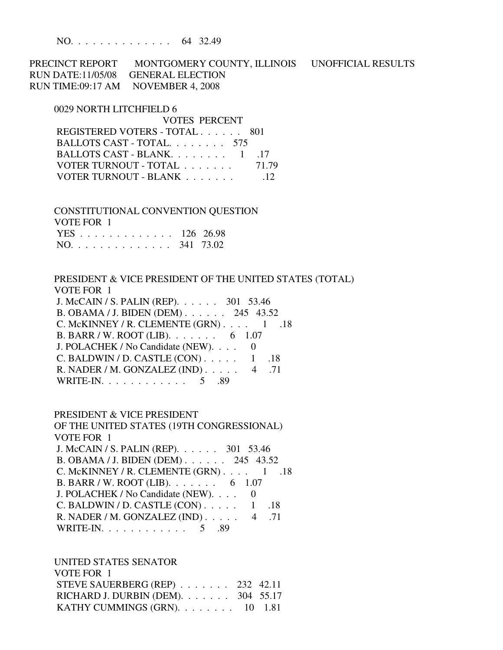NO. . . . . . . . . . . . . . 64 32.49

PRECINCT REPORT MONTGOMERY COUNTY, ILLINOIS UNOFFICIAL RESULTS RUN DATE:11/05/08 GENERAL ELECTION RUN TIME:09:17 AM NOVEMBER 4, 2008

#### 0029 NORTH LITCHFIELD 6

| VOTES PERCENT                 |       |
|-------------------------------|-------|
| REGISTERED VOTERS - TOTAL 801 |       |
| BALLOTS CAST - TOTAL 575      |       |
| BALLOTS CAST - BLANK. 1 .17   |       |
| VOTER TURNOUT - TOTAL         | 71.79 |
| VOTER TURNOUT - BLANK         |       |

 CONSTITUTIONAL CONVENTION QUESTION VOTE FOR 1 YES . . . . . . . . . . . . . 126 26.98 NO. . . . . . . . . . . . . . 341 73.02

 PRESIDENT & VICE PRESIDENT OF THE UNITED STATES (TOTAL) VOTE FOR 1 J. McCAIN / S. PALIN (REP). . . . . . 301 53.46 B. OBAMA / J. BIDEN (DEM) . . . . . . 245 43.52 C. McKINNEY / R. CLEMENTE  $(GRN)$ . . . . 1 .18 B. BARR / W. ROOT (LIB). . . . . . . 6 1.07 J. POLACHEK / No Candidate (NEW). . . . 0 C. BALDWIN / D. CASTLE  $(CON)$ . . . . . 1 .18 R. NADER / M. GONZALEZ (IND) . . . . . 4 .71 WRITE-IN. . . . . . . . . . . . . 5 .89

#### PRESIDENT & VICE PRESIDENT

 OF THE UNITED STATES (19TH CONGRESSIONAL) VOTE FOR 1 J. McCAIN / S. PALIN (REP). . . . . . 301 53.46 B. OBAMA / J. BIDEN (DEM) . . . . . . 245 43.52 C. McKINNEY / R. CLEMENTE  $(GRN)$ . . . . 1 .18 B. BARR / W. ROOT (LIB). . . . . . . 6 1.07 J. POLACHEK / No Candidate (NEW). . . . 0 C. BALDWIN / D. CASTLE  $(CON)$ . . . . . 1 .18 R. NADER / M. GONZALEZ (IND) . . . . . 4 .71 WRITE-IN. . . . . . . . . . . . . 5 .89

UNITED STATES SENATOR

| VOTE FOR 1                                  |  |
|---------------------------------------------|--|
| STEVE SAUERBERG (REP) $\ldots$ 232 42.11    |  |
| RICHARD J. DURBIN (DEM). $\ldots$ 304 55.17 |  |
| KATHY CUMMINGS $(GRN)$ . 10 1.81            |  |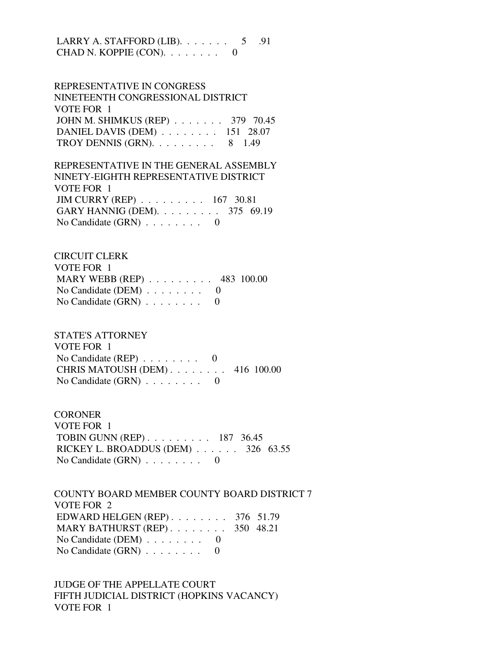LARRY A. STAFFORD (LIB).  $\ldots$  . . . . . 5 .91 CHAD N. KOPPIE  $(CON)$ . . . . . . . .

 REPRESENTATIVE IN CONGRESS NINETEENTH CONGRESSIONAL DISTRICT VOTE FOR 1 JOHN M. SHIMKUS (REP) . . . . . . . 379 70.45 DANIEL DAVIS (DEM) . . . . . . . . 151 28.07 TROY DENNIS (GRN).  $\ldots$  . . . . . . 8 1.49

 REPRESENTATIVE IN THE GENERAL ASSEMBLY NINETY-EIGHTH REPRESENTATIVE DISTRICT VOTE FOR 1 JIM CURRY (REP) . . . . . . . . . 167 30.81 GARY HANNIG (DEM). . . . . . . . . 375 69.19 No Candidate  $(GRN)$  . . . . . . . . 0

 CIRCUIT CLERK VOTE FOR 1 MARY WEBB (REP) . . . . . . . . . 483 100.00 No Candidate (DEM) . . . . . . . . 0 No Candidate  $(GRN)$  . . . . . . . . 0

 STATE'S ATTORNEY VOTE FOR 1 No Candidate  $(REP)$  . . . . . . . . 0 CHRIS MATOUSH (DEM) . . . . . . . . 416 100.00 No Candidate (GRN) . . . . . . . . 0

**CORONER**  VOTE FOR 1 TOBIN GUNN (REP) . . . . . . . . . 187 36.45 RICKEY L. BROADDUS (DEM) . . . . . . 326 63.55 No Candidate (GRN) . . . . . . . . 0

 COUNTY BOARD MEMBER COUNTY BOARD DISTRICT 7 VOTE FOR 2 EDWARD HELGEN (REP) . . . . . . . . 376 51.79 MARY BATHURST (REP) . . . . . . . . 350 48.21 No Candidate (DEM)  $\ldots$  . . . . . . 0 No Candidate (GRN) . . . . . . . . 0

 JUDGE OF THE APPELLATE COURT FIFTH JUDICIAL DISTRICT (HOPKINS VACANCY) VOTE FOR 1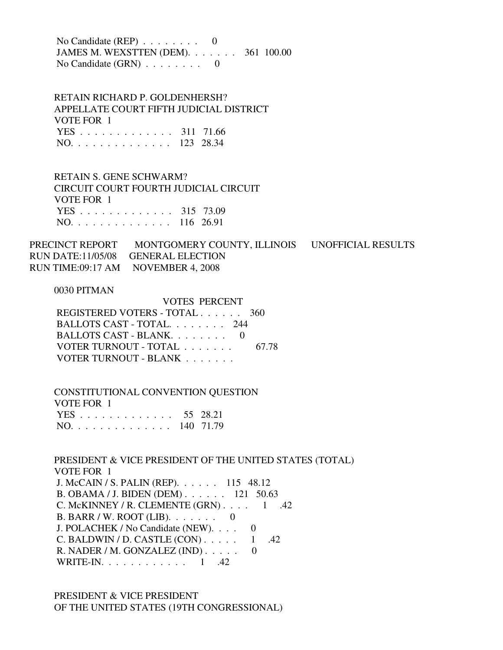No Candidate (REP) . . . . . . . . 0 JAMES M. WEXSTTEN (DEM). . . . . . . 361 100.00 No Candidate (GRN) . . . . . . . . 0

 RETAIN RICHARD P. GOLDENHERSH? APPELLATE COURT FIFTH JUDICIAL DISTRICT VOTE FOR 1 YES . . . . . . . . . . . . . 311 71.66 NO. . . . . . . . . . . . . . 123 28.34

 RETAIN S. GENE SCHWARM? CIRCUIT COURT FOURTH JUDICIAL CIRCUIT VOTE FOR 1 YES . . . . . . . . . . . . . 315 73.09 NO. . . . . . . . . . . . . . 116 26.91

PRECINCT REPORT MONTGOMERY COUNTY, ILLINOIS UNOFFICIAL RESULTS RUN DATE:11/05/08 GENERAL ELECTION RUN TIME:09:17 AM NOVEMBER 4, 2008

#### 0030 PITMAN

 VOTES PERCENT REGISTERED VOTERS - TOTAL . . . . . . 360 BALLOTS CAST - TOTAL. . . . . . . . 244 BALLOTS CAST - BLANK. . . . . . . . 0 VOTER TURNOUT - TOTAL . . . . . . . 67.78 VOTER TURNOUT - BLANK . . . . . . .

 CONSTITUTIONAL CONVENTION QUESTION VOTE FOR 1 YES . . . . . . . . . . . . . 55 28.21 NO. . . . . . . . . . . . . . 140 71.79

 PRESIDENT & VICE PRESIDENT OF THE UNITED STATES (TOTAL) VOTE FOR 1 J. McCAIN / S. PALIN (REP). . . . . . 115 48.12 B. OBAMA / J. BIDEN (DEM) . . . . . . 121 50.63 C. McKINNEY / R. CLEMENTE  $(GRN)$ . . . . 1 .42 B. BARR / W. ROOT (LIB). . . . . . . 0 J. POLACHEK / No Candidate (NEW). . . . 0 C. BALDWIN / D. CASTLE  $(CON)$ . . . . . 1 .42 R. NADER / M. GONZALEZ (IND) . . . . . 0 WRITE-IN. . . . . . . . . . . . 1 .42

 PRESIDENT & VICE PRESIDENT OF THE UNITED STATES (19TH CONGRESSIONAL)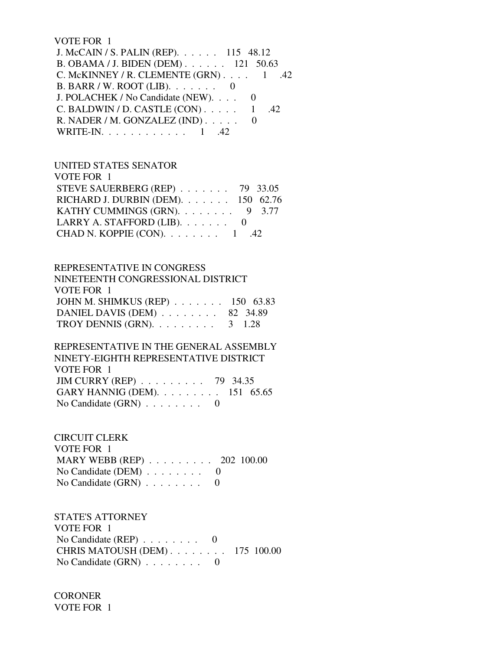#### VOTE FOR 1

| J. McCAIN / S. PALIN (REP). 115 48.12   |  |
|-----------------------------------------|--|
| B. OBAMA / J. BIDEN (DEM). 121 50.63    |  |
| C. McKINNEY / R. CLEMENTE $(GRN)$ 1 .42 |  |
| B. BARR / W. ROOT (LIB). $\ldots$ 0     |  |
| J. POLACHEK / No Candidate (NEW). 0     |  |
| C. BALDWIN / D. CASTLE $(CON)$ 1 .42    |  |
| R. NADER / M. GONZALEZ $(IND)$          |  |
| WRITE-IN. $\ldots$ 1 .42                |  |

#### UNITED STATES SENATOR

| VOTE FOR 1                                 |  |
|--------------------------------------------|--|
| STEVE SAUERBERG (REP) $\ldots$ 79 33.05    |  |
| RICHARD J. DURBIN (DEM). 150 62.76         |  |
| KATHY CUMMINGS (GRN). $\ldots$ 9 3.77      |  |
| LARRY A. STAFFORD (LIB). $\ldots \ldots$ 0 |  |
| CHAD N. KOPPIE (CON). $\ldots$ 1 .42       |  |
|                                            |  |

## REPRESENTATIVE IN CONGRESS

| NINETEENTH CONGRESSIONAL DISTRICT                |  |
|--------------------------------------------------|--|
| VOTE FOR 1                                       |  |
| JOHN M. SHIMKUS (REP) 150 63.83                  |  |
| DANIEL DAVIS (DEM) 82 34.89                      |  |
| TROY DENNIS (GRN). $\ldots \ldots \ldots$ 3 1.28 |  |

## REPRESENTATIVE IN THE GENERAL ASSEMBLY NINETY-EIGHTH REPRESENTATIVE DISTRICT VOTE FOR 1 JIM CURRY (REP) . . . . . . . . . 79 34.35 GARY HANNIG (DEM). . . . . . . . . 151 65.65 No Candidate (GRN)  $\ldots$  . . . . . . 0

## CIRCUIT CLERK VOTE FOR 1 MARY WEBB (REP) . . . . . . . . . 202 100.00 No Candidate (DEM)  $\ldots \ldots \ldots$  0 No Candidate  $(GRN)$  . . . . . . . . 0

## STATE'S ATTORNEY VOTE FOR 1 No Candidate (REP) . . . . . . . . 0 CHRIS MATOUSH (DEM) . . . . . . . . 175 100.00 No Candidate (GRN) . . . . . . . . 0

**CORONER** VOTE FOR 1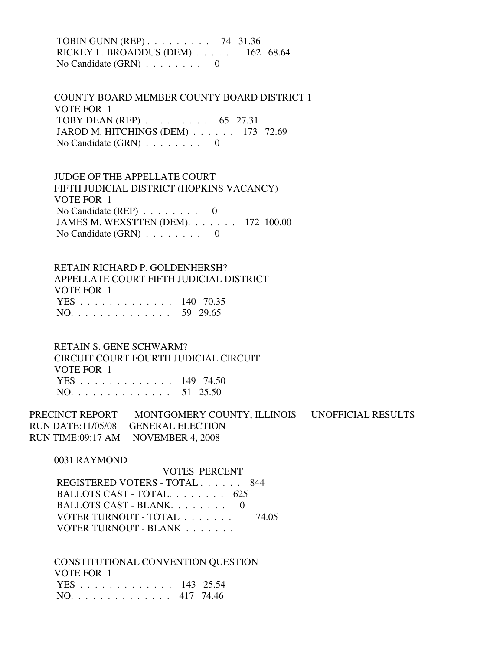TOBIN GUNN (REP) . . . . . . . . . 74 31.36 RICKEY L. BROADDUS (DEM) . . . . . . 162 68.64 No Candidate (GRN) . . . . . . . . 0

 COUNTY BOARD MEMBER COUNTY BOARD DISTRICT 1 VOTE FOR 1 TOBY DEAN (REP) . . . . . . . . . 65 27.31 JAROD M. HITCHINGS (DEM) . . . . . . 173 72.69 No Candidate (GRN) . . . . . . . . 0

 JUDGE OF THE APPELLATE COURT FIFTH JUDICIAL DISTRICT (HOPKINS VACANCY) VOTE FOR 1 No Candidate  $(REP)$  . . . . . . . . 0 JAMES M. WEXSTTEN (DEM). . . . . . . 172 100.00 No Candidate (GRN) . . . . . . . . 0

 RETAIN RICHARD P. GOLDENHERSH? APPELLATE COURT FIFTH JUDICIAL DISTRICT VOTE FOR 1 YES . . . . . . . . . . . . . 140 70.35 NO. . . . . . . . . . . . . . 59 29.65

 RETAIN S. GENE SCHWARM? CIRCUIT COURT FOURTH JUDICIAL CIRCUIT VOTE FOR 1 YES . . . . . . . . . . . . . 149 74.50 NO. . . . . . . . . . . . . . 51 25.50

PRECINCT REPORT MONTGOMERY COUNTY, ILLINOIS UNOFFICIAL RESULTS RUN DATE:11/05/08 GENERAL ELECTION RUN TIME:09:17 AM NOVEMBER 4, 2008

0031 RAYMOND

 VOTES PERCENT REGISTERED VOTERS - TOTAL . . . . . . 844 BALLOTS CAST - TOTAL. . . . . . . . 625 BALLOTS CAST - BLANK. . . . . . . . 0 VOTER TURNOUT - TOTAL . . . . . . . 74.05 VOTER TURNOUT - BLANK . . . . . . .

 CONSTITUTIONAL CONVENTION QUESTION VOTE FOR 1 YES . . . . . . . . . . . . . 143 25.54 NO. . . . . . . . . . . . . . 417 74.46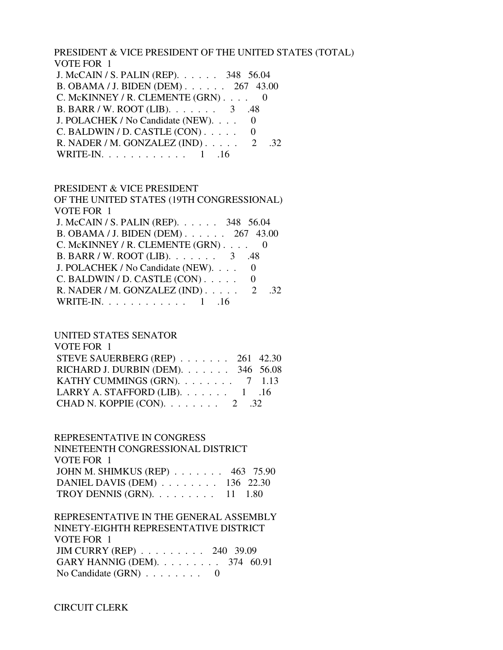PRESIDENT & VICE PRESIDENT OF THE UNITED STATES (TOTAL) VOTE FOR 1

| J. McCAIN / S. PALIN (REP). 348 56.04           |  |
|-------------------------------------------------|--|
| B. OBAMA / J. BIDEN (DEM) 267 43.00             |  |
| C. McKINNEY / R. CLEMENTE $(GRN)$ 0             |  |
| B. BARR / W. ROOT (LIB). $\ldots$ 3 .48         |  |
| J. POLACHEK / No Candidate (NEW). 0             |  |
| C. BALDWIN / D. CASTLE (CON)                    |  |
| R. NADER / M. GONZALEZ (IND) $\ldots$ 2<br>-32. |  |
| WRITE-IN. 1 .16                                 |  |

#### PRESIDENT & VICE PRESIDENT

 OF THE UNITED STATES (19TH CONGRESSIONAL) VOTE FOR 1 J. McCAIN / S. PALIN (REP). . . . . . 348 56.04 B. OBAMA / J. BIDEN (DEM) . . . . . . 267 43.00 C. McKINNEY / R. CLEMENTE (GRN) . . . . 0 B. BARR / W. ROOT (LIB). . . . . . . 3 .48 J. POLACHEK / No Candidate (NEW). . . . 0  $C.$  BALDWIN / D. CASTLE  $(CON)$ ..... 0 R. NADER / M. GONZALEZ (IND) . . . . . 2 .32 WRITE-IN. . . . . . . . . . . . 1 .16

## UNITED STATES SENATOR

| VOTE FOR 1                              |  |
|-----------------------------------------|--|
| STEVE SAUERBERG (REP) 261 42.30         |  |
| RICHARD J. DURBIN (DEM). 346 56.08      |  |
| KATHY CUMMINGS (GRN). $\ldots$ 7 1.13   |  |
| LARRY A. STAFFORD (LIB). $\ldots$ 1 .16 |  |
| CHAD N. KOPPIE (CON). $\ldots$ 2 .32    |  |

#### REPRESENTATIVE IN CONGRESS

 NINETEENTH CONGRESSIONAL DISTRICT VOTE FOR 1 JOHN M. SHIMKUS (REP) . . . . . . . 463 75.90 DANIEL DAVIS (DEM) . . . . . . . . 136 22.30 TROY DENNIS (GRN). . . . . . . . . 11 1.80

 REPRESENTATIVE IN THE GENERAL ASSEMBLY NINETY-EIGHTH REPRESENTATIVE DISTRICT VOTE FOR 1 JIM CURRY (REP) . . . . . . . . . 240 39.09 GARY HANNIG (DEM). . . . . . . . . 374 60.91 No Candidate (GRN) . . . . . . . . 0

CIRCUIT CLERK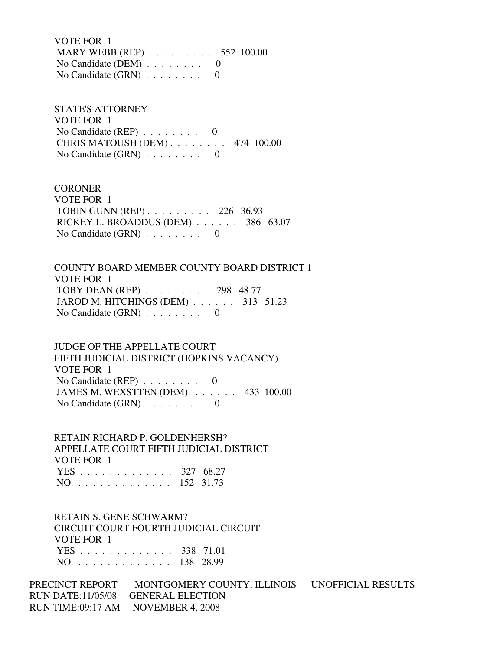VOTE FOR 1 MARY WEBB (REP) . . . . . . . . . 552 100.00 No Candidate (DEM) . . . . . . . . 0 No Candidate  $(GRN)$  . . . . . . . . 0

 STATE'S ATTORNEY VOTE FOR 1 No Candidate (REP)  $\ldots$  . . . . . . 0 CHRIS MATOUSH (DEM) . . . . . . . . 474 100.00 No Candidate  $(GRN)$  . . . . . . . . 0

**CORONER**  VOTE FOR 1 TOBIN GUNN (REP) . . . . . . . . . 226 36.93 RICKEY L. BROADDUS (DEM) . . . . . . 386 63.07 No Candidate (GRN) . . . . . . . . 0

 COUNTY BOARD MEMBER COUNTY BOARD DISTRICT 1 VOTE FOR 1 TOBY DEAN (REP) . . . . . . . . . 298 48.77 JAROD M. HITCHINGS (DEM) . . . . . . 313 51.23 No Candidate (GRN) . . . . . . . . 0

 JUDGE OF THE APPELLATE COURT FIFTH JUDICIAL DISTRICT (HOPKINS VACANCY) VOTE FOR 1 No Candidate (REP)  $\ldots$  . . . . . . 0 JAMES M. WEXSTTEN (DEM). . . . . . . 433 100.00 No Candidate (GRN) . . . . . . . . 0

 RETAIN RICHARD P. GOLDENHERSH? APPELLATE COURT FIFTH JUDICIAL DISTRICT VOTE FOR 1 YES . . . . . . . . . . . . . 327 68.27 NO. . . . . . . . . . . . . . 152 31.73

 RETAIN S. GENE SCHWARM? CIRCUIT COURT FOURTH JUDICIAL CIRCUIT VOTE FOR 1 YES . . . . . . . . . . . . . 338 71.01 NO. . . . . . . . . . . . . . 138 28.99

PRECINCT REPORT MONTGOMERY COUNTY, ILLINOIS UNOFFICIAL RESULTS RUN DATE:11/05/08 GENERAL ELECTION RUN TIME:09:17 AM NOVEMBER 4, 2008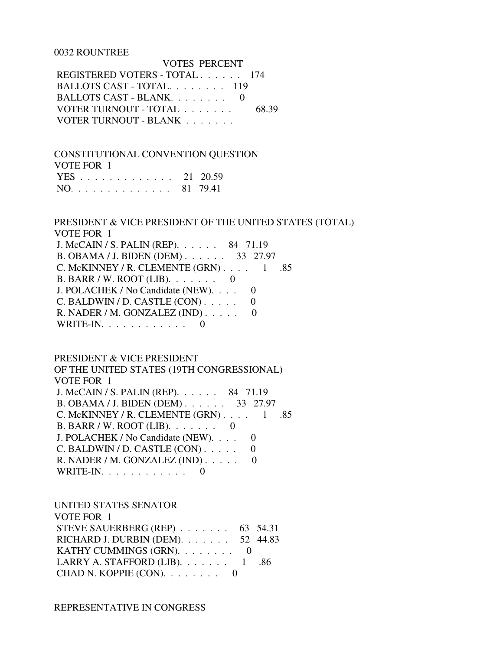#### 0032 ROUNTREE

 VOTES PERCENT REGISTERED VOTERS - TOTAL . . . . . . 174 BALLOTS CAST - TOTAL. . . . . . . . 119 BALLOTS CAST - BLANK. . . . . . . . 0 VOTER TURNOUT - TOTAL . . . . . . . 68.39 VOTER TURNOUT - BLANK . . . . . . .

 CONSTITUTIONAL CONVENTION QUESTION VOTE FOR 1

|  |  |  |  |  |  |  |  | YES 21 20.59 |
|--|--|--|--|--|--|--|--|--------------|
|  |  |  |  |  |  |  |  | NO. 81 79.41 |

## PRESIDENT & VICE PRESIDENT OF THE UNITED STATES (TOTAL) VOTE FOR 1

 J. McCAIN / S. PALIN (REP). . . . . . 84 71.19 B. OBAMA / J. BIDEN (DEM) . . . . . . 33 27.97 C. McKINNEY / R. CLEMENTE (GRN) . . . . 1 .85 B. BARR / W. ROOT (LIB). . . . . . . 0 J. POLACHEK / No Candidate (NEW). . . . 0  $C.$  BALDWIN / D. CASTLE  $(CON)$ ..... 0 R. NADER / M. GONZALEZ (IND) . . . . . 0 WRITE-IN.  $\ldots$  . . . . . . . . . 0

#### PRESIDENT & VICE PRESIDENT

 OF THE UNITED STATES (19TH CONGRESSIONAL) VOTE FOR 1 J. McCAIN / S. PALIN (REP). . . . . . 84 71.19 B. OBAMA / J. BIDEN (DEM) . . . . . . 33 27.97 C. McKINNEY / R. CLEMENTE  $(GRN)$ . . . . 1 .85 B. BARR / W. ROOT (LIB). . . . . . . 0 J. POLACHEK / No Candidate (NEW). . . . 0  $C.$  BALDWIN / D. CASTLE  $(CON)$ .... 0 R. NADER / M. GONZALEZ (IND) . . . . . 0 WRITE-IN.  $\ldots$  . . . . . . . . 0

### UNITED STATES SENATOR

| VOTE FOR 1                                 |  |
|--------------------------------------------|--|
| STEVE SAUERBERG (REP) $\ldots$ 63 54.31    |  |
| RICHARD J. DURBIN (DEM). $\ldots$ 52 44.83 |  |
| KATHY CUMMINGS (GRN). $\ldots$ 0           |  |
|                                            |  |
| CHAD N. KOPPIE $(CON)$ . 0                 |  |

REPRESENTATIVE IN CONGRESS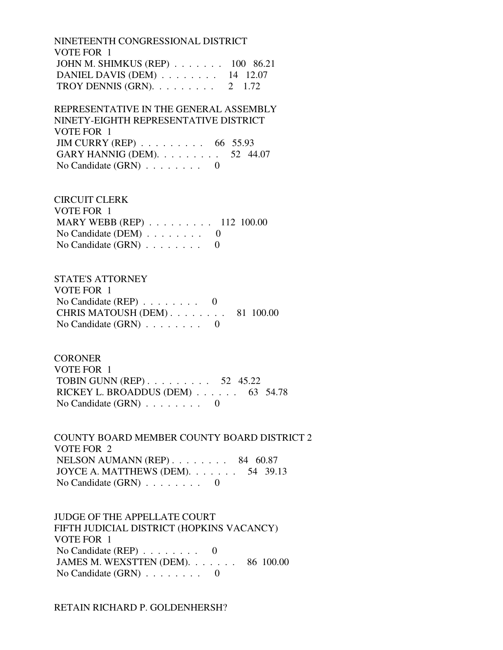NINETEENTH CONGRESSIONAL DISTRICT VOTE FOR 1 JOHN M. SHIMKUS (REP) . . . . . . . 100 86.21 DANIEL DAVIS (DEM) . . . . . . . . 14 12.07 TROY DENNIS (GRN).  $\ldots$  . . . . . . 2 1.72

 REPRESENTATIVE IN THE GENERAL ASSEMBLY NINETY-EIGHTH REPRESENTATIVE DISTRICT VOTE FOR 1 JIM CURRY (REP) . . . . . . . . . 66 55.93 GARY HANNIG (DEM). . . . . . . . . 52 44.07 No Candidate (GRN) . . . . . . . . 0

 CIRCUIT CLERK VOTE FOR 1 MARY WEBB (REP) . . . . . . . . . 112 100.00 No Candidate (DEM) . . . . . . . . 0 No Candidate  $(GRN)$  . . . . . . . . 0

 STATE'S ATTORNEY VOTE FOR 1 No Candidate (REP)  $\ldots \ldots \ldots$  0 CHRIS MATOUSH (DEM) . . . . . . . . 81 100.00 No Candidate (GRN) . . . . . . . . 0

**CORONER**  VOTE FOR 1 TOBIN GUNN (REP) . . . . . . . . . 52 45.22 RICKEY L. BROADDUS (DEM) . . . . . . 63 54.78 No Candidate  $(GRN)$  . . . . . . . . 0

 COUNTY BOARD MEMBER COUNTY BOARD DISTRICT 2 VOTE FOR 2 NELSON AUMANN (REP) . . . . . . . . 84 60.87 JOYCE A. MATTHEWS (DEM). . . . . . . 54 39.13 No Candidate (GRN) . . . . . . . . 0

 JUDGE OF THE APPELLATE COURT FIFTH JUDICIAL DISTRICT (HOPKINS VACANCY) VOTE FOR 1 No Candidate (REP)  $\ldots \ldots \ldots$  0 JAMES M. WEXSTTEN (DEM). . . . . . . 86 100.00 No Candidate (GRN) . . . . . . . . 0

RETAIN RICHARD P. GOLDENHERSH?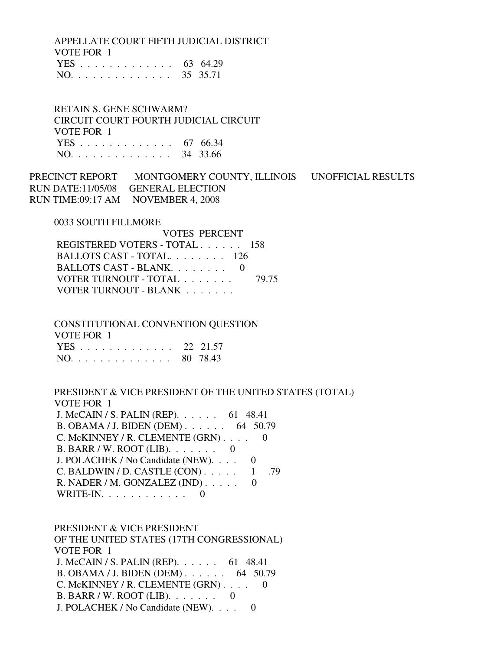APPELLATE COURT FIFTH JUDICIAL DISTRICT VOTE FOR 1

|  |  |  |  |  |  |  |  | YES 63 64.29 |
|--|--|--|--|--|--|--|--|--------------|
|  |  |  |  |  |  |  |  | NO. 35 35.71 |

 RETAIN S. GENE SCHWARM? CIRCUIT COURT FOURTH JUDICIAL CIRCUIT VOTE FOR 1 YES . . . . . . . . . . . . . 67 66.34 NO. . . . . . . . . . . . . . 34 33.66

PRECINCT REPORT MONTGOMERY COUNTY, ILLINOIS UNOFFICIAL RESULTS RUN DATE:11/05/08 GENERAL ELECTION RUN TIME:09:17 AM NOVEMBER 4, 2008

0033 SOUTH FILLMORE

| REGISTERED VOTERS - TOTAL 158 |
|-------------------------------|
| BALLOTS CAST - TOTAL. 126     |
|                               |
| 79.75                         |
|                               |
| BALLOTS CAST - BLANK $0$      |

 CONSTITUTIONAL CONVENTION QUESTION VOTE FOR 1 YES . . . . . . . . . . . . . 22 21.57 NO. . . . . . . . . . . . . . 80 78.43

 PRESIDENT & VICE PRESIDENT OF THE UNITED STATES (TOTAL) VOTE FOR 1 J. McCAIN / S. PALIN (REP). . . . . . 61 48.41 B. OBAMA / J. BIDEN (DEM) . . . . . . 64 50.79 C. McKINNEY / R. CLEMENTE (GRN) . . . . 0 B. BARR / W. ROOT (LIB). . . . . . . 0 J. POLACHEK / No Candidate (NEW). . . . 0 C. BALDWIN / D. CASTLE  $(CON)$ . . . . . 1 .79 R. NADER / M. GONZALEZ  $(IND)$ ..... 0 WRITE-IN. . . . . . . . . . . . 0

 PRESIDENT & VICE PRESIDENT OF THE UNITED STATES (17TH CONGRESSIONAL) VOTE FOR 1 J. McCAIN / S. PALIN (REP). . . . . . 61 48.41 B. OBAMA / J. BIDEN (DEM) . . . . . . 64 50.79 C. McKINNEY / R. CLEMENTE (GRN) . . . . 0 B. BARR / W. ROOT (LIB). . . . . . . 0 J. POLACHEK / No Candidate (NEW). . . . 0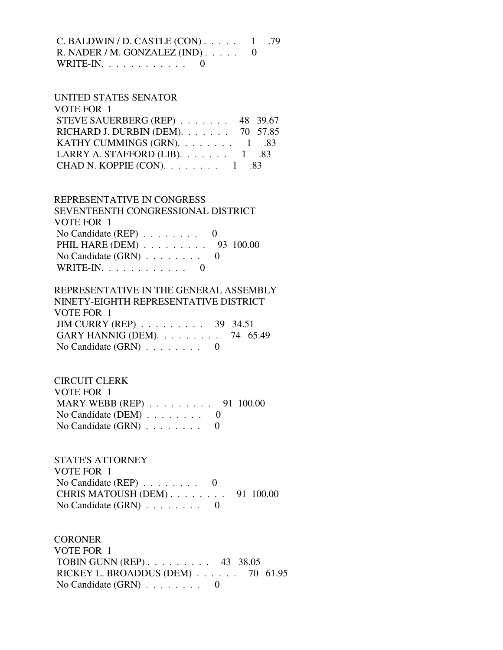| C. BALDWIN / D. CASTLE $(CON)$ 1 .79 |  |
|--------------------------------------|--|
| R. NADER / M. GONZALEZ (IND) $0$     |  |
| WRITE-IN. $\ldots$ 0                 |  |

#### UNITED STATES SENATOR  $V$ OTE FOR 1

| STEVE SAUERBERG (REP) 48 39.67             |
|--------------------------------------------|
| RICHARD J. DURBIN (DEM). $\ldots$ 70 57.85 |
| KATHY CUMMINGS (GRN). $\ldots$ 1 .83       |
|                                            |
|                                            |
|                                            |

## REPRESENTATIVE IN CONGRESS

| SEVENTEENTH CONGRESSIONAL DISTRICT          |  |
|---------------------------------------------|--|
| VOTE FOR 1                                  |  |
| No Candidate (REP) $\ldots \ldots \ldots$ 0 |  |
| PHIL HARE (DEM) 93 100.00                   |  |
| No Candidate $(GRN)$ 0                      |  |
| WRITE-IN. $\ldots$ 0                        |  |

# REPRESENTATIVE IN THE GENERAL ASSEMBLY

| NINETY-EIGHTH REPRESENTATIVE DISTRICT           |  |
|-------------------------------------------------|--|
| VOTE FOR 1                                      |  |
| JIM CURRY (REP) $\ldots \ldots \ldots$ 39 34.51 |  |
| GARY HANNIG (DEM). $\ldots$ 74 65.49            |  |
| No Candidate $(GRN)$ 0                          |  |

# CIRCUIT CLERK

| VOTE FOR 1                                       |  |
|--------------------------------------------------|--|
| MARY WEBB (REP) $\ldots \ldots \ldots$ 91 100.00 |  |
| No Candidate (DEM) $\ldots \ldots \ldots$ 0      |  |
| No Candidate $(GRN)$ 0                           |  |

## STATE'S ATTORNEY VOTE FOR 1 No Candidate (REP) . . . . . . . . 0 CHRIS MATOUSH (DEM) . . . . . . . . 91 100.00 No Candidate (GRN) . . . . . . . . 0

**CORONER**  VOTE FOR 1 TOBIN GUNN (REP) . . . . . . . . . 43 38.05 RICKEY L. BROADDUS (DEM) . . . . . . 70 61.95 No Candidate  $(GRN)$  . . . . . . . . . 0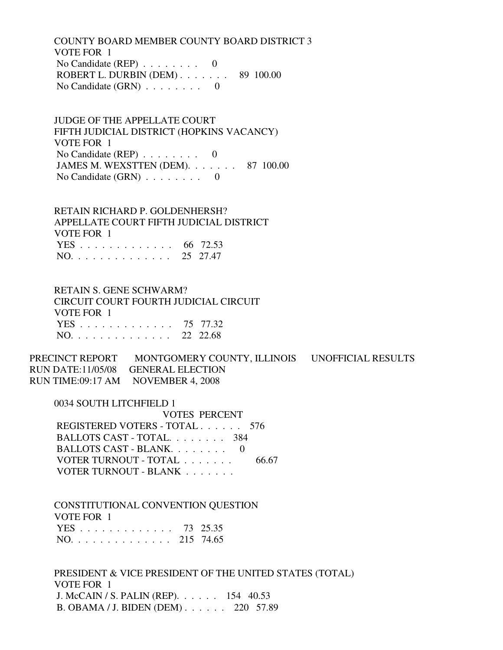COUNTY BOARD MEMBER COUNTY BOARD DISTRICT 3 VOTE FOR 1 No Candidate (REP) . . . . . . . . 0 ROBERT L. DURBIN (DEM) . . . . . . . 89 100.00 No Candidate  $(GRN)$  . . . . . . . . 0

 JUDGE OF THE APPELLATE COURT FIFTH JUDICIAL DISTRICT (HOPKINS VACANCY) VOTE FOR 1 No Candidate (REP) . . . . . . . . 0 JAMES M. WEXSTTEN (DEM). . . . . . . 87 100.00 No Candidate  $(GRN)$  . . . . . . . . 0

 RETAIN RICHARD P. GOLDENHERSH? APPELLATE COURT FIFTH JUDICIAL DISTRICT VOTE FOR 1 YES . . . . . . . . . . . . . 66 72.53 NO. . . . . . . . . . . . . . 25 27.47

 RETAIN S. GENE SCHWARM? CIRCUIT COURT FOURTH JUDICIAL CIRCUIT VOTE FOR 1 YES . . . . . . . . . . . . . 75 77.32 NO. . . . . . . . . . . . . . 22 22.68

PRECINCT REPORT MONTGOMERY COUNTY, ILLINOIS UNOFFICIAL RESULTS RUN DATE:11/05/08 GENERAL ELECTION RUN TIME:09:17 AM NOVEMBER 4, 2008

 0034 SOUTH LITCHFIELD 1 VOTES PERCENT REGISTERED VOTERS - TOTAL . . . . . . 576 BALLOTS CAST - TOTAL. . . . . . . . 384 BALLOTS CAST - BLANK. . . . . . . . 0 VOTER TURNOUT - TOTAL . . . . . . . 66.67 VOTER TURNOUT - BLANK . . . . . . .

 CONSTITUTIONAL CONVENTION QUESTION VOTE FOR 1 YES . . . . . . . . . . . . . 73 25.35 NO. . . . . . . . . . . . . . 215 74.65

 PRESIDENT & VICE PRESIDENT OF THE UNITED STATES (TOTAL) VOTE FOR 1 J. McCAIN / S. PALIN (REP). . . . . . 154 40.53 B. OBAMA / J. BIDEN (DEM) . . . . . . 220 57.89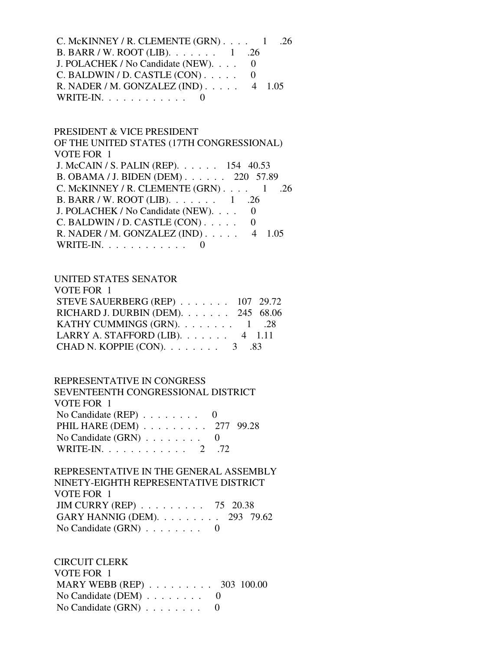C. McKINNEY / R. CLEMENTE  $(GRN)$ . . . . 1 .26 B. BARR / W. ROOT (LIB). . . . . . . 1 .26 J. POLACHEK / No Candidate (NEW). . . . 0  $C.$  BALDWIN / D. CASTLE  $(CON)$ ..... 0 R. NADER / M. GONZALEZ (IND) . . . . . 4 1.05 WRITE-IN. . . . . . . . . . . . 0

## PRESIDENT & VICE PRESIDENT

 OF THE UNITED STATES (17TH CONGRESSIONAL) VOTE FOR 1 J. McCAIN / S. PALIN (REP). . . . . . 154 40.53 B. OBAMA / J. BIDEN (DEM) . . . . . . 220 57.89 C. McKINNEY / R. CLEMENTE  $(GRN)$ . . . . 1 .26 B. BARR / W. ROOT (LIB). . . . . . . 1 .26 J. POLACHEK / No Candidate (NEW). . . . 0  $C.$  BALDWIN / D. CASTLE  $(CON)$ ..... 0 R. NADER / M. GONZALEZ (IND) . . . . . 4 1.05 WRITE-IN.  $\ldots$  . . . . . . . . 0

#### UNITED STATES SENATOR

| STEVE SAUERBERG (REP) $\ldots$ 107 29.72                                |
|-------------------------------------------------------------------------|
| RICHARD J. DURBIN (DEM). 245 68.06                                      |
| KATHY CUMMINGS (GRN). $\ldots$ 1 .28                                    |
|                                                                         |
|                                                                         |
| LARRY A. STAFFORD (LIB). 4 1.11<br>CHAD N. KOPPIE (CON). $\ldots$ 3 .83 |

#### REPRESENTATIVE IN CONGRESS

| SEVENTEENTH CONGRESSIONAL DISTRICT          |  |
|---------------------------------------------|--|
| VOTE FOR 1                                  |  |
| No Candidate (REP) $\ldots \ldots \ldots$ 0 |  |
| PHIL HARE (DEM) 277 99.28                   |  |
| No Candidate $(GRN)$ 0                      |  |
| WRITE-IN. 2 .72                             |  |

## REPRESENTATIVE IN THE GENERAL ASSEMBLY NINETY-EIGHTH REPRESENTATIVE DISTRICT VOTE FOR 1 JIM CURRY (REP) . . . . . . . . . 75 20.38 GARY HANNIG (DEM). . . . . . . . . 293 79.62 No Candidate (GRN) . . . . . . . . 0

 CIRCUIT CLERK VOTE FOR 1 MARY WEBB (REP) . . . . . . . . . 303 100.00 No Candidate (DEM) . . . . . . . . 0 No Candidate  $(GRN)$  . . . . . . . . 0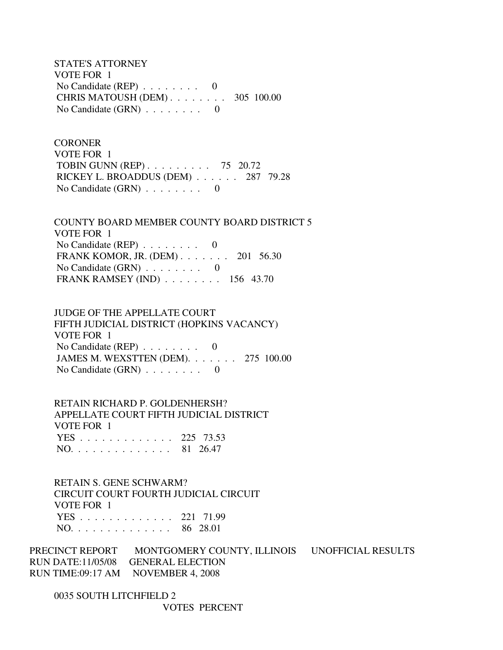STATE'S ATTORNEY VOTE FOR 1 No Candidate (REP) . . . . . . . . 0 CHRIS MATOUSH (DEM) . . . . . . . . 305 100.00 No Candidate  $(GRN)$  . . . . . . . . 0

**CORONER**  VOTE FOR 1 TOBIN GUNN (REP) . . . . . . . . . 75 20.72 RICKEY L. BROADDUS (DEM) . . . . . . 287 79.28 No Candidate  $(GRN)$  . . . . . . . . 0

 COUNTY BOARD MEMBER COUNTY BOARD DISTRICT 5 VOTE FOR 1 No Candidate (REP) . . . . . . . . 0 FRANK KOMOR, JR. (DEM) . . . . . . . 201 56.30 No Candidate (GRN) . . . . . . . . 0 FRANK RAMSEY (IND) . . . . . . . . 156 43.70

 JUDGE OF THE APPELLATE COURT FIFTH JUDICIAL DISTRICT (HOPKINS VACANCY) VOTE FOR 1 No Candidate (REP)  $\ldots \ldots \ldots$  0 JAMES M. WEXSTTEN (DEM). . . . . . . 275 100.00 No Candidate (GRN) . . . . . . . . 0

 RETAIN RICHARD P. GOLDENHERSH? APPELLATE COURT FIFTH JUDICIAL DISTRICT VOTE FOR 1 YES . . . . . . . . . . . . . 225 73.53 NO. . . . . . . . . . . . . . 81 26.47

 RETAIN S. GENE SCHWARM? CIRCUIT COURT FOURTH JUDICIAL CIRCUIT VOTE FOR 1 YES . . . . . . . . . . . . . 221 71.99 NO. . . . . . . . . . . . . . 86 28.01

PRECINCT REPORT MONTGOMERY COUNTY, ILLINOIS UNOFFICIAL RESULTS RUN DATE:11/05/08 GENERAL ELECTION RUN TIME:09:17 AM NOVEMBER 4, 2008

 0035 SOUTH LITCHFIELD 2 VOTES PERCENT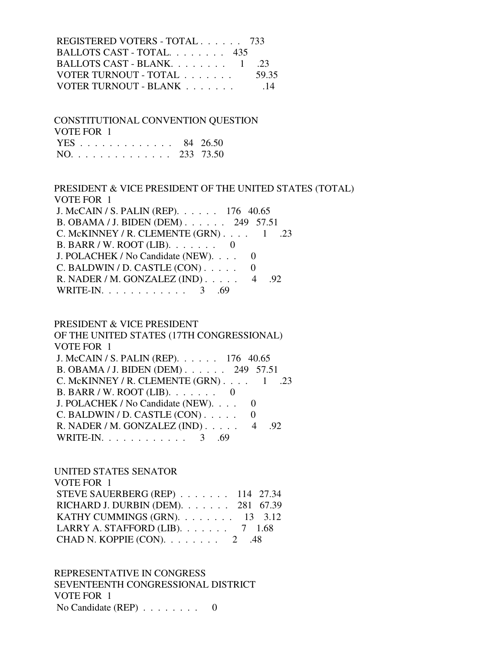| REGISTERED VOTERS - TOTAL 733      |       |
|------------------------------------|-------|
| BALLOTS CAST - TOTAL 435           |       |
| BALLOTS CAST - BLANK $1 \quad .23$ |       |
| VOTER TURNOUT - TOTAL              | 59.35 |
| VOTER TURNOUT - BLANK              | - 14  |

 CONSTITUTIONAL CONVENTION QUESTION VOTE FOR 1 YES . . . . . . . . . . . . . 84 26.50

|  |  |  |  |  |  |  | NO. 233 73.50 |
|--|--|--|--|--|--|--|---------------|
|  |  |  |  |  |  |  |               |

 PRESIDENT & VICE PRESIDENT OF THE UNITED STATES (TOTAL) VOTE FOR 1 J. McCAIN / S. PALIN (REP). . . . . . 176 40.65 B. OBAMA / J. BIDEN (DEM) . . . . . . 249 57.51 C. McKINNEY / R. CLEMENTE  $(GRN)$ . . . . 1 .23 B. BARR / W. ROOT (LIB). . . . . . . 0 J. POLACHEK / No Candidate (NEW). . . . 0  $C.$  BALDWIN / D. CASTLE  $(CON)$ ..... 0 R. NADER / M. GONZALEZ (IND) . . . . . 4 .92 WRITE-IN. . . . . . . . . . . . 3 .69

#### PRESIDENT & VICE PRESIDENT

 OF THE UNITED STATES (17TH CONGRESSIONAL) VOTE FOR 1 J. McCAIN / S. PALIN (REP). . . . . . 176 40.65 B. OBAMA / J. BIDEN (DEM) . . . . . . 249 57.51 C. McKINNEY / R. CLEMENTE  $(GRN)$ . . . . 1 .23 B. BARR / W. ROOT (LIB). . . . . . . 0 J. POLACHEK / No Candidate (NEW). . . . 0 C. BALDWIN / D. CASTLE  $(CON)$ ..... 0 R. NADER / M. GONZALEZ (IND) . . . . . 4 .92 WRITE-IN. . . . . . . . . . . . . 3 .69

#### UNITED STATES SENATOR

 VOTE FOR 1 STEVE SAUERBERG (REP) . . . . . . . 114 27.34 RICHARD J. DURBIN (DEM). . . . . . . 281 67.39 KATHY CUMMINGS (GRN).  $\ldots$  . . . . . 13 3.12 LARRY A. STAFFORD (LIB). . . . . . . 7 1.68 CHAD N. KOPPIE  $(CON)$ . . . . . . . . 2 .48

 REPRESENTATIVE IN CONGRESS SEVENTEENTH CONGRESSIONAL DISTRICT VOTE FOR 1 No Candidate (REP) . . . . . . . . 0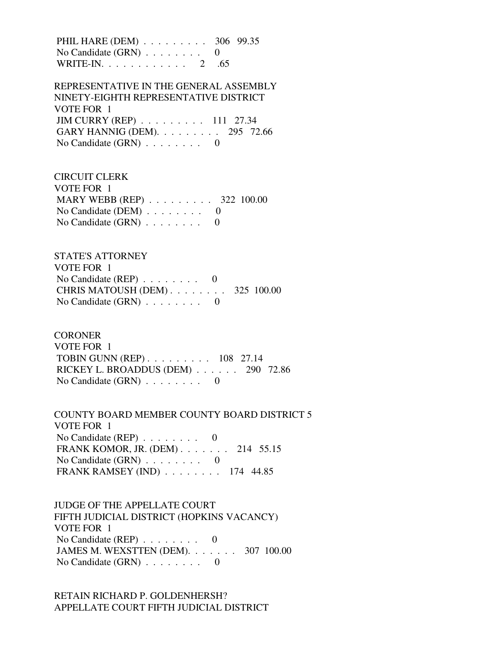PHIL HARE (DEM) . . . . . . . . . 306 99.35 No Candidate  $(GRN)$  . . . . . . . . 0 WRITE-IN. . . . . . . . . . . . 2 .65

 REPRESENTATIVE IN THE GENERAL ASSEMBLY NINETY-EIGHTH REPRESENTATIVE DISTRICT VOTE FOR 1 JIM CURRY (REP) . . . . . . . . . 111 27.34 GARY HANNIG (DEM). . . . . . . . . 295 72.66 No Candidate  $(GRN)$  . . . . . . . . 0

 CIRCUIT CLERK VOTE FOR 1 MARY WEBB (REP) . . . . . . . . . 322 100.00 No Candidate (DEM)  $\ldots$  . . . . . . 0 No Candidate  $(GRN)$  . . . . . . . . 0

 STATE'S ATTORNEY VOTE FOR 1 No Candidate (REP) . . . . . . . . 0 CHRIS MATOUSH (DEM) . . . . . . . . 325 100.00 No Candidate  $(GRN)$  . . . . . . . . 0

**CORONER** 

 VOTE FOR 1 TOBIN GUNN (REP) . . . . . . . . . 108 27.14 RICKEY L. BROADDUS (DEM) . . . . . . 290 72.86 No Candidate (GRN) . . . . . . . . 0

 COUNTY BOARD MEMBER COUNTY BOARD DISTRICT 5 VOTE FOR 1 No Candidate (REP) . . . . . . . . 0 FRANK KOMOR, JR. (DEM) . . . . . . . 214 55.15 No Candidate (GRN) . . . . . . . . 0 FRANK RAMSEY (IND) . . . . . . . . 174 44.85

 JUDGE OF THE APPELLATE COURT FIFTH JUDICIAL DISTRICT (HOPKINS VACANCY) VOTE FOR 1 No Candidate (REP)  $\ldots \ldots \ldots$  0 JAMES M. WEXSTTEN (DEM). . . . . . . 307 100.00 No Candidate (GRN) . . . . . . . . 0

 RETAIN RICHARD P. GOLDENHERSH? APPELLATE COURT FIFTH JUDICIAL DISTRICT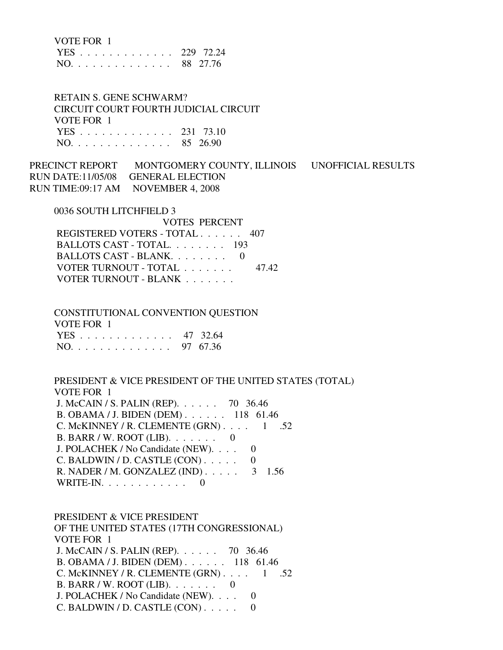| VOTE FOR |  |
|----------|--|
|----------|--|

|                                   |  |  |  |  |  |  |  | YES 229 72.24 |
|-----------------------------------|--|--|--|--|--|--|--|---------------|
| $NO. \ldots \ldots \ldots \ldots$ |  |  |  |  |  |  |  | 88 27.76      |

 RETAIN S. GENE SCHWARM? CIRCUIT COURT FOURTH JUDICIAL CIRCUIT VOTE FOR 1 YES . . . . . . . . . . . . . 231 73.10 NO. . . . . . . . . . . . . . 85 26.90

PRECINCT REPORT MONTGOMERY COUNTY, ILLINOIS UNOFFICIAL RESULTS RUN DATE:11/05/08 GENERAL ELECTION RUN TIME:09:17 AM NOVEMBER 4, 2008

0036 SOUTH LITCHFIELD 3

| VOTES PERCENT                 |       |
|-------------------------------|-------|
| REGISTERED VOTERS - TOTAL 407 |       |
| BALLOTS CAST - TOTAL 193      |       |
| BALLOTS CAST - BLANK $0$      |       |
| VOTER TURNOUT - TOTAL         | 47.42 |
| VOTER TURNOUT - BLANK         |       |

 CONSTITUTIONAL CONVENTION QUESTION VOTE FOR 1 YES . . . . . . . . . . . . . 47 32.64 NO. . . . . . . . . . . . . . 97 67.36

 PRESIDENT & VICE PRESIDENT OF THE UNITED STATES (TOTAL) VOTE FOR 1 J. McCAIN / S. PALIN (REP). . . . . . 70 36.46 B. OBAMA / J. BIDEN (DEM) . . . . . . 118 61.46 C. McKINNEY / R. CLEMENTE  $(GRN)$ . . . . 1 .52 B. BARR / W. ROOT (LIB). . . . . . . 0 J. POLACHEK / No Candidate (NEW). . . . 0 C. BALDWIN / D. CASTLE  $(CON)$ ..... 0 R. NADER / M. GONZALEZ (IND) . . . . . 3 1.56 WRITE-IN.  $\ldots$  . . . . . . . . . 0

 PRESIDENT & VICE PRESIDENT OF THE UNITED STATES (17TH CONGRESSIONAL) VOTE FOR 1 J. McCAIN / S. PALIN (REP). . . . . . 70 36.46 B. OBAMA / J. BIDEN (DEM) . . . . . . 118 61.46 C. McKINNEY / R. CLEMENTE  $(GRN)$ . . . . 1 .52 B. BARR / W. ROOT (LIB). . . . . . . 0 J. POLACHEK / No Candidate (NEW). . . . 0 C. BALDWIN / D. CASTLE  $(CON)$ ..... 0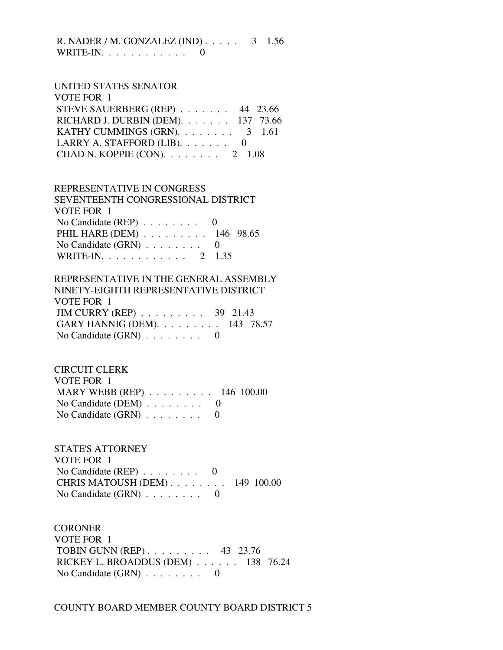R. NADER / M. GONZALEZ (IND) . . . . . 3 1.56 WRITE-IN.  $\ldots$  . . . . . . . . . 0

#### UNITED STATES SENATOR

| VOTE FOR 1                                 |  |
|--------------------------------------------|--|
| STEVE SAUERBERG (REP) 44 23.66             |  |
| RICHARD J. DURBIN (DEM). 137 73.66         |  |
| KATHY CUMMINGS (GRN). $\ldots$ 3 1.61      |  |
| LARRY A. STAFFORD (LIB). $\ldots \ldots$ 0 |  |
| CHAD N. KOPPIE (CON). $\ldots$ 2 1.08      |  |

#### REPRESENTATIVE IN CONGRESS

| SEVENTEENTH CONGRESSIONAL DISTRICT          |  |
|---------------------------------------------|--|
| VOTE FOR 1                                  |  |
| No Candidate (REP) $\ldots \ldots \ldots$ 0 |  |
| PHIL HARE (DEM) 146 98.65                   |  |
| No Candidate $(GRN)$ 0                      |  |
| WRITE-IN. 2 1.35                            |  |

## REPRESENTATIVE IN THE GENERAL ASSEMBLY NINETY-EIGHTH REPRESENTATIVE DISTRICT VOTE FOR 1 JIM CURRY (REP) . . . . . . . . . 39 21.43 GARY HANNIG (DEM). . . . . . . . . 143 78.57 No Candidate  $(GRN)$  . . . . . . . . 0

 CIRCUIT CLERK VOTE FOR 1 MARY WEBB (REP) . . . . . . . . . 146 100.00 No Candidate (DEM) . . . . . . . . 0 No Candidate  $(GRN)$  . . . . . . . . 0

 STATE'S ATTORNEY VOTE FOR 1 No Candidate (REP) . . . . . . . . 0 CHRIS MATOUSH (DEM) . . . . . . . . 149 100.00 No Candidate (GRN) . . . . . . . . 0

**CORONER**  VOTE FOR 1 TOBIN GUNN (REP) . . . . . . . . . 43 23.76 RICKEY L. BROADDUS (DEM) . . . . . . 138 76.24 No Candidate (GRN) . . . . . . . . 0

COUNTY BOARD MEMBER COUNTY BOARD DISTRICT 5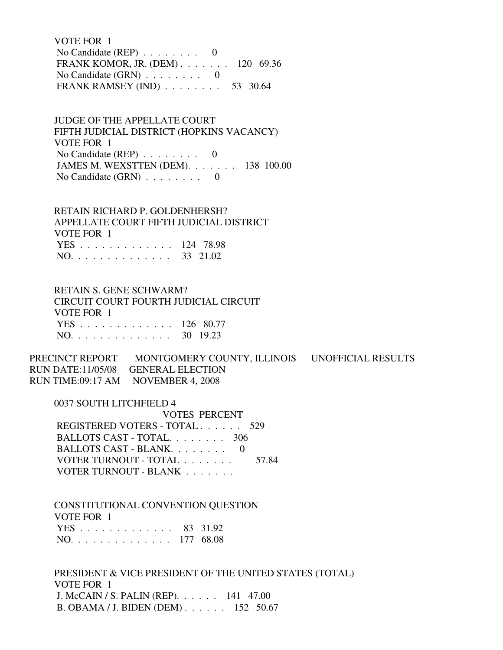VOTE FOR 1 No Candidate (REP)  $\ldots$  . . . . . . 0 FRANK KOMOR, JR. (DEM) . . . . . . . 120 69.36 No Candidate  $(GRN)$  . . . . . . . . 0 FRANK RAMSEY (IND) . . . . . . . . 53 30.64

 JUDGE OF THE APPELLATE COURT FIFTH JUDICIAL DISTRICT (HOPKINS VACANCY) VOTE FOR 1 No Candidate (REP) . . . . . . . . 0 JAMES M. WEXSTTEN (DEM). . . . . . . 138 100.00 No Candidate  $(GRN)$  . . . . . . . . 0

 RETAIN RICHARD P. GOLDENHERSH? APPELLATE COURT FIFTH JUDICIAL DISTRICT VOTE FOR 1 YES . . . . . . . . . . . . . 124 78.98 NO. . . . . . . . . . . . . . 33 21.02

 RETAIN S. GENE SCHWARM? CIRCUIT COURT FOURTH JUDICIAL CIRCUIT VOTE FOR 1 YES . . . . . . . . . . . . . 126 80.77 NO. . . . . . . . . . . . . . 30 19.23

PRECINCT REPORT MONTGOMERY COUNTY, ILLINOIS UNOFFICIAL RESULTS RUN DATE:11/05/08 GENERAL ELECTION RUN TIME:09:17 AM NOVEMBER 4, 2008

 0037 SOUTH LITCHFIELD 4 VOTES PERCENT REGISTERED VOTERS - TOTAL . . . . . . 529 BALLOTS CAST - TOTAL. . . . . . . . 306 BALLOTS CAST - BLANK. . . . . . . . 0 VOTER TURNOUT - TOTAL . . . . . . . 57.84 VOTER TURNOUT - BLANK . . . . . . .

 CONSTITUTIONAL CONVENTION QUESTION VOTE FOR 1 YES . . . . . . . . . . . . . 83 31.92 NO. . . . . . . . . . . . . . 177 68.08

 PRESIDENT & VICE PRESIDENT OF THE UNITED STATES (TOTAL) VOTE FOR 1 J. McCAIN / S. PALIN (REP). . . . . . 141 47.00 B. OBAMA / J. BIDEN (DEM) . . . . . . 152 50.67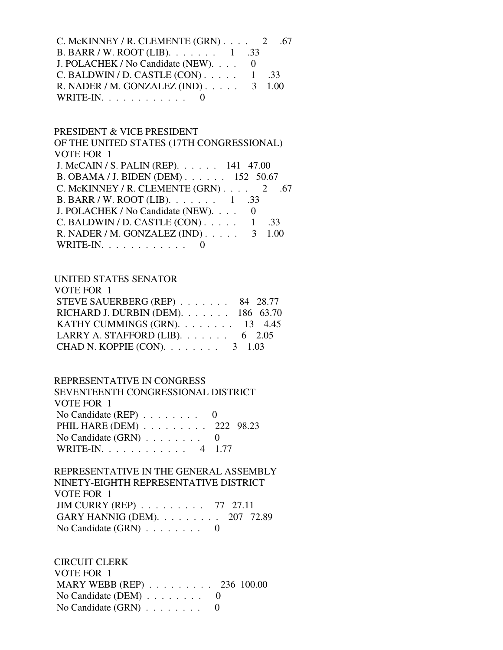C. McKINNEY / R. CLEMENTE  $(GRN)$ . . . . 2 .67 B. BARR / W. ROOT (LIB). . . . . . . 1 .33 J. POLACHEK / No Candidate (NEW). . . . 0 C. BALDWIN / D. CASTLE  $(CON)$ . . . . . 1 .33 R. NADER / M. GONZALEZ (IND) . . . . . 3 1.00 WRITE-IN.  $\ldots$  . . . . . . . . . 0

## PRESIDENT & VICE PRESIDENT

 OF THE UNITED STATES (17TH CONGRESSIONAL) VOTE FOR 1 J. McCAIN / S. PALIN (REP). . . . . . 141 47.00 B. OBAMA / J. BIDEN (DEM) . . . . . . 152 50.67 C. McKINNEY / R. CLEMENTE (GRN) . . . . 2 .67

| B. BARR / W. ROOT (LIB). $\ldots \ldots \ldots 1$ .33 |  |  |
|-------------------------------------------------------|--|--|
| J. POLACHEK / No Candidate (NEW). 0                   |  |  |
| C. BALDWIN / D. CASTLE $(CON)$ 1 .33                  |  |  |
| R. NADER / M. GONZALEZ (IND) $\ldots$ 3 1.00          |  |  |
| WRITE-IN. $\ldots$ 0                                  |  |  |

#### UNITED STATES SENATOR

| VOTE FOR 1                               |  |
|------------------------------------------|--|
| STEVE SAUERBERG (REP) 84 28.77           |  |
| RICHARD J. DURBIN (DEM). 186 63.70       |  |
| KATHY CUMMINGS (GRN). 13 4.45            |  |
| LARRY A. STAFFORD (LIB). $\ldots$ 6 2.05 |  |
| CHAD N. KOPPIE (CON). $\ldots$ 3 1.03    |  |

#### REPRESENTATIVE IN CONGRESS

| SEVENTEENTH CONGRESSIONAL DISTRICT          |  |
|---------------------------------------------|--|
| VOTE FOR 1                                  |  |
| No Candidate (REP) $\ldots \ldots \ldots$ 0 |  |
| PHIL HARE (DEM) 222 98.23                   |  |
| No Candidate $(GRN)$ 0                      |  |
| WRITE-IN. 4 1.77                            |  |

## REPRESENTATIVE IN THE GENERAL ASSEMBLY NINETY-EIGHTH REPRESENTATIVE DISTRICT VOTE FOR 1 JIM CURRY (REP) . . . . . . . . . 77 27.11 GARY HANNIG (DEM). . . . . . . . . 207 72.89 No Candidate (GRN)  $\ldots$  . . . . . . 0

 CIRCUIT CLERK VOTE FOR 1 MARY WEBB (REP) . . . . . . . . . 236 100.00 No Candidate (DEM) . . . . . . . . 0 No Candidate (GRN) . . . . . . . . 0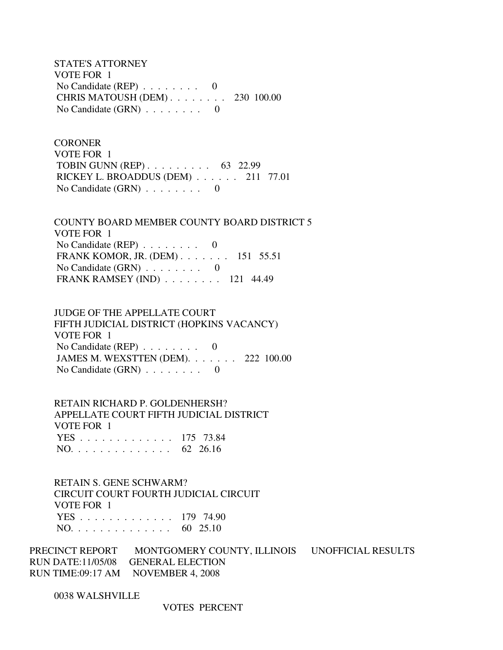STATE'S ATTORNEY VOTE FOR 1 No Candidate (REP) . . . . . . . . 0 CHRIS MATOUSH (DEM) . . . . . . . . 230 100.00 No Candidate  $(GRN)$  . . . . . . . . 0

**CORONER**  VOTE FOR 1 TOBIN GUNN (REP) . . . . . . . . . 63 22.99 RICKEY L. BROADDUS (DEM) . . . . . . 211 77.01 No Candidate  $(GRN)$  . . . . . . . . 0

 COUNTY BOARD MEMBER COUNTY BOARD DISTRICT 5 VOTE FOR 1 No Candidate (REP)  $\ldots \ldots \ldots$  0 FRANK KOMOR, JR. (DEM) . . . . . . . 151 55.51 No Candidate (GRN) . . . . . . . . 0 FRANK RAMSEY (IND) . . . . . . . . 121 44.49

 JUDGE OF THE APPELLATE COURT FIFTH JUDICIAL DISTRICT (HOPKINS VACANCY) VOTE FOR 1 No Candidate (REP)  $\ldots \ldots \ldots$  0 JAMES M. WEXSTTEN (DEM). . . . . . . 222 100.00 No Candidate  $(GRN)$  . . . . . . . . 0

 RETAIN RICHARD P. GOLDENHERSH? APPELLATE COURT FIFTH JUDICIAL DISTRICT VOTE FOR 1 YES . . . . . . . . . . . . . 175 73.84 NO. . . . . . . . . . . . . . 62 26.16

 RETAIN S. GENE SCHWARM? CIRCUIT COURT FOURTH JUDICIAL CIRCUIT VOTE FOR 1 YES . . . . . . . . . . . . . 179 74.90 NO. . . . . . . . . . . . . . 60 25.10

PRECINCT REPORT MONTGOMERY COUNTY, ILLINOIS UNOFFICIAL RESULTS RUN DATE:11/05/08 GENERAL ELECTION RUN TIME:09:17 AM NOVEMBER 4, 2008

0038 WALSHVILLE

VOTES PERCENT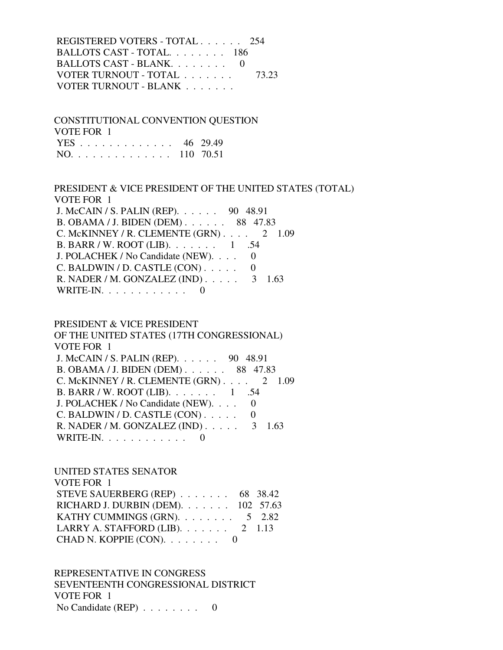REGISTERED VOTERS - TOTAL . . . . . . 254 BALLOTS CAST - TOTAL. . . . . . . . 186 BALLOTS CAST - BLANK. . . . . . . . 0 VOTER TURNOUT - TOTAL . . . . . . . 73.23 VOTER TURNOUT - BLANK . . . . . . .

 CONSTITUTIONAL CONVENTION QUESTION VOTE FOR 1 YES . . . . . . . . . . . . . 46 29.49 NO. . . . . . . . . . . . . . 110 70.51

 PRESIDENT & VICE PRESIDENT OF THE UNITED STATES (TOTAL) VOTE FOR 1 J. McCAIN / S. PALIN (REP). . . . . . 90 48.91 B. OBAMA / J. BIDEN (DEM) . . . . . . 88 47.83 C. McKINNEY / R. CLEMENTE  $(GRN)$ . . . . 2 1.09 B. BARR / W. ROOT (LIB). . . . . . . 1 .54 J. POLACHEK / No Candidate (NEW). . . . 0  $C.$  BALDWIN / D. CASTLE  $(CON)$ ..... 0 R. NADER / M. GONZALEZ (IND) . . . . . 3 1.63 WRITE-IN.  $\ldots$  . . . . . . . . 0

#### PRESIDENT & VICE PRESIDENT

 OF THE UNITED STATES (17TH CONGRESSIONAL) VOTE FOR 1 J. McCAIN / S. PALIN (REP). . . . . . 90 48.91 B. OBAMA / J. BIDEN (DEM) . . . . . . 88 47.83 C. McKINNEY / R. CLEMENTE (GRN) . . . . 2 1.09 B. BARR / W. ROOT (LIB). . . . . . . 1 .54 J. POLACHEK / No Candidate (NEW). . . . 0 C. BALDWIN / D. CASTLE  $(CON)$ ..... 0 R. NADER / M. GONZALEZ (IND) . . . . . 3 1.63 WRITE-IN.  $\ldots$  . . . . . . . . 0

#### UNITED STATES SENATOR

| VOTE FOR 1                                  |  |
|---------------------------------------------|--|
| STEVE SAUERBERG (REP) 68 38.42              |  |
| RICHARD J. DURBIN (DEM). $\ldots$ 102 57.63 |  |
| KATHY CUMMINGS (GRN). $\ldots$ 5 2.82       |  |
| LARRY A. STAFFORD (LIB). $\ldots$ 2 1.13    |  |
| CHAD N. KOPPIE $(CON)$ . 0                  |  |

 REPRESENTATIVE IN CONGRESS SEVENTEENTH CONGRESSIONAL DISTRICT VOTE FOR 1 No Candidate (REP) . . . . . . . . 0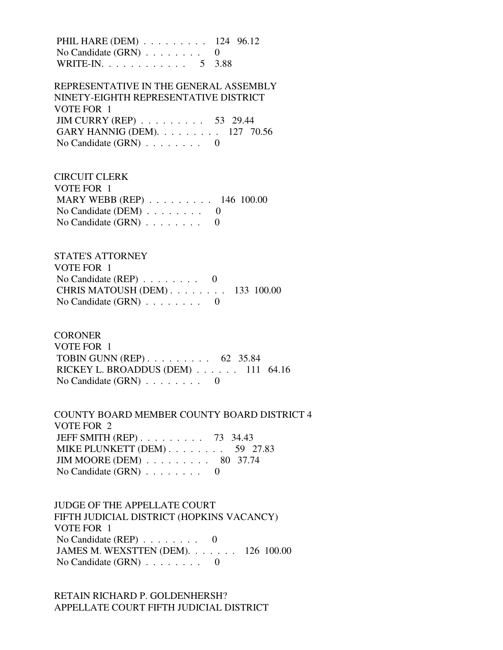PHIL HARE (DEM) . . . . . . . . . 124 96.12 No Candidate  $(GRN)$  . . . . . . . . 0 WRITE-IN. . . . . . . . . . . . 5 3.88

 REPRESENTATIVE IN THE GENERAL ASSEMBLY NINETY-EIGHTH REPRESENTATIVE DISTRICT VOTE FOR 1 JIM CURRY (REP) . . . . . . . . . 53 29.44 GARY HANNIG (DEM). . . . . . . . . 127 70.56 No Candidate  $(GRN)$  . . . . . . . . 0

 CIRCUIT CLERK VOTE FOR 1 MARY WEBB (REP) . . . . . . . . . 146 100.00 No Candidate (DEM)  $\ldots$  . . . . . . 0 No Candidate  $(GRN)$  . . . . . . . . 0

 STATE'S ATTORNEY VOTE FOR 1 No Candidate (REP) . . . . . . . . 0 CHRIS MATOUSH (DEM) . . . . . . . . 133 100.00 No Candidate  $(GRN)$  . . . . . . . . 0

#### **CORONER**

 VOTE FOR 1 TOBIN GUNN (REP) . . . . . . . . . 62 35.84 RICKEY L. BROADDUS (DEM) . . . . . . 111 64.16 No Candidate (GRN) . . . . . . . . 0

 COUNTY BOARD MEMBER COUNTY BOARD DISTRICT 4 VOTE FOR 2 JEFF SMITH (REP) . . . . . . . . . 73 34.43 MIKE PLUNKETT (DEM) . . . . . . . . 59 27.83 JIM MOORE (DEM) . . . . . . . . . 80 37.74 No Candidate (GRN) . . . . . . . . 0

 JUDGE OF THE APPELLATE COURT FIFTH JUDICIAL DISTRICT (HOPKINS VACANCY) VOTE FOR 1 No Candidate (REP)  $\ldots \ldots \ldots$  0 JAMES M. WEXSTTEN (DEM). . . . . . . 126 100.00 No Candidate (GRN) . . . . . . . . 0

 RETAIN RICHARD P. GOLDENHERSH? APPELLATE COURT FIFTH JUDICIAL DISTRICT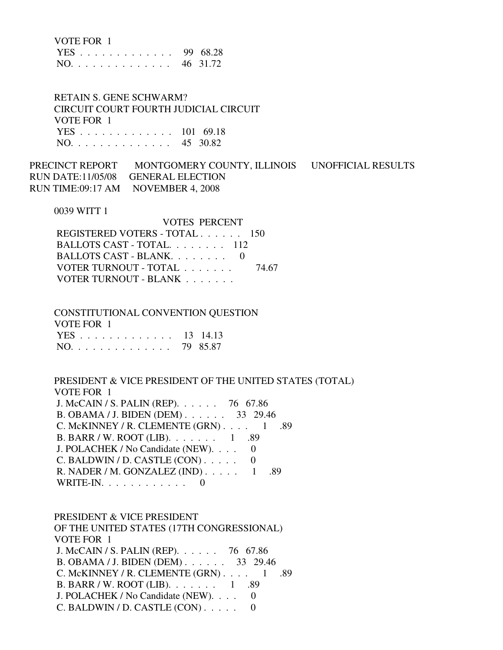| VOTE FOR 1 |  |
|------------|--|
|------------|--|

|     |  |  |  |  |  |  |  | YES 99 68.28 |
|-----|--|--|--|--|--|--|--|--------------|
| NO. |  |  |  |  |  |  |  | 46 31.72     |

 RETAIN S. GENE SCHWARM? CIRCUIT COURT FOURTH JUDICIAL CIRCUIT VOTE FOR 1 YES . . . . . . . . . . . . . 101 69.18 NO. . . . . . . . . . . . . . 45 30.82

PRECINCT REPORT MONTGOMERY COUNTY, ILLINOIS UNOFFICIAL RESULTS RUN DATE:11/05/08 GENERAL ELECTION RUN TIME:09:17 AM NOVEMBER 4, 2008

0039 WITT 1

| VOTES PERCENT                 |       |
|-------------------------------|-------|
| REGISTERED VOTERS - TOTAL 150 |       |
| BALLOTS CAST - TOTAL 112      |       |
| BALLOTS CAST - BLANK $0$      |       |
| VOTER TURNOUT - TOTAL         | 74.67 |
| VOTER TURNOUT - BLANK         |       |

 CONSTITUTIONAL CONVENTION QUESTION VOTE FOR 1 YES . . . . . . . . . . . . . 13 14.13 NO. . . . . . . . . . . . . . 79 85.87

 PRESIDENT & VICE PRESIDENT OF THE UNITED STATES (TOTAL) VOTE FOR 1 J. McCAIN / S. PALIN (REP). . . . . . 76 67.86 B. OBAMA / J. BIDEN (DEM) . . . . . . 33 29.46 C. McKINNEY / R. CLEMENTE  $(GRN)$ . . . . 1 .89 B. BARR / W. ROOT (LIB). . . . . . . 1 .89 J. POLACHEK / No Candidate (NEW). . . . 0 C. BALDWIN / D. CASTLE  $(CON)$ ..... 0 R. NADER / M. GONZALEZ (IND) . . . . . 1 .89 WRITE-IN.  $\ldots$  . . . . . . . . . 0

 PRESIDENT & VICE PRESIDENT OF THE UNITED STATES (17TH CONGRESSIONAL) VOTE FOR 1 J. McCAIN / S. PALIN (REP). . . . . . 76 67.86 B. OBAMA / J. BIDEN (DEM) . . . . . . 33 29.46 C. McKINNEY / R. CLEMENTE  $(GRN)$ . . . . 1 .89 B. BARR / W. ROOT (LIB). . . . . . . 1 .89 J. POLACHEK / No Candidate (NEW). . . . 0 C. BALDWIN / D. CASTLE  $(CON)$ ..... 0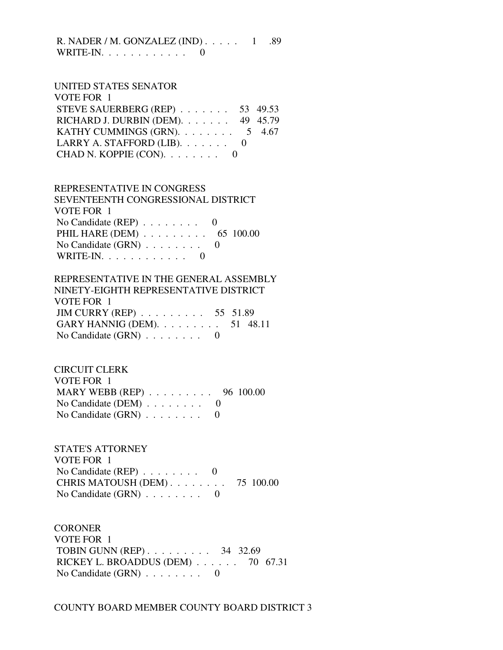R. NADER / M. GONZALEZ (IND) . . . . . 1 .89 WRITE-IN. . . . . . . . . . . . 0

#### UNITED STATES SENATOR  $V$ OTE FOR  $1$

| VUIE FUK 1                                 |  |
|--------------------------------------------|--|
| STEVE SAUERBERG (REP) $\ldots$ 53 49.53    |  |
| RICHARD J. DURBIN (DEM). 49 45.79          |  |
| KATHY CUMMINGS (GRN). $\ldots$ 5 4.67      |  |
| LARRY A. STAFFORD (LIB). $\ldots \ldots$ 0 |  |
| CHAD N. KOPPIE $(CON)$ . 0                 |  |
|                                            |  |

# REPRESENTATIVE IN CONGRESS

 SEVENTEENTH CONGRESSIONAL DISTRICT VOTE FOR 1 No Candidate (REP) . . . . . . . . 0 PHIL HARE (DEM) . . . . . . . . . . 65 100.00 No Candidate (GRN) . . . . . . . . 0 WRITE-IN.  $\ldots$  . . . . . . . . . 0

#### REPRESENTATIVE IN THE GENERAL ASSEMBLY NINETY-EIGHTH REPRESENTATIVE DISTRICT

| NINETY-EKTHTH REPRESENTATIVE DISTRICT                  |  |
|--------------------------------------------------------|--|
| VOTE FOR 1                                             |  |
| JIM CURRY (REP) $\ldots \ldots \ldots \ldots 55$ 51.89 |  |
| GARY HANNIG (DEM). $\ldots \ldots \ldots 51$ 48.11     |  |
| No Candidate $(GRN)$ 0                                 |  |

## CIRCUIT CLERK VOTE FOR 1 MARY WEBB (REP) . . . . . . . . . 96 100.00 No Candidate (DEM) . . . . . . . . 0 No Candidate  $(GRN)$  . . . . . . . . 0

 STATE'S ATTORNEY VOTE FOR 1 No Candidate (REP) . . . . . . . . 0 CHRIS MATOUSH (DEM) . . . . . . . . 75 100.00 No Candidate (GRN) . . . . . . . . 0

## **CORONER**  VOTE FOR 1 TOBIN GUNN (REP) . . . . . . . . . 34 32.69 RICKEY L. BROADDUS (DEM) . . . . . . 70 67.31 No Candidate (GRN) . . . . . . . . 0

COUNTY BOARD MEMBER COUNTY BOARD DISTRICT 3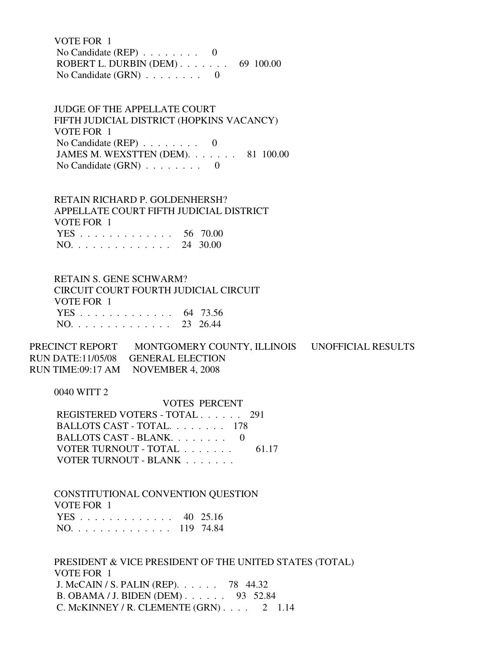VOTE FOR 1 No Candidate (REP)  $\ldots \ldots \ldots$  0 ROBERT L. DURBIN (DEM) . . . . . . . 69 100.00 No Candidate  $(GRN)$  . . . . . . . . 0

 JUDGE OF THE APPELLATE COURT FIFTH JUDICIAL DISTRICT (HOPKINS VACANCY) VOTE FOR 1 No Candidate (REP) . . . . . . . . 0 JAMES M. WEXSTTEN (DEM). . . . . . . 81 100.00 No Candidate  $(GRN)$  . . . . . . . . 0

 RETAIN RICHARD P. GOLDENHERSH? APPELLATE COURT FIFTH JUDICIAL DISTRICT VOTE FOR 1 YES . . . . . . . . . . . . . 56 70.00 NO. . . . . . . . . . . . . . 24 30.00

 RETAIN S. GENE SCHWARM? CIRCUIT COURT FOURTH JUDICIAL CIRCUIT VOTE FOR 1 YES . . . . . . . . . . . . . 64 73.56 NO. . . . . . . . . . . . . . 23 26.44

PRECINCT REPORT MONTGOMERY COUNTY, ILLINOIS UNOFFICIAL RESULTS RUN DATE:11/05/08 GENERAL ELECTION RUN TIME:09:17 AM NOVEMBER 4, 2008

0040 WITT 2

 VOTES PERCENT REGISTERED VOTERS - TOTAL . . . . . . 291 BALLOTS CAST - TOTAL. . . . . . . . 178 BALLOTS CAST - BLANK. . . . . . . . 0 VOTER TURNOUT - TOTAL . . . . . . . . 61.17 VOTER TURNOUT - BLANK . . . . . . . .

 CONSTITUTIONAL CONVENTION QUESTION VOTE FOR 1 YES . . . . . . . . . . . . . 40 25.16 NO. . . . . . . . . . . . . . 119 74.84

 PRESIDENT & VICE PRESIDENT OF THE UNITED STATES (TOTAL) VOTE FOR 1 J. McCAIN / S. PALIN (REP). . . . . . 78 44.32 B. OBAMA / J. BIDEN (DEM) . . . . . . 93 52.84 C. McKINNEY / R. CLEMENTE  $(GRN)$ . . . . 2 1.14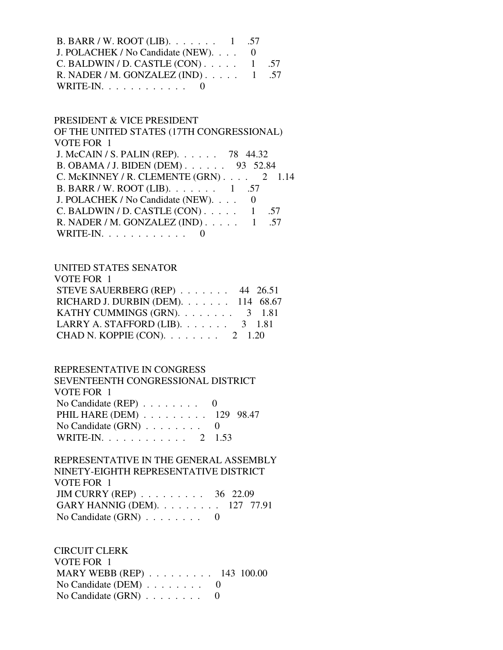| B. BARR / W. ROOT (LIB). $\ldots \ldots \ldots 1$ .57 |  |
|-------------------------------------------------------|--|
| J. POLACHEK / No Candidate (NEW). 0                   |  |
| C. BALDWIN / D. CASTLE $(CON)$ 1 .57                  |  |
| R. NADER / M. GONZALEZ (IND) $\ldots$ 1 .57           |  |
| WRITE-IN. $\ldots$ 0                                  |  |

## PRESIDENT & VICE PRESIDENT

 OF THE UNITED STATES (17TH CONGRESSIONAL) VOTE FOR 1 J. McCAIN / S. PALIN (REP). . . . . . 78 44.32 B. OBAMA / J. BIDEN (DEM) . . . . . . 93 52.84 C. McKINNEY / R. CLEMENTE  $(GRN)$ . . . . 2 1.14 B. BARR / W. ROOT (LIB). . . . . . . 1 .57 J. POLACHEK / No Candidate (NEW). . . . 0 C. BALDWIN / D. CASTLE  $(CON)$ ..... 1 .57 R. NADER / M. GONZALEZ (IND) . . . . . 1 .57 WRITE-IN.  $\ldots$  . . . . . . . . . 0

## UNITED STATES SENATOR

| VOTE FOR 1                               |  |
|------------------------------------------|--|
| STEVE SAUERBERG (REP) $\ldots$ 44 26.51  |  |
| RICHARD J. DURBIN (DEM). 114 68.67       |  |
| KATHY CUMMINGS (GRN). $\ldots$ 3 1.81    |  |
| LARRY A. STAFFORD (LIB). $\ldots$ 3 1.81 |  |
| CHAD N. KOPPIE (CON). $\ldots$ 2 1.20    |  |

#### REPRESENTATIVE IN CONGRESS

| SEVENTEENTH CONGRESSIONAL DISTRICT          |  |
|---------------------------------------------|--|
| VOTE FOR 1                                  |  |
| No Candidate (REP) $\ldots \ldots \ldots$ 0 |  |
| PHIL HARE (DEM) 129 98.47                   |  |
| No Candidate $(GRN)$ 0                      |  |
| WRITE-IN. 2 1.53                            |  |

## REPRESENTATIVE IN THE GENERAL ASSEMBLY NINETY-EIGHTH REPRESENTATIVE DISTRICT VOTE FOR 1 JIM CURRY (REP) . . . . . . . . . 36 22.09 GARY HANNIG (DEM). . . . . . . . . 127 77.91 No Candidate (GRN) . . . . . . . . 0

 CIRCUIT CLERK VOTE FOR 1 MARY WEBB (REP) . . . . . . . . . 143 100.00 No Candidate (DEM) . . . . . . . . 0 No Candidate (GRN) . . . . . . . . 0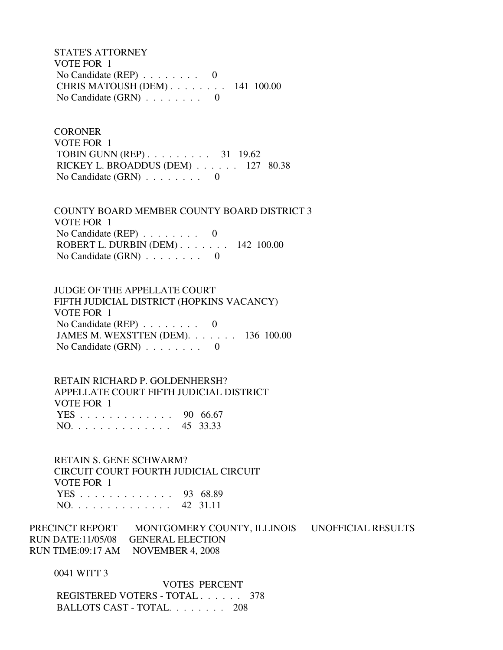STATE'S ATTORNEY VOTE FOR 1 No Candidate (REP) . . . . . . . . 0 CHRIS MATOUSH (DEM) . . . . . . . . 141 100.00 No Candidate  $(GRN)$  . . . . . . . . 0

**CORONER**  VOTE FOR 1 TOBIN GUNN (REP) . . . . . . . . . 31 19.62 RICKEY L. BROADDUS (DEM) . . . . . . 127 80.38 No Candidate  $(GRN)$  . . . . . . . . 0

 COUNTY BOARD MEMBER COUNTY BOARD DISTRICT 3 VOTE FOR 1 No Candidate (REP) . . . . . . . . 0 ROBERT L. DURBIN (DEM) . . . . . . . 142 100.00 No Candidate  $(GRN)$  . . . . . . . . 0

 JUDGE OF THE APPELLATE COURT FIFTH JUDICIAL DISTRICT (HOPKINS VACANCY) VOTE FOR 1 No Candidate (REP) . . . . . . . . 0 JAMES M. WEXSTTEN (DEM). . . . . . . 136 100.00 No Candidate (GRN) . . . . . . . . 0

 RETAIN RICHARD P. GOLDENHERSH? APPELLATE COURT FIFTH JUDICIAL DISTRICT VOTE FOR 1 YES . . . . . . . . . . . . . 90 66.67 NO. . . . . . . . . . . . . . 45 33.33

 RETAIN S. GENE SCHWARM? CIRCUIT COURT FOURTH JUDICIAL CIRCUIT VOTE FOR 1 YES . . . . . . . . . . . . . 93 68.89 NO. . . . . . . . . . . . . . 42 31.11

PRECINCT REPORT MONTGOMERY COUNTY, ILLINOIS UNOFFICIAL RESULTS RUN DATE:11/05/08 GENERAL ELECTION RUN TIME:09:17 AM NOVEMBER 4, 2008

0041 WITT 3

 VOTES PERCENT REGISTERED VOTERS - TOTAL . . . . . . 378 BALLOTS CAST - TOTAL. . . . . . . . 208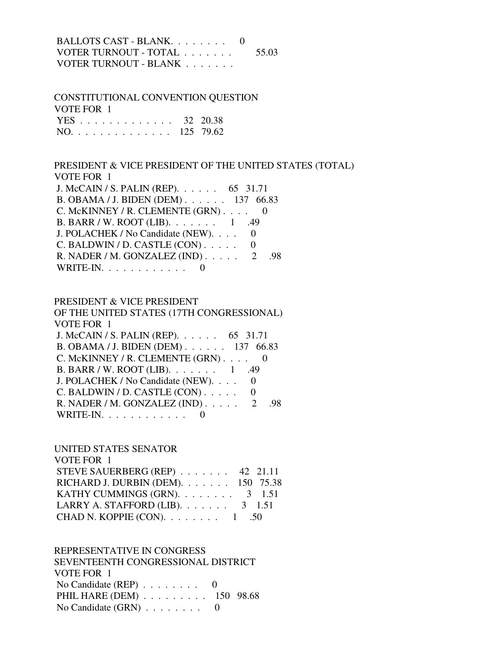BALLOTS CAST - BLANK. . . . . . . . 0 VOTER TURNOUT - TOTAL . . . . . . . 55.03 VOTER TURNOUT - BLANK . . . . . . .

 CONSTITUTIONAL CONVENTION QUESTION VOTE FOR 1 YES . . . . . . . . . . . . . 32 20.38 NO. . . . . . . . . . . . . . 125 79.62

 PRESIDENT & VICE PRESIDENT OF THE UNITED STATES (TOTAL) VOTE FOR 1 J. McCAIN / S. PALIN (REP). . . . . . 65 31.71 B. OBAMA / J. BIDEN (DEM) . . . . . . 137 66.83 C. McKINNEY / R. CLEMENTE (GRN) . . . . 0 B. BARR / W. ROOT (LIB). . . . . . . 1 .49 J. POLACHEK / No Candidate (NEW). . . . 0  $C.$  BALDWIN / D. CASTLE  $(CON)$ ..... 0 R. NADER / M. GONZALEZ (IND) . . . . . 2 .98 WRITE-IN.  $\ldots$  . . . . . . . . 0

## PRESIDENT & VICE PRESIDENT OF THE UNITED STATES (17TH CONGRESSIONAL) VOTE FOR 1 J. McCAIN / S. PALIN (REP). . . . . . 65 31.71 B. OBAMA / J. BIDEN (DEM) . . . . . . 137 66.83 C. McKINNEY / R. CLEMENTE (GRN) . . . . 0 B. BARR / W. ROOT (LIB). . . . . . . 1 .49 J. POLACHEK / No Candidate (NEW). . . . 0  $C.$  BALDWIN / D. CASTLE  $(CON)$ ..... 0 R. NADER / M. GONZALEZ (IND) . . . . . 2 .98 WRITE-IN.  $\ldots$  . . . . . . . . . 0

## UNITED STATES SENATOR

| VOTE FOR 1                                         |  |
|----------------------------------------------------|--|
| STEVE SAUERBERG (REP) $\ldots$ 42 21.11            |  |
| RICHARD J. DURBIN (DEM). 150 75.38                 |  |
| KATHY CUMMINGS (GRN). $\ldots$ 3 1.51              |  |
| LARRY A. STAFFORD (LIB). $\ldots$ 3 1.51           |  |
| CHAD N. KOPPIE (CON). $\ldots \ldots \ldots 1$ .50 |  |

#### REPRESENTATIVE IN CONGRESS

 SEVENTEENTH CONGRESSIONAL DISTRICT VOTE FOR 1 No Candidate (REP) . . . . . . . . 0 PHIL HARE (DEM) . . . . . . . . . 150 98.68 No Candidate  $(GRN)$  . . . . . . . . 0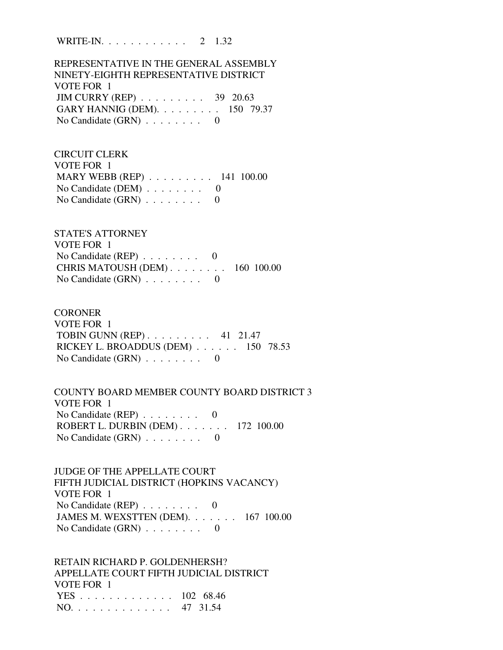WRITE-IN. . . . . . . . . . . . 2 1.32

 REPRESENTATIVE IN THE GENERAL ASSEMBLY NINETY-EIGHTH REPRESENTATIVE DISTRICT VOTE FOR 1 JIM CURRY (REP) . . . . . . . . . 39 20.63 GARY HANNIG (DEM). . . . . . . . . 150 79.37 No Candidate  $(GRN)$  . . . . . . . . 0

 CIRCUIT CLERK VOTE FOR 1 MARY WEBB (REP) . . . . . . . . . 141 100.00 No Candidate (DEM)  $\ldots$  . . . . . . 0 No Candidate (GRN) . . . . . . . . 0

 STATE'S ATTORNEY VOTE FOR 1 No Candidate (REP) . . . . . . . . 0 CHRIS MATOUSH (DEM) . . . . . . . . 160 100.00 No Candidate  $(GRN)$  . . . . . . . . 0

**CORONER**  VOTE FOR 1 TOBIN GUNN (REP) . . . . . . . . . 41 21.47 RICKEY L. BROADDUS (DEM) . . . . . . 150 78.53 No Candidate  $(GRN)$  . . . . . . . . 0

 COUNTY BOARD MEMBER COUNTY BOARD DISTRICT 3 VOTE FOR 1 No Candidate (REP) . . . . . . . . 0 ROBERT L. DURBIN (DEM) . . . . . . . 172 100.00 No Candidate (GRN) . . . . . . . . 0

 JUDGE OF THE APPELLATE COURT FIFTH JUDICIAL DISTRICT (HOPKINS VACANCY) VOTE FOR 1 No Candidate (REP) . . . . . . . . 0 JAMES M. WEXSTTEN (DEM). . . . . . . 167 100.00 No Candidate (GRN) . . . . . . . . 0

 RETAIN RICHARD P. GOLDENHERSH? APPELLATE COURT FIFTH JUDICIAL DISTRICT VOTE FOR 1 YES . . . . . . . . . . . . . 102 68.46 NO. . . . . . . . . . . . . . 47 31.54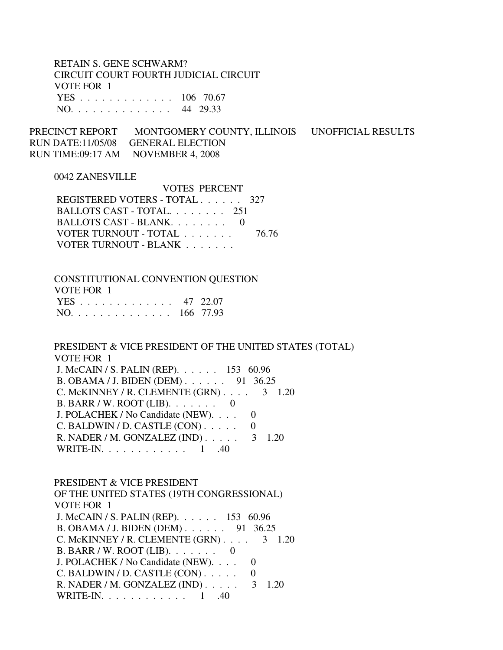RETAIN S. GENE SCHWARM? CIRCUIT COURT FOURTH JUDICIAL CIRCUIT VOTE FOR 1 YES . . . . . . . . . . . . . 106 70.67 NO. . . . . . . . . . . . . . 44 29.33

PRECINCT REPORT MONTGOMERY COUNTY, ILLINOIS UNOFFICIAL RESULTS RUN DATE:11/05/08 GENERAL ELECTION RUN TIME:09:17 AM NOVEMBER 4, 2008

#### 0042 ZANESVILLE

 VOTES PERCENT REGISTERED VOTERS - TOTAL . . . . . . 327 BALLOTS CAST - TOTAL. . . . . . . . 251 BALLOTS CAST - BLANK. . . . . . . . 0 VOTER TURNOUT - TOTAL . . . . . . . 76.76 VOTER TURNOUT - BLANK . . . . . . .

 CONSTITUTIONAL CONVENTION QUESTION VOTE FOR 1 YES . . . . . . . . . . . . . 47 22.07 NO. . . . . . . . . . . . . . 166 77.93

 PRESIDENT & VICE PRESIDENT OF THE UNITED STATES (TOTAL) VOTE FOR 1

 J. McCAIN / S. PALIN (REP). . . . . . 153 60.96 B. OBAMA / J. BIDEN (DEM) . . . . . . 91 36.25 C. McKINNEY / R. CLEMENTE  $(GRN)$ . . . . 3 1.20 B. BARR / W. ROOT (LIB). . . . . . . 0 J. POLACHEK / No Candidate (NEW). . . . 0  $C.$  BALDWIN / D. CASTLE  $(CON)$ .... 0 R. NADER / M. GONZALEZ (IND) . . . . . 3 1.20 WRITE-IN. . . . . . . . . . . . 1 .40

 PRESIDENT & VICE PRESIDENT OF THE UNITED STATES (19TH CONGRESSIONAL) VOTE FOR 1 J. McCAIN / S. PALIN (REP). . . . . . 153 60.96 B. OBAMA / J. BIDEN (DEM) . . . . . . 91 36.25 C. McKINNEY / R. CLEMENTE  $(GRN)$ . . . . 3 1.20 B. BARR / W. ROOT (LIB). . . . . . . 0 J. POLACHEK / No Candidate (NEW). . . . 0 C. BALDWIN / D. CASTLE  $(CON)$ ..... 0 R. NADER / M. GONZALEZ (IND) . . . . . 3 1.20 WRITE-IN. . . . . . . . . . . . . 1 .40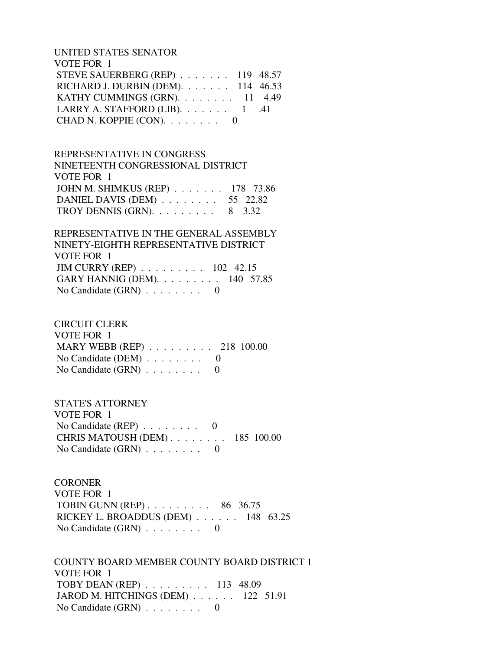UNITED STATES SENATOR VOTE FOR 1 STEVE SAUERBERG (REP) . . . . . . . 119 48.57 RICHARD J. DURBIN (DEM). . . . . . . 114 46.53 KATHY CUMMINGS (GRN). . . . . . . . 11 4.49 LARRY A. STAFFORD (LIB).  $\ldots$  . . . . . 1 .41 CHAD N. KOPPIE  $(CON)$ . . . . . . . . 0

 REPRESENTATIVE IN CONGRESS NINETEENTH CONGRESSIONAL DISTRICT VOTE FOR 1 JOHN M. SHIMKUS (REP) . . . . . . . 178 73.86 DANIEL DAVIS (DEM) . . . . . . . . 55 22.82 TROY DENNIS (GRN).  $\ldots$  . . . . . . 8 3.32

 REPRESENTATIVE IN THE GENERAL ASSEMBLY NINETY-EIGHTH REPRESENTATIVE DISTRICT VOTE FOR 1 JIM CURRY (REP) . . . . . . . . . 102 42.15 GARY HANNIG (DEM). . . . . . . . . 140 57.85 No Candidate (GRN) . . . . . . . . 0

 CIRCUIT CLERK VOTE FOR 1 MARY WEBB (REP) . . . . . . . . . 218 100.00 No Candidate (DEM)  $\ldots$  . . . . . . 0 No Candidate  $(GRN)$  . . . . . . . . 0

 STATE'S ATTORNEY VOTE FOR 1 No Candidate  $(REP)$  . . . . . . . . 0 CHRIS MATOUSH (DEM) . . . . . . . . 185 100.00 No Candidate  $(GRN)$  . . . . . . . . 0

**CORONER**  VOTE FOR 1 TOBIN GUNN (REP) . . . . . . . . . 86 36.75 RICKEY L. BROADDUS (DEM) . . . . . . 148 63.25 No Candidate (GRN) . . . . . . . . 0

 COUNTY BOARD MEMBER COUNTY BOARD DISTRICT 1 VOTE FOR 1 TOBY DEAN (REP) . . . . . . . . . 113 48.09 JAROD M. HITCHINGS (DEM) . . . . . . 122 51.91 No Candidate  $(GRN)$  . . . . . . . . 0